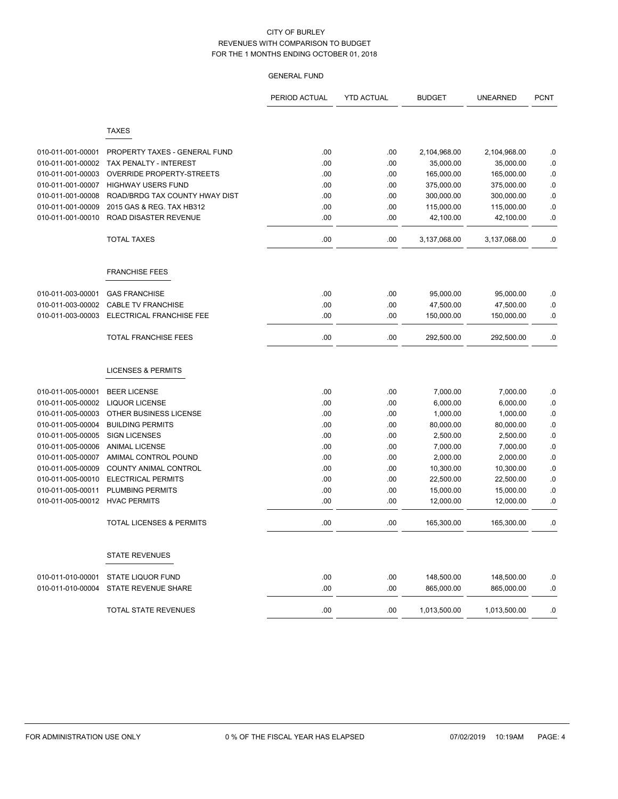|                                        |                                                   | PERIOD ACTUAL | <b>YTD ACTUAL</b> | <b>BUDGET</b>            | <b>UNEARNED</b>          | <b>PCNT</b>     |
|----------------------------------------|---------------------------------------------------|---------------|-------------------|--------------------------|--------------------------|-----------------|
|                                        | <b>TAXES</b>                                      |               |                   |                          |                          |                 |
|                                        |                                                   |               |                   |                          |                          |                 |
| 010-011-001-00001                      | PROPERTY TAXES - GENERAL FUND                     | .00           | .00               | 2,104,968.00             | 2,104,968.00             | .0              |
| 010-011-001-00002                      | TAX PENALTY - INTEREST                            | .00           | .00               | 35,000.00                | 35,000.00                | .0              |
| 010-011-001-00003                      | OVERRIDE PROPERTY-STREETS                         | .00.          | .00.              | 165,000.00               | 165,000.00               | .0              |
| 010-011-001-00007                      | <b>HIGHWAY USERS FUND</b>                         | .00           | .00               | 375,000.00               | 375,000.00               | .0              |
| 010-011-001-00008                      | ROAD/BRDG TAX COUNTY HWAY DIST                    | .00           | .00               | 300,000.00               | 300,000.00               | .0              |
| 010-011-001-00009                      | 2015 GAS & REG. TAX HB312                         | .00           | .00               | 115,000.00               | 115,000.00               | .0              |
| 010-011-001-00010                      | ROAD DISASTER REVENUE                             | .00           | .00               | 42,100.00                | 42,100.00                | .0              |
|                                        | <b>TOTAL TAXES</b>                                | .00           | .00               | 3,137,068.00             | 3,137,068.00             | .0              |
|                                        | <b>FRANCHISE FEES</b>                             |               |                   |                          |                          |                 |
|                                        |                                                   |               |                   |                          |                          |                 |
| 010-011-003-00001<br>010-011-003-00002 | <b>GAS FRANCHISE</b><br><b>CABLE TV FRANCHISE</b> | .00           | .00               | 95,000.00                | 95,000.00                | .0              |
| 010-011-003-00003                      | ELECTRICAL FRANCHISE FEE                          | .00<br>.00    | .00<br>.00        | 47,500.00<br>150,000.00  | 47,500.00<br>150,000.00  | $\cdot$ 0<br>.0 |
|                                        |                                                   |               |                   |                          |                          |                 |
|                                        | <b>TOTAL FRANCHISE FEES</b>                       | .00           | .00               | 292,500.00               | 292,500.00               | .0              |
|                                        | <b>LICENSES &amp; PERMITS</b>                     |               |                   |                          |                          |                 |
| 010-011-005-00001                      | <b>BEER LICENSE</b>                               | .00.          | .00               | 7,000.00                 | 7,000.00                 | .0              |
| 010-011-005-00002                      | <b>LIQUOR LICENSE</b>                             | .00           | .00               | 6,000.00                 | 6,000.00                 | .0              |
| 010-011-005-00003                      | OTHER BUSINESS LICENSE                            | .00           | .00               | 1,000.00                 | 1,000.00                 | $\cdot$ 0       |
| 010-011-005-00004                      | <b>BUILDING PERMITS</b>                           | .00           | .00               | 80,000.00                | 80,000.00                | .0              |
| 010-011-005-00005                      | <b>SIGN LICENSES</b>                              | .00           | .00               | 2,500.00                 | 2,500.00                 | .0              |
| 010-011-005-00006                      | <b>ANIMAL LICENSE</b>                             | .00           | .00               | 7,000.00                 | 7,000.00                 | .0              |
| 010-011-005-00007                      | AMIMAL CONTROL POUND                              | .00           | .00               | 2,000.00                 | 2,000.00                 | .0              |
| 010-011-005-00009                      | <b>COUNTY ANIMAL CONTROL</b>                      | .00           | .00               | 10,300.00                | 10,300.00                | 0.              |
| 010-011-005-00010                      | <b>ELECTRICAL PERMITS</b>                         | .00           | .00               | 22,500.00                | 22,500.00                | .0              |
| 010-011-005-00011                      | <b>PLUMBING PERMITS</b>                           | .00           | .00               | 15,000.00                | 15,000.00                | .0              |
| 010-011-005-00012                      | <b>HVAC PERMITS</b>                               | .00           | .00               | 12,000.00                | 12,000.00                | .0              |
|                                        | <b>TOTAL LICENSES &amp; PERMITS</b>               | .00           | .00               | 165,300.00               | 165,300.00               | .0              |
|                                        | <b>STATE REVENUES</b>                             |               |                   |                          |                          |                 |
|                                        |                                                   |               |                   |                          |                          |                 |
| 010-011-010-00001<br>010-011-010-00004 | <b>STATE LIQUOR FUND</b><br>STATE REVENUE SHARE   | .00.<br>.00   | .00<br>.00        | 148,500.00<br>865,000.00 | 148,500.00<br>865,000.00 | .0<br>.0        |
|                                        |                                                   |               |                   |                          |                          |                 |
|                                        | TOTAL STATE REVENUES                              | .00           | .00               | 1,013,500.00             | 1,013,500.00             | .0              |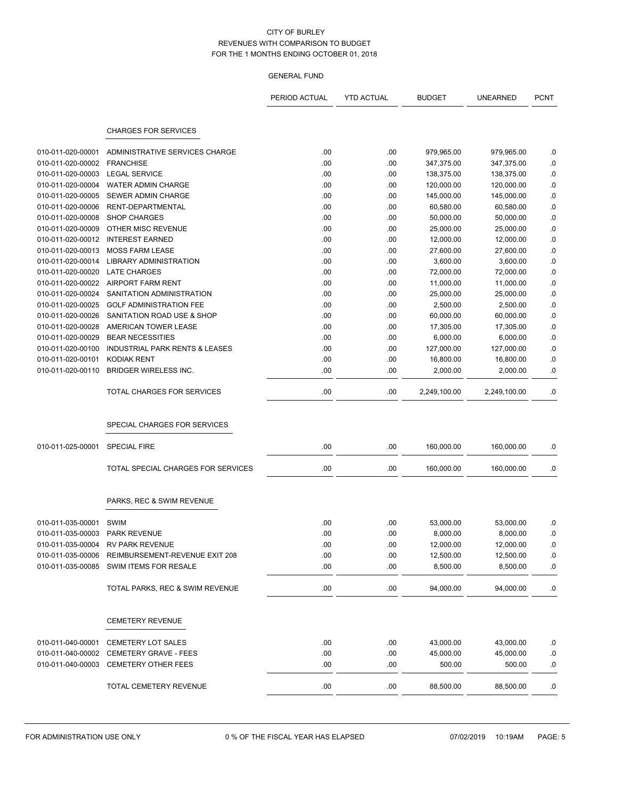|                   |                                                  | PERIOD ACTUAL | <b>YTD ACTUAL</b> | <b>BUDGET</b> | <b>UNEARNED</b> | <b>PCNT</b>      |
|-------------------|--------------------------------------------------|---------------|-------------------|---------------|-----------------|------------------|
|                   |                                                  |               |                   |               |                 |                  |
|                   | <b>CHARGES FOR SERVICES</b>                      |               |                   |               |                 |                  |
| 010-011-020-00001 | ADMINISTRATIVE SERVICES CHARGE                   | .00           | .00               | 979,965.00    | 979,965.00      | .0               |
| 010-011-020-00002 | <b>FRANCHISE</b>                                 | .00           | .00               | 347,375.00    | 347,375.00      | .0               |
| 010-011-020-00003 | <b>LEGAL SERVICE</b>                             | .00           | .00               | 138,375.00    | 138,375.00      | .0               |
| 010-011-020-00004 | <b>WATER ADMIN CHARGE</b>                        | .00.          | .00               | 120,000.00    | 120,000.00      | $\cdot$ 0        |
| 010-011-020-00005 | SEWER ADMIN CHARGE                               | .00.          | .00               | 145,000.00    | 145,000.00      | .0               |
| 010-011-020-00006 | RENT-DEPARTMENTAL                                | .00           | .00               | 60,580.00     | 60,580.00       | $\cdot$ 0        |
| 010-011-020-00008 | <b>SHOP CHARGES</b>                              | .00           | .00               | 50,000.00     | 50,000.00       | .0               |
| 010-011-020-00009 | OTHER MISC REVENUE                               | .00           | .00               | 25,000.00     | 25,000.00       | .0               |
| 010-011-020-00012 | <b>INTEREST EARNED</b>                           | .00           | .00               | 12,000.00     | 12,000.00       | $\cdot$ 0        |
| 010-011-020-00013 | <b>MOSS FARM LEASE</b>                           | .00.          | .00               | 27,600.00     | 27,600.00       | $\cdot$ 0        |
| 010-011-020-00014 | <b>LIBRARY ADMINISTRATION</b>                    | .00           | .00               | 3,600.00      | 3,600.00        | .0               |
| 010-011-020-00020 | <b>LATE CHARGES</b>                              | .00           | .00               | 72,000.00     | 72,000.00       | .0               |
| 010-011-020-00022 | <b>AIRPORT FARM RENT</b>                         | .00           | .00               | 11,000.00     | 11,000.00       | .0               |
| 010-011-020-00024 | SANITATION ADMINISTRATION                        | .00           | .00               | 25,000.00     | 25,000.00       | $\cdot$ 0        |
| 010-011-020-00025 | <b>GOLF ADMINISTRATION FEE</b>                   | .00           | .00               | 2,500.00      | 2,500.00        | $\boldsymbol{0}$ |
| 010-011-020-00026 | SANITATION ROAD USE & SHOP                       | .00           | .00               | 60,000.00     | 60,000.00       | .0               |
| 010-011-020-00028 | AMERICAN TOWER LEASE                             | .00           | .00               | 17,305.00     | 17,305.00       | .0               |
| 010-011-020-00029 | <b>BEAR NECESSITIES</b>                          | .00           | .00               | 6,000.00      | 6,000.00        | .0               |
| 010-011-020-00100 | <b>INDUSTRIAL PARK RENTS &amp; LEASES</b>        | .00           | .00               | 127,000.00    | 127,000.00      | .0               |
| 010-011-020-00101 | <b>KODIAK RENT</b>                               | .00.          | .00               | 16,800.00     | 16,800.00       | .0               |
| 010-011-020-00110 | <b>BRIDGER WIRELESS INC.</b>                     | .00           | .00               | 2,000.00      | 2,000.00        | .0               |
|                   | TOTAL CHARGES FOR SERVICES                       | .00           | .00               | 2,249,100.00  | 2,249,100.00    | .0               |
|                   | SPECIAL CHARGES FOR SERVICES                     |               |                   |               |                 |                  |
| 010-011-025-00001 | <b>SPECIAL FIRE</b>                              | .00           | .00               | 160,000.00    | 160,000.00      | .0               |
|                   | TOTAL SPECIAL CHARGES FOR SERVICES               | .00           | .00               | 160,000.00    | 160,000.00      | .0               |
|                   | PARKS, REC & SWIM REVENUE                        |               |                   |               |                 |                  |
| 010-011-035-00001 | SWIM                                             | .00.          | .00               | 53,000.00     | 53,000.00       | .0               |
| 010-011-035-00003 | <b>PARK REVENUE</b>                              | .00           | .00               | 8,000.00      | 8,000.00        | .0               |
|                   | 010-011-035-00004 RV PARK REVENUE                | .00           | $.00$             | 12,000.00     | 12,000.00       | .0               |
|                   | 010-011-035-00006 REIMBURSEMENT-REVENUE EXIT 208 | .00           | .00               | 12,500.00     | 12,500.00       | .0               |
| 010-011-035-00085 | SWIM ITEMS FOR RESALE                            | .00           | .00               | 8,500.00      | 8,500.00        | $\cdot$ 0        |
|                   |                                                  |               |                   |               |                 |                  |
|                   | TOTAL PARKS, REC & SWIM REVENUE                  | .00           | .00               | 94,000.00     | 94,000.00       | .0               |
|                   | <b>CEMETERY REVENUE</b>                          |               |                   |               |                 |                  |
| 010-011-040-00001 | CEMETERY LOT SALES                               | .00           | .00               | 43,000.00     | 43,000.00       | .0               |
|                   | 010-011-040-00002 CEMETERY GRAVE - FEES          | .00           | .00               | 45,000.00     | 45,000.00       | .0               |
| 010-011-040-00003 | <b>CEMETERY OTHER FEES</b>                       | .00           | .00               | 500.00        | 500.00          | .0               |
|                   | TOTAL CEMETERY REVENUE                           | .00           | .00               | 88,500.00     | 88,500.00       | .0               |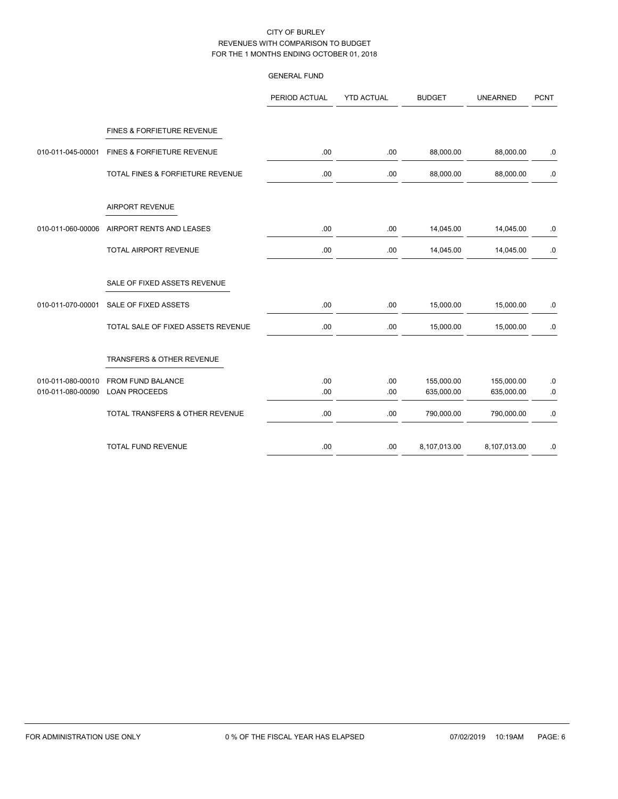|                                        |                                       | PERIOD ACTUAL | <b>YTD ACTUAL</b> | <b>BUDGET</b> | <b>UNEARNED</b> | <b>PCNT</b> |
|----------------------------------------|---------------------------------------|---------------|-------------------|---------------|-----------------|-------------|
|                                        | FINES & FORFIETURE REVENUE            |               |                   |               |                 |             |
| 010-011-045-00001                      | <b>FINES &amp; FORFIETURE REVENUE</b> | .00           | .00               | 88,000.00     | 88,000.00       | .0          |
|                                        | TOTAL FINES & FORFIETURE REVENUE      | .00           | .00               | 88,000.00     | 88,000.00       | .0          |
|                                        | <b>AIRPORT REVENUE</b>                |               |                   |               |                 |             |
| 010-011-060-00006                      | AIRPORT RENTS AND LEASES              | .00           | .00               | 14,045.00     | 14,045.00       | .0          |
|                                        | <b>TOTAL AIRPORT REVENUE</b>          | .00           | .00               | 14,045.00     | 14,045.00       | .0          |
|                                        | SALE OF FIXED ASSETS REVENUE          |               |                   |               |                 |             |
| 010-011-070-00001                      | SALE OF FIXED ASSETS                  | .00           | .00               | 15,000.00     | 15,000.00       | .0          |
|                                        | TOTAL SALE OF FIXED ASSETS REVENUE    | .00           | .00               | 15,000.00     | 15,000.00       | .0          |
|                                        | TRANSFERS & OTHER REVENUE             |               |                   |               |                 |             |
| 010-011-080-00010<br>010-011-080-00090 | FROM FUND BALANCE                     | .00           | .00               | 155,000.00    | 155,000.00      | .0          |
|                                        | <b>LOAN PROCEEDS</b>                  | .00           | .00               | 635,000.00    | 635,000.00      | $\cdot 0$   |
|                                        | TOTAL TRANSFERS & OTHER REVENUE       | .00           | .00               | 790,000.00    | 790,000.00      | $.0\,$      |
|                                        | TOTAL FUND REVENUE                    | .00           | .00               | 8,107,013.00  | 8,107,013.00    | .0          |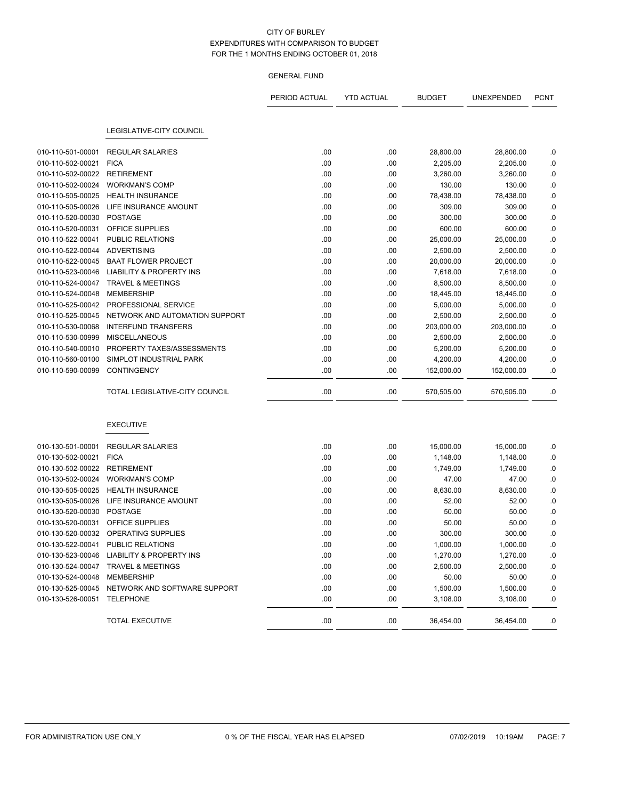|                              |                                                | PERIOD ACTUAL | <b>YTD ACTUAL</b> | <b>BUDGET</b> | UNEXPENDED | <b>PCNT</b> |
|------------------------------|------------------------------------------------|---------------|-------------------|---------------|------------|-------------|
|                              |                                                |               |                   |               |            |             |
|                              | LEGISLATIVE-CITY COUNCIL                       |               |                   |               |            |             |
| 010-110-501-00001            | <b>REGULAR SALARIES</b>                        | .00           | .00               | 28,800.00     | 28,800.00  | .0          |
| 010-110-502-00021            | <b>FICA</b>                                    | .00           | .00               | 2,205.00      | 2,205.00   | .0          |
| 010-110-502-00022            | RETIREMENT                                     | .00           | .00               | 3,260.00      | 3,260.00   | .0          |
| 010-110-502-00024            | <b>WORKMAN'S COMP</b>                          | .00           | .00               | 130.00        | 130.00     | .0          |
| 010-110-505-00025            | <b>HEALTH INSURANCE</b>                        | .00           | .00               | 78,438.00     | 78,438.00  | .0          |
| 010-110-505-00026            | LIFE INSURANCE AMOUNT                          | .00           | .00               | 309.00        | 309.00     | .0          |
| 010-110-520-00030            | <b>POSTAGE</b>                                 | .00           | .00               | 300.00        | 300.00     | .0          |
| 010-110-520-00031            | OFFICE SUPPLIES                                | .00           | .00               | 600.00        | 600.00     | .0          |
| 010-110-522-00041            | PUBLIC RELATIONS                               | .00           | .00               | 25,000.00     | 25,000.00  | .0          |
| 010-110-522-00044            | ADVERTISING                                    | .00           | .00               | 2,500.00      | 2,500.00   | .0          |
| 010-110-522-00045            | <b>BAAT FLOWER PROJECT</b>                     | .00           | .00               | 20,000.00     | 20,000.00  | .0          |
| 010-110-523-00046            | <b>LIABILITY &amp; PROPERTY INS</b>            | .00           | .00               | 7,618.00      | 7,618.00   | .0          |
| 010-110-524-00047            | <b>TRAVEL &amp; MEETINGS</b>                   | .00           | .00               | 8,500.00      | 8,500.00   | .0          |
| 010-110-524-00048            | <b>MEMBERSHIP</b>                              | .00           | .00               | 18,445.00     | 18,445.00  | .0          |
| 010-110-525-00042            | PROFESSIONAL SERVICE                           | .00           | .00               | 5,000.00      | 5,000.00   | .0          |
| 010-110-525-00045            | NETWORK AND AUTOMATION SUPPORT                 | .00           | .00               | 2,500.00      | 2,500.00   | .0          |
| 010-110-530-00068            | <b>INTERFUND TRANSFERS</b>                     | .00           | .00               | 203,000.00    | 203,000.00 | .0          |
| 010-110-530-00999            | <b>MISCELLANEOUS</b>                           | .00           | .00               | 2,500.00      | 2,500.00   | .0          |
| 010-110-540-00010            | PROPERTY TAXES/ASSESSMENTS                     | .00           | .00               | 5,200.00      | 5,200.00   | .0          |
| 010-110-560-00100            | SIMPLOT INDUSTRIAL PARK                        | .00           | .00               | 4,200.00      | 4,200.00   | .0          |
| 010-110-590-00099            | <b>CONTINGENCY</b>                             | .00           | .00               | 152,000.00    | 152,000.00 | .0          |
|                              | TOTAL LEGISLATIVE-CITY COUNCIL                 | .00           | .00               | 570,505.00    | 570,505.00 | .0          |
|                              | <b>EXECUTIVE</b>                               |               |                   |               |            |             |
| 010-130-501-00001            | <b>REGULAR SALARIES</b>                        | .00           | .00               | 15,000.00     | 15,000.00  | .0          |
| 010-130-502-00021            | <b>FICA</b>                                    | .00           | .00               | 1,148.00      | 1,148.00   | .0          |
| 010-130-502-00022            | <b>RETIREMENT</b>                              | .00           | .00               | 1,749.00      | 1,749.00   | .0          |
| 010-130-502-00024            | <b>WORKMAN'S COMP</b>                          | .00           | .00               | 47.00         | 47.00      | .0          |
| 010-130-505-00025            | <b>HEALTH INSURANCE</b>                        | .00           | .00               | 8,630.00      | 8,630.00   | .0          |
| 010-130-505-00026            | LIFE INSURANCE AMOUNT                          | .00           | .00               | 52.00         | 52.00      | .0          |
| 010-130-520-00030            | <b>POSTAGE</b>                                 | .00           | .00               | 50.00         | 50.00      | .0          |
| 010-130-520-00031            | OFFICE SUPPLIES                                | .00           | .00               | 50.00         | 50.00      | .0          |
|                              | 010-130-520-00032 OPERATING SUPPLIES           | .00           | .00               | 300.00        | 300.00     | .0          |
| 010-130-522-00041            | PUBLIC RELATIONS                               | .00           | .00               | 1,000.00      | 1,000.00   | .0          |
|                              | 010-130-523-00046 LIABILITY & PROPERTY INS     | .00           | .00               | 1,270.00      | 1,270.00   | .0          |
|                              | 010-130-524-00047 TRAVEL & MEETINGS            | .00           | .00               | 2,500.00      | 2,500.00   | .0          |
| 010-130-524-00048 MEMBERSHIP |                                                | .00           | .00               | 50.00         | 50.00      | .0          |
|                              | 010-130-525-00045 NETWORK AND SOFTWARE SUPPORT | .00           | .00               | 1,500.00      | 1,500.00   | .0          |
| 010-130-526-00051            | TELEPHONE                                      | .00           | .00               | 3,108.00      | 3,108.00   | .0          |
|                              | TOTAL EXECUTIVE                                | .00           | .00               | 36,454.00     | 36,454.00  | .0          |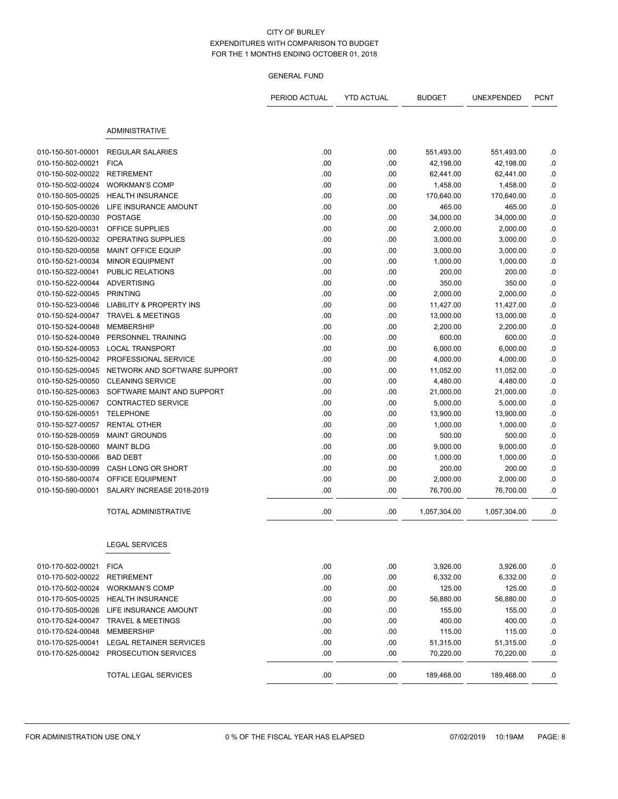|                   |                                        | PERIOD ACTUAL | <b>YTD ACTUAL</b> | <b>BUDGET</b> | UNEXPENDED   | <b>PCNT</b> |
|-------------------|----------------------------------------|---------------|-------------------|---------------|--------------|-------------|
|                   |                                        |               |                   |               |              |             |
|                   | <b>ADMINISTRATIVE</b>                  |               |                   |               |              |             |
| 010-150-501-00001 | <b>REGULAR SALARIES</b>                | .00           | .00               | 551,493.00    | 551,493.00   | .0          |
| 010-150-502-00021 | <b>FICA</b>                            | .00           | .00               | 42,198.00     | 42,198.00    | .0          |
| 010-150-502-00022 | <b>RETIREMENT</b>                      | .00           | .00               | 62,441.00     | 62,441.00    | .0          |
| 010-150-502-00024 | <b>WORKMAN'S COMP</b>                  | .00           | .00               | 1,458.00      | 1,458.00     | .0          |
| 010-150-505-00025 | <b>HEALTH INSURANCE</b>                | .00           | .00               | 170,640.00    | 170,640.00   | $0.$        |
| 010-150-505-00026 | LIFE INSURANCE AMOUNT                  | .00           | .00               | 465.00        | 465.00       | $\cdot$ 0   |
| 010-150-520-00030 | <b>POSTAGE</b>                         | .00           | .00               | 34,000.00     | 34,000.00    | $0.$        |
| 010-150-520-00031 | OFFICE SUPPLIES                        | .00           | .00               | 2,000.00      | 2,000.00     | .0          |
| 010-150-520-00032 | OPERATING SUPPLIES                     | .00           | .00               | 3,000.00      | 3,000.00     | .0          |
| 010-150-520-00058 | <b>MAINT OFFICE EQUIP</b>              | .00           | .00               | 3,000.00      | 3,000.00     | .0          |
| 010-150-521-00034 | <b>MINOR EQUIPMENT</b>                 | .00           | .00               | 1,000.00      | 1,000.00     | $0.$        |
| 010-150-522-00041 | PUBLIC RELATIONS                       | .00           | .00               | 200.00        | 200.00       | $0.$        |
| 010-150-522-00044 | <b>ADVERTISING</b>                     | .00           | .00               | 350.00        | 350.00       | .0          |
| 010-150-522-00045 | <b>PRINTING</b>                        | .00           | .00               | 2,000.00      | 2,000.00     | .0          |
| 010-150-523-00046 | <b>LIABILITY &amp; PROPERTY INS</b>    | .00           | .00               | 11,427.00     | 11,427.00    | $\cdot$ 0   |
| 010-150-524-00047 | TRAVEL & MEETINGS                      | .00           | .00               | 13,000.00     | 13,000.00    | $0.$        |
| 010-150-524-00048 | <b>MEMBERSHIP</b>                      | .00           | .00               | 2,200.00      | 2,200.00     | $\cdot$ 0   |
| 010-150-524-00049 | PERSONNEL TRAINING                     | .00           | .00               | 600.00        | 600.00       | .0          |
| 010-150-524-00053 | <b>LOCAL TRANSPORT</b>                 | .00           | .00               | 6,000.00      | 6,000.00     | .0          |
| 010-150-525-00042 | PROFESSIONAL SERVICE                   | .00           | .00               | 4,000.00      | 4,000.00     | $0.$        |
| 010-150-525-00045 | NETWORK AND SOFTWARE SUPPORT           | .00           | .00               | 11,052.00     | 11,052.00    | $\cdot$ 0   |
| 010-150-525-00050 | <b>CLEANING SERVICE</b>                | .00           | .00               | 4,480.00      | 4,480.00     | $0.$        |
| 010-150-525-00063 | SOFTWARE MAINT AND SUPPORT             | .00           | .00               | 21,000.00     | 21,000.00    | .0          |
| 010-150-525-00067 | <b>CONTRACTED SERVICE</b>              | .00           | .00               | 5,000.00      | 5,000.00     | .0          |
| 010-150-526-00051 | <b>TELEPHONE</b>                       | .00           | .00               | 13,900.00     | 13,900.00    | $\cdot$ 0   |
| 010-150-527-00057 | <b>RENTAL OTHER</b>                    | .00           | .00               | 1,000.00      | 1,000.00     | $\cdot$ 0   |
| 010-150-528-00059 | <b>MAINT GROUNDS</b>                   | .00           | .00               | 500.00        | 500.00       | .0          |
| 010-150-528-00060 | <b>MAINT BLDG</b>                      | .00           | .00               | 9,000.00      | 9,000.00     | .0          |
| 010-150-530-00066 | <b>BAD DEBT</b>                        | .00           | .00               | 1,000.00      | 1,000.00     | .0          |
| 010-150-530-00099 | CASH LONG OR SHORT                     | .00           | .00               | 200.00        | 200.00       | .0          |
| 010-150-580-00074 | OFFICE EQUIPMENT                       | .00           | .00               | 2,000.00      | 2,000.00     | .0          |
| 010-150-590-00001 | SALARY INCREASE 2018-2019              | .00           | .00               | 76,700.00     | 76,700.00    | .0          |
|                   | TOTAL ADMINISTRATIVE                   | .00           | .00               | 1,057,304.00  | 1,057,304.00 | .0          |
|                   | <b>LEGAL SERVICES</b>                  |               |                   |               |              |             |
| 010-170-502-00021 | <b>FICA</b>                            | .00           | .00               | 3,926.00      | 3,926.00     | .0          |
| 010-170-502-00022 | <b>RETIREMENT</b>                      | .00           | .00               | 6,332.00      | 6,332.00     | .0          |
| 010-170-502-00024 | <b>WORKMAN'S COMP</b>                  | .00           | .00               | 125.00        | 125.00       | .0          |
| 010-170-505-00025 | <b>HEALTH INSURANCE</b>                | .00           | .00               | 56,880.00     | 56,880.00    | .0          |
| 010-170-505-00026 | LIFE INSURANCE AMOUNT                  | .00           | .00               | 155.00        | 155.00       | .0          |
| 010-170-524-00047 | <b>TRAVEL &amp; MEETINGS</b>           | .00           | .00               | 400.00        | 400.00       | .0          |
| 010-170-524-00048 | <b>MEMBERSHIP</b>                      | .00           | .00               | 115.00        | 115.00       | .0          |
| 010-170-525-00041 | LEGAL RETAINER SERVICES                | .00           | .00               | 51,315.00     | 51,315.00    | .0          |
|                   | 010-170-525-00042 PROSECUTION SERVICES | .00           | .00               | 70,220.00     | 70,220.00    | .0          |
|                   | TOTAL LEGAL SERVICES                   | .00           | .00               | 189,468.00    | 189,468.00   | .0          |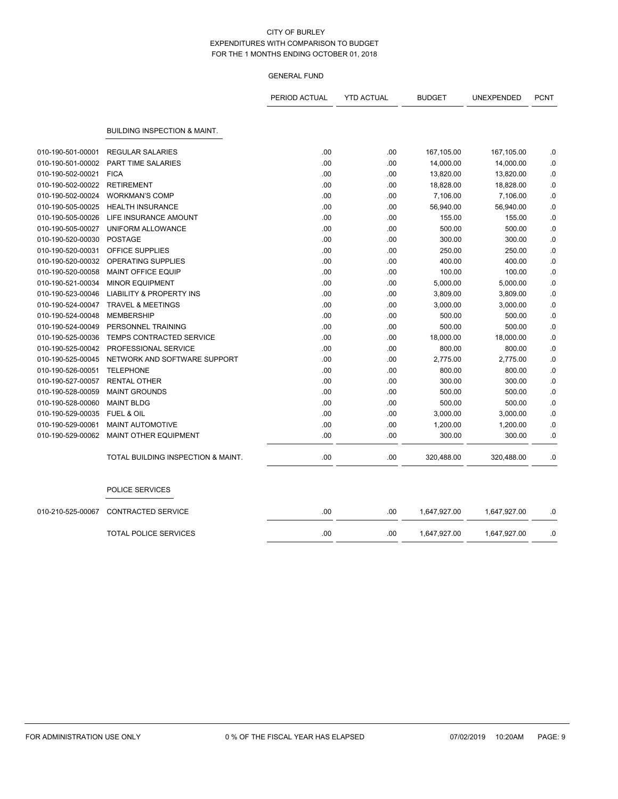|                   |                                         | PERIOD ACTUAL | <b>YTD ACTUAL</b> | <b>BUDGET</b> | UNEXPENDED   | <b>PCNT</b> |
|-------------------|-----------------------------------------|---------------|-------------------|---------------|--------------|-------------|
|                   | <b>BUILDING INSPECTION &amp; MAINT.</b> |               |                   |               |              |             |
| 010-190-501-00001 | <b>REGULAR SALARIES</b>                 | .00           | .00               | 167,105.00    | 167,105.00   | .0          |
| 010-190-501-00002 | <b>PART TIME SALARIES</b>               | .00           | .00               | 14,000.00     | 14,000.00    | .0          |
| 010-190-502-00021 | <b>FICA</b>                             | .00           | .00               | 13,820.00     | 13,820.00    | .0          |
| 010-190-502-00022 | <b>RETIREMENT</b>                       | .00           | .00               | 18,828.00     | 18,828.00    | .0          |
| 010-190-502-00024 | <b>WORKMAN'S COMP</b>                   | .00           | .00               | 7,106.00      | 7,106.00     | .0          |
| 010-190-505-00025 | <b>HEALTH INSURANCE</b>                 | .00           | .00               | 56,940.00     | 56,940.00    | .0          |
| 010-190-505-00026 | LIFE INSURANCE AMOUNT                   | .00           | .00               | 155.00        | 155.00       | .0          |
| 010-190-505-00027 | UNIFORM ALLOWANCE                       | .00           | .00               | 500.00        | 500.00       | .0          |
| 010-190-520-00030 | <b>POSTAGE</b>                          | .00           | .00               | 300.00        | 300.00       | .0          |
| 010-190-520-00031 | <b>OFFICE SUPPLIES</b>                  | .00           | .00               | 250.00        | 250.00       | .0          |
| 010-190-520-00032 | OPERATING SUPPLIES                      | .00           | .00               | 400.00        | 400.00       | .0          |
| 010-190-520-00058 | <b>MAINT OFFICE EQUIP</b>               | .00           | .00               | 100.00        | 100.00       | .0          |
| 010-190-521-00034 | <b>MINOR EQUIPMENT</b>                  | .00           | .00               | 5,000.00      | 5,000.00     | .0          |
| 010-190-523-00046 | <b>LIABILITY &amp; PROPERTY INS</b>     | .00           | .00               | 3,809.00      | 3,809.00     | .0          |
| 010-190-524-00047 | <b>TRAVEL &amp; MEETINGS</b>            | .00           | .00               | 3,000.00      | 3,000.00     | .0          |
| 010-190-524-00048 | <b>MEMBERSHIP</b>                       | .00           | .00               | 500.00        | 500.00       | .0          |
| 010-190-524-00049 | PERSONNEL TRAINING                      | .00           | .00               | 500.00        | 500.00       | .0          |
| 010-190-525-00036 | TEMPS CONTRACTED SERVICE                | .00           | .00               | 18,000.00     | 18,000.00    | .0          |
| 010-190-525-00042 | PROFESSIONAL SERVICE                    | .00           | .00               | 800.00        | 800.00       | .0          |
| 010-190-525-00045 | NETWORK AND SOFTWARE SUPPORT            | .00           | .00               | 2,775.00      | 2,775.00     | .0          |
| 010-190-526-00051 | <b>TELEPHONE</b>                        | .00           | .00               | 800.00        | 800.00       | .0          |
| 010-190-527-00057 | <b>RENTAL OTHER</b>                     | .00           | .00               | 300.00        | 300.00       | .0          |
| 010-190-528-00059 | <b>MAINT GROUNDS</b>                    | .00           | .00               | 500.00        | 500.00       | .0          |
| 010-190-528-00060 | <b>MAINT BLDG</b>                       | .00           | .00               | 500.00        | 500.00       | .0          |
| 010-190-529-00035 | <b>FUEL &amp; OIL</b>                   | .00           | .00               | 3,000.00      | 3,000.00     | .0          |
| 010-190-529-00061 | MAINT AUTOMOTIVE                        | .00           | .00               | 1,200.00      | 1,200.00     | .0          |
| 010-190-529-00062 | <b>MAINT OTHER EQUIPMENT</b>            | .00           | .00               | 300.00        | 300.00       | .0          |
|                   | TOTAL BUILDING INSPECTION & MAINT.      | .00           | .00               | 320,488.00    | 320,488.00   | .0          |
|                   | POLICE SERVICES                         |               |                   |               |              |             |
| 010-210-525-00067 | <b>CONTRACTED SERVICE</b>               | .00           | .00               | 1,647,927.00  | 1,647,927.00 | .0          |
|                   | <b>TOTAL POLICE SERVICES</b>            | .00           | .00               | 1,647,927.00  | 1,647,927.00 | .0          |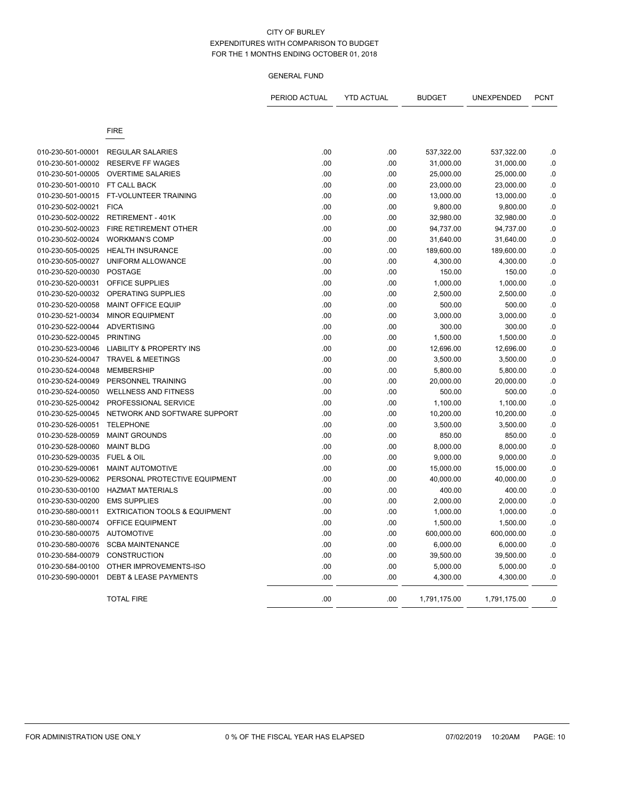| <b>FIRE</b><br>.00<br>010-230-501-00001<br><b>REGULAR SALARIES</b><br>.00<br>537,322.00<br>537,322.00<br>010-230-501-00002<br><b>RESERVE FF WAGES</b><br>.00<br>.00<br>31,000.00<br>31,000.00<br>.00<br>010-230-501-00005<br><b>OVERTIME SALARIES</b><br>.00<br>25,000.00<br>25,000.00<br>010-230-501-00010<br>FT CALL BACK<br>.00<br>23,000.00<br>23,000.00<br>.00<br>010-230-501-00015<br>FT-VOLUNTEER TRAINING<br>.00<br>.00<br>13,000.00<br>13,000.00<br><b>FICA</b><br>010-230-502-00021<br>.00<br>.00<br>9,800.00<br>9,800.00<br>010-230-502-00022<br><b>RETIREMENT - 401K</b><br>.00<br>.00<br>32,980.00<br>32,980.00<br>010-230-502-00023<br>FIRE RETIREMENT OTHER<br>.00<br>.00<br>94,737.00<br>94,737.00<br>010-230-502-00024<br><b>WORKMAN'S COMP</b><br>.00<br>.00<br>31,640.00<br>31,640.00<br>010-230-505-00025<br><b>HEALTH INSURANCE</b><br>.00<br>.00<br>189,600.00<br>189,600.00<br>010-230-505-00027<br>UNIFORM ALLOWANCE<br>.00<br>.00<br>4,300.00<br>4,300.00<br>010-230-520-00030<br>.00<br>.00<br><b>POSTAGE</b><br>150.00<br>150.00<br>010-230-520-00031<br><b>OFFICE SUPPLIES</b><br>.00<br>.00<br>1,000.00<br>1,000.00<br>010-230-520-00032<br><b>OPERATING SUPPLIES</b><br>.00<br>.00<br>2,500.00<br>2,500.00<br>010-230-520-00058<br><b>MAINT OFFICE EQUIP</b><br>.00<br>.00<br>500.00<br>500.00<br>010-230-521-00034<br><b>MINOR EQUIPMENT</b><br>.00<br>.00<br>3,000.00<br>3,000.00<br>010-230-522-00044<br><b>ADVERTISING</b><br>.00<br>.00<br>300.00<br>300.00<br>010-230-522-00045<br><b>PRINTING</b><br>.00<br>.00<br>1,500.00<br>1,500.00<br>010-230-523-00046<br><b>LIABILITY &amp; PROPERTY INS</b><br>.00<br>.00<br>12,696.00<br>12,696.00<br>010-230-524-00047<br><b>TRAVEL &amp; MEETINGS</b><br>.00<br>.00<br>3,500.00<br>3,500.00<br><b>MEMBERSHIP</b><br>010-230-524-00048<br>.00<br>.00<br>5,800.00<br>5,800.00<br>010-230-524-00049<br>PERSONNEL TRAINING<br>.00<br>.00<br>20,000.00<br>20,000.00<br><b>WELLNESS AND FITNESS</b><br>.00<br>.00<br>500.00<br>010-230-524-00050<br>500.00<br>010-230-525-00042<br>PROFESSIONAL SERVICE<br>.00<br>.00<br>1,100.00<br>1,100.00<br>010-230-525-00045<br>NETWORK AND SOFTWARE SUPPORT<br>.00<br>.00<br>10,200.00<br>10,200.00<br>010-230-526-00051<br><b>TELEPHONE</b><br>.00<br>.00<br>3,500.00<br>3,500.00<br>010-230-528-00059<br><b>MAINT GROUNDS</b><br>.00<br>.00<br>850.00<br>850.00<br>.00<br>8,000.00<br>010-230-528-00060<br><b>MAINT BLDG</b><br>.00<br>8,000.00<br>010-230-529-00035<br>FUEL & OIL<br>.00<br>.00<br>9,000.00<br>9,000.00<br>010-230-529-00061<br>.00<br><b>MAINT AUTOMOTIVE</b><br>.00<br>15,000.00<br>15,000.00<br>010-230-529-00062<br>PERSONAL PROTECTIVE EQUIPMENT<br>.00<br>.00<br>40,000.00<br>40,000.00<br>010-230-530-00100<br><b>HAZMAT MATERIALS</b><br>.00<br>.00<br>400.00<br>400.00<br>010-230-530-00200<br><b>EMS SUPPLIES</b><br>.00<br>.00<br>2,000.00<br>2,000.00<br>010-230-580-00011<br><b>EXTRICATION TOOLS &amp; EQUIPMENT</b><br>.00<br>.00<br>1,000.00<br>1,000.00<br>010-230-580-00074<br>OFFICE EQUIPMENT<br>.00<br>.00<br>1,500.00<br>1,500.00<br>010-230-580-00075<br><b>AUTOMOTIVE</b><br>.00<br>.00<br>600,000.00<br>600,000.00<br>010-230-580-00076<br><b>SCBA MAINTENANCE</b><br>.00<br>.00<br>6,000.00<br>6,000.00 | <b>PCNT</b> |
|-----------------------------------------------------------------------------------------------------------------------------------------------------------------------------------------------------------------------------------------------------------------------------------------------------------------------------------------------------------------------------------------------------------------------------------------------------------------------------------------------------------------------------------------------------------------------------------------------------------------------------------------------------------------------------------------------------------------------------------------------------------------------------------------------------------------------------------------------------------------------------------------------------------------------------------------------------------------------------------------------------------------------------------------------------------------------------------------------------------------------------------------------------------------------------------------------------------------------------------------------------------------------------------------------------------------------------------------------------------------------------------------------------------------------------------------------------------------------------------------------------------------------------------------------------------------------------------------------------------------------------------------------------------------------------------------------------------------------------------------------------------------------------------------------------------------------------------------------------------------------------------------------------------------------------------------------------------------------------------------------------------------------------------------------------------------------------------------------------------------------------------------------------------------------------------------------------------------------------------------------------------------------------------------------------------------------------------------------------------------------------------------------------------------------------------------------------------------------------------------------------------------------------------------------------------------------------------------------------------------------------------------------------------------------------------------------------------------------------------------------------------------------------------------------------------------------------------------------------------------------------------------------------------------------------------------------------------------------------------------------------------------------------------------------------------------------------------------------------------------------------------------------------------------------------------------------------------------------------------------------------------------------|-------------|
|                                                                                                                                                                                                                                                                                                                                                                                                                                                                                                                                                                                                                                                                                                                                                                                                                                                                                                                                                                                                                                                                                                                                                                                                                                                                                                                                                                                                                                                                                                                                                                                                                                                                                                                                                                                                                                                                                                                                                                                                                                                                                                                                                                                                                                                                                                                                                                                                                                                                                                                                                                                                                                                                                                                                                                                                                                                                                                                                                                                                                                                                                                                                                                                                                                                                       |             |
|                                                                                                                                                                                                                                                                                                                                                                                                                                                                                                                                                                                                                                                                                                                                                                                                                                                                                                                                                                                                                                                                                                                                                                                                                                                                                                                                                                                                                                                                                                                                                                                                                                                                                                                                                                                                                                                                                                                                                                                                                                                                                                                                                                                                                                                                                                                                                                                                                                                                                                                                                                                                                                                                                                                                                                                                                                                                                                                                                                                                                                                                                                                                                                                                                                                                       |             |
|                                                                                                                                                                                                                                                                                                                                                                                                                                                                                                                                                                                                                                                                                                                                                                                                                                                                                                                                                                                                                                                                                                                                                                                                                                                                                                                                                                                                                                                                                                                                                                                                                                                                                                                                                                                                                                                                                                                                                                                                                                                                                                                                                                                                                                                                                                                                                                                                                                                                                                                                                                                                                                                                                                                                                                                                                                                                                                                                                                                                                                                                                                                                                                                                                                                                       | .0          |
|                                                                                                                                                                                                                                                                                                                                                                                                                                                                                                                                                                                                                                                                                                                                                                                                                                                                                                                                                                                                                                                                                                                                                                                                                                                                                                                                                                                                                                                                                                                                                                                                                                                                                                                                                                                                                                                                                                                                                                                                                                                                                                                                                                                                                                                                                                                                                                                                                                                                                                                                                                                                                                                                                                                                                                                                                                                                                                                                                                                                                                                                                                                                                                                                                                                                       | $\cdot$ 0   |
|                                                                                                                                                                                                                                                                                                                                                                                                                                                                                                                                                                                                                                                                                                                                                                                                                                                                                                                                                                                                                                                                                                                                                                                                                                                                                                                                                                                                                                                                                                                                                                                                                                                                                                                                                                                                                                                                                                                                                                                                                                                                                                                                                                                                                                                                                                                                                                                                                                                                                                                                                                                                                                                                                                                                                                                                                                                                                                                                                                                                                                                                                                                                                                                                                                                                       | 0.          |
|                                                                                                                                                                                                                                                                                                                                                                                                                                                                                                                                                                                                                                                                                                                                                                                                                                                                                                                                                                                                                                                                                                                                                                                                                                                                                                                                                                                                                                                                                                                                                                                                                                                                                                                                                                                                                                                                                                                                                                                                                                                                                                                                                                                                                                                                                                                                                                                                                                                                                                                                                                                                                                                                                                                                                                                                                                                                                                                                                                                                                                                                                                                                                                                                                                                                       | .0          |
|                                                                                                                                                                                                                                                                                                                                                                                                                                                                                                                                                                                                                                                                                                                                                                                                                                                                                                                                                                                                                                                                                                                                                                                                                                                                                                                                                                                                                                                                                                                                                                                                                                                                                                                                                                                                                                                                                                                                                                                                                                                                                                                                                                                                                                                                                                                                                                                                                                                                                                                                                                                                                                                                                                                                                                                                                                                                                                                                                                                                                                                                                                                                                                                                                                                                       | 0.          |
|                                                                                                                                                                                                                                                                                                                                                                                                                                                                                                                                                                                                                                                                                                                                                                                                                                                                                                                                                                                                                                                                                                                                                                                                                                                                                                                                                                                                                                                                                                                                                                                                                                                                                                                                                                                                                                                                                                                                                                                                                                                                                                                                                                                                                                                                                                                                                                                                                                                                                                                                                                                                                                                                                                                                                                                                                                                                                                                                                                                                                                                                                                                                                                                                                                                                       | $\cdot$ 0   |
|                                                                                                                                                                                                                                                                                                                                                                                                                                                                                                                                                                                                                                                                                                                                                                                                                                                                                                                                                                                                                                                                                                                                                                                                                                                                                                                                                                                                                                                                                                                                                                                                                                                                                                                                                                                                                                                                                                                                                                                                                                                                                                                                                                                                                                                                                                                                                                                                                                                                                                                                                                                                                                                                                                                                                                                                                                                                                                                                                                                                                                                                                                                                                                                                                                                                       | .0          |
|                                                                                                                                                                                                                                                                                                                                                                                                                                                                                                                                                                                                                                                                                                                                                                                                                                                                                                                                                                                                                                                                                                                                                                                                                                                                                                                                                                                                                                                                                                                                                                                                                                                                                                                                                                                                                                                                                                                                                                                                                                                                                                                                                                                                                                                                                                                                                                                                                                                                                                                                                                                                                                                                                                                                                                                                                                                                                                                                                                                                                                                                                                                                                                                                                                                                       | $\cdot$ 0   |
|                                                                                                                                                                                                                                                                                                                                                                                                                                                                                                                                                                                                                                                                                                                                                                                                                                                                                                                                                                                                                                                                                                                                                                                                                                                                                                                                                                                                                                                                                                                                                                                                                                                                                                                                                                                                                                                                                                                                                                                                                                                                                                                                                                                                                                                                                                                                                                                                                                                                                                                                                                                                                                                                                                                                                                                                                                                                                                                                                                                                                                                                                                                                                                                                                                                                       | 0.          |
|                                                                                                                                                                                                                                                                                                                                                                                                                                                                                                                                                                                                                                                                                                                                                                                                                                                                                                                                                                                                                                                                                                                                                                                                                                                                                                                                                                                                                                                                                                                                                                                                                                                                                                                                                                                                                                                                                                                                                                                                                                                                                                                                                                                                                                                                                                                                                                                                                                                                                                                                                                                                                                                                                                                                                                                                                                                                                                                                                                                                                                                                                                                                                                                                                                                                       | $\cdot$ 0   |
|                                                                                                                                                                                                                                                                                                                                                                                                                                                                                                                                                                                                                                                                                                                                                                                                                                                                                                                                                                                                                                                                                                                                                                                                                                                                                                                                                                                                                                                                                                                                                                                                                                                                                                                                                                                                                                                                                                                                                                                                                                                                                                                                                                                                                                                                                                                                                                                                                                                                                                                                                                                                                                                                                                                                                                                                                                                                                                                                                                                                                                                                                                                                                                                                                                                                       | $\cdot$ 0   |
|                                                                                                                                                                                                                                                                                                                                                                                                                                                                                                                                                                                                                                                                                                                                                                                                                                                                                                                                                                                                                                                                                                                                                                                                                                                                                                                                                                                                                                                                                                                                                                                                                                                                                                                                                                                                                                                                                                                                                                                                                                                                                                                                                                                                                                                                                                                                                                                                                                                                                                                                                                                                                                                                                                                                                                                                                                                                                                                                                                                                                                                                                                                                                                                                                                                                       | 0.          |
|                                                                                                                                                                                                                                                                                                                                                                                                                                                                                                                                                                                                                                                                                                                                                                                                                                                                                                                                                                                                                                                                                                                                                                                                                                                                                                                                                                                                                                                                                                                                                                                                                                                                                                                                                                                                                                                                                                                                                                                                                                                                                                                                                                                                                                                                                                                                                                                                                                                                                                                                                                                                                                                                                                                                                                                                                                                                                                                                                                                                                                                                                                                                                                                                                                                                       | $\cdot$ 0   |
|                                                                                                                                                                                                                                                                                                                                                                                                                                                                                                                                                                                                                                                                                                                                                                                                                                                                                                                                                                                                                                                                                                                                                                                                                                                                                                                                                                                                                                                                                                                                                                                                                                                                                                                                                                                                                                                                                                                                                                                                                                                                                                                                                                                                                                                                                                                                                                                                                                                                                                                                                                                                                                                                                                                                                                                                                                                                                                                                                                                                                                                                                                                                                                                                                                                                       | 0.          |
|                                                                                                                                                                                                                                                                                                                                                                                                                                                                                                                                                                                                                                                                                                                                                                                                                                                                                                                                                                                                                                                                                                                                                                                                                                                                                                                                                                                                                                                                                                                                                                                                                                                                                                                                                                                                                                                                                                                                                                                                                                                                                                                                                                                                                                                                                                                                                                                                                                                                                                                                                                                                                                                                                                                                                                                                                                                                                                                                                                                                                                                                                                                                                                                                                                                                       | .0          |
|                                                                                                                                                                                                                                                                                                                                                                                                                                                                                                                                                                                                                                                                                                                                                                                                                                                                                                                                                                                                                                                                                                                                                                                                                                                                                                                                                                                                                                                                                                                                                                                                                                                                                                                                                                                                                                                                                                                                                                                                                                                                                                                                                                                                                                                                                                                                                                                                                                                                                                                                                                                                                                                                                                                                                                                                                                                                                                                                                                                                                                                                                                                                                                                                                                                                       | 0.          |
|                                                                                                                                                                                                                                                                                                                                                                                                                                                                                                                                                                                                                                                                                                                                                                                                                                                                                                                                                                                                                                                                                                                                                                                                                                                                                                                                                                                                                                                                                                                                                                                                                                                                                                                                                                                                                                                                                                                                                                                                                                                                                                                                                                                                                                                                                                                                                                                                                                                                                                                                                                                                                                                                                                                                                                                                                                                                                                                                                                                                                                                                                                                                                                                                                                                                       | 0.          |
|                                                                                                                                                                                                                                                                                                                                                                                                                                                                                                                                                                                                                                                                                                                                                                                                                                                                                                                                                                                                                                                                                                                                                                                                                                                                                                                                                                                                                                                                                                                                                                                                                                                                                                                                                                                                                                                                                                                                                                                                                                                                                                                                                                                                                                                                                                                                                                                                                                                                                                                                                                                                                                                                                                                                                                                                                                                                                                                                                                                                                                                                                                                                                                                                                                                                       | .0          |
|                                                                                                                                                                                                                                                                                                                                                                                                                                                                                                                                                                                                                                                                                                                                                                                                                                                                                                                                                                                                                                                                                                                                                                                                                                                                                                                                                                                                                                                                                                                                                                                                                                                                                                                                                                                                                                                                                                                                                                                                                                                                                                                                                                                                                                                                                                                                                                                                                                                                                                                                                                                                                                                                                                                                                                                                                                                                                                                                                                                                                                                                                                                                                                                                                                                                       | 0.          |
|                                                                                                                                                                                                                                                                                                                                                                                                                                                                                                                                                                                                                                                                                                                                                                                                                                                                                                                                                                                                                                                                                                                                                                                                                                                                                                                                                                                                                                                                                                                                                                                                                                                                                                                                                                                                                                                                                                                                                                                                                                                                                                                                                                                                                                                                                                                                                                                                                                                                                                                                                                                                                                                                                                                                                                                                                                                                                                                                                                                                                                                                                                                                                                                                                                                                       | $0.$        |
|                                                                                                                                                                                                                                                                                                                                                                                                                                                                                                                                                                                                                                                                                                                                                                                                                                                                                                                                                                                                                                                                                                                                                                                                                                                                                                                                                                                                                                                                                                                                                                                                                                                                                                                                                                                                                                                                                                                                                                                                                                                                                                                                                                                                                                                                                                                                                                                                                                                                                                                                                                                                                                                                                                                                                                                                                                                                                                                                                                                                                                                                                                                                                                                                                                                                       | 0.          |
|                                                                                                                                                                                                                                                                                                                                                                                                                                                                                                                                                                                                                                                                                                                                                                                                                                                                                                                                                                                                                                                                                                                                                                                                                                                                                                                                                                                                                                                                                                                                                                                                                                                                                                                                                                                                                                                                                                                                                                                                                                                                                                                                                                                                                                                                                                                                                                                                                                                                                                                                                                                                                                                                                                                                                                                                                                                                                                                                                                                                                                                                                                                                                                                                                                                                       | .0          |
|                                                                                                                                                                                                                                                                                                                                                                                                                                                                                                                                                                                                                                                                                                                                                                                                                                                                                                                                                                                                                                                                                                                                                                                                                                                                                                                                                                                                                                                                                                                                                                                                                                                                                                                                                                                                                                                                                                                                                                                                                                                                                                                                                                                                                                                                                                                                                                                                                                                                                                                                                                                                                                                                                                                                                                                                                                                                                                                                                                                                                                                                                                                                                                                                                                                                       | .0          |
|                                                                                                                                                                                                                                                                                                                                                                                                                                                                                                                                                                                                                                                                                                                                                                                                                                                                                                                                                                                                                                                                                                                                                                                                                                                                                                                                                                                                                                                                                                                                                                                                                                                                                                                                                                                                                                                                                                                                                                                                                                                                                                                                                                                                                                                                                                                                                                                                                                                                                                                                                                                                                                                                                                                                                                                                                                                                                                                                                                                                                                                                                                                                                                                                                                                                       | .0          |
|                                                                                                                                                                                                                                                                                                                                                                                                                                                                                                                                                                                                                                                                                                                                                                                                                                                                                                                                                                                                                                                                                                                                                                                                                                                                                                                                                                                                                                                                                                                                                                                                                                                                                                                                                                                                                                                                                                                                                                                                                                                                                                                                                                                                                                                                                                                                                                                                                                                                                                                                                                                                                                                                                                                                                                                                                                                                                                                                                                                                                                                                                                                                                                                                                                                                       | 0.          |
|                                                                                                                                                                                                                                                                                                                                                                                                                                                                                                                                                                                                                                                                                                                                                                                                                                                                                                                                                                                                                                                                                                                                                                                                                                                                                                                                                                                                                                                                                                                                                                                                                                                                                                                                                                                                                                                                                                                                                                                                                                                                                                                                                                                                                                                                                                                                                                                                                                                                                                                                                                                                                                                                                                                                                                                                                                                                                                                                                                                                                                                                                                                                                                                                                                                                       | 0.          |
|                                                                                                                                                                                                                                                                                                                                                                                                                                                                                                                                                                                                                                                                                                                                                                                                                                                                                                                                                                                                                                                                                                                                                                                                                                                                                                                                                                                                                                                                                                                                                                                                                                                                                                                                                                                                                                                                                                                                                                                                                                                                                                                                                                                                                                                                                                                                                                                                                                                                                                                                                                                                                                                                                                                                                                                                                                                                                                                                                                                                                                                                                                                                                                                                                                                                       | 0.          |
|                                                                                                                                                                                                                                                                                                                                                                                                                                                                                                                                                                                                                                                                                                                                                                                                                                                                                                                                                                                                                                                                                                                                                                                                                                                                                                                                                                                                                                                                                                                                                                                                                                                                                                                                                                                                                                                                                                                                                                                                                                                                                                                                                                                                                                                                                                                                                                                                                                                                                                                                                                                                                                                                                                                                                                                                                                                                                                                                                                                                                                                                                                                                                                                                                                                                       | 0.          |
|                                                                                                                                                                                                                                                                                                                                                                                                                                                                                                                                                                                                                                                                                                                                                                                                                                                                                                                                                                                                                                                                                                                                                                                                                                                                                                                                                                                                                                                                                                                                                                                                                                                                                                                                                                                                                                                                                                                                                                                                                                                                                                                                                                                                                                                                                                                                                                                                                                                                                                                                                                                                                                                                                                                                                                                                                                                                                                                                                                                                                                                                                                                                                                                                                                                                       | .0          |
|                                                                                                                                                                                                                                                                                                                                                                                                                                                                                                                                                                                                                                                                                                                                                                                                                                                                                                                                                                                                                                                                                                                                                                                                                                                                                                                                                                                                                                                                                                                                                                                                                                                                                                                                                                                                                                                                                                                                                                                                                                                                                                                                                                                                                                                                                                                                                                                                                                                                                                                                                                                                                                                                                                                                                                                                                                                                                                                                                                                                                                                                                                                                                                                                                                                                       | .0          |
|                                                                                                                                                                                                                                                                                                                                                                                                                                                                                                                                                                                                                                                                                                                                                                                                                                                                                                                                                                                                                                                                                                                                                                                                                                                                                                                                                                                                                                                                                                                                                                                                                                                                                                                                                                                                                                                                                                                                                                                                                                                                                                                                                                                                                                                                                                                                                                                                                                                                                                                                                                                                                                                                                                                                                                                                                                                                                                                                                                                                                                                                                                                                                                                                                                                                       | 0.          |
|                                                                                                                                                                                                                                                                                                                                                                                                                                                                                                                                                                                                                                                                                                                                                                                                                                                                                                                                                                                                                                                                                                                                                                                                                                                                                                                                                                                                                                                                                                                                                                                                                                                                                                                                                                                                                                                                                                                                                                                                                                                                                                                                                                                                                                                                                                                                                                                                                                                                                                                                                                                                                                                                                                                                                                                                                                                                                                                                                                                                                                                                                                                                                                                                                                                                       | $\cdot$ 0   |
|                                                                                                                                                                                                                                                                                                                                                                                                                                                                                                                                                                                                                                                                                                                                                                                                                                                                                                                                                                                                                                                                                                                                                                                                                                                                                                                                                                                                                                                                                                                                                                                                                                                                                                                                                                                                                                                                                                                                                                                                                                                                                                                                                                                                                                                                                                                                                                                                                                                                                                                                                                                                                                                                                                                                                                                                                                                                                                                                                                                                                                                                                                                                                                                                                                                                       | .0          |
|                                                                                                                                                                                                                                                                                                                                                                                                                                                                                                                                                                                                                                                                                                                                                                                                                                                                                                                                                                                                                                                                                                                                                                                                                                                                                                                                                                                                                                                                                                                                                                                                                                                                                                                                                                                                                                                                                                                                                                                                                                                                                                                                                                                                                                                                                                                                                                                                                                                                                                                                                                                                                                                                                                                                                                                                                                                                                                                                                                                                                                                                                                                                                                                                                                                                       | 0.          |
|                                                                                                                                                                                                                                                                                                                                                                                                                                                                                                                                                                                                                                                                                                                                                                                                                                                                                                                                                                                                                                                                                                                                                                                                                                                                                                                                                                                                                                                                                                                                                                                                                                                                                                                                                                                                                                                                                                                                                                                                                                                                                                                                                                                                                                                                                                                                                                                                                                                                                                                                                                                                                                                                                                                                                                                                                                                                                                                                                                                                                                                                                                                                                                                                                                                                       | $\cdot$ 0   |
|                                                                                                                                                                                                                                                                                                                                                                                                                                                                                                                                                                                                                                                                                                                                                                                                                                                                                                                                                                                                                                                                                                                                                                                                                                                                                                                                                                                                                                                                                                                                                                                                                                                                                                                                                                                                                                                                                                                                                                                                                                                                                                                                                                                                                                                                                                                                                                                                                                                                                                                                                                                                                                                                                                                                                                                                                                                                                                                                                                                                                                                                                                                                                                                                                                                                       | 0.          |
|                                                                                                                                                                                                                                                                                                                                                                                                                                                                                                                                                                                                                                                                                                                                                                                                                                                                                                                                                                                                                                                                                                                                                                                                                                                                                                                                                                                                                                                                                                                                                                                                                                                                                                                                                                                                                                                                                                                                                                                                                                                                                                                                                                                                                                                                                                                                                                                                                                                                                                                                                                                                                                                                                                                                                                                                                                                                                                                                                                                                                                                                                                                                                                                                                                                                       | .0          |
| 010-230-584-00079<br><b>CONSTRUCTION</b><br>.00<br>.00<br>39,500.00<br>39,500.00                                                                                                                                                                                                                                                                                                                                                                                                                                                                                                                                                                                                                                                                                                                                                                                                                                                                                                                                                                                                                                                                                                                                                                                                                                                                                                                                                                                                                                                                                                                                                                                                                                                                                                                                                                                                                                                                                                                                                                                                                                                                                                                                                                                                                                                                                                                                                                                                                                                                                                                                                                                                                                                                                                                                                                                                                                                                                                                                                                                                                                                                                                                                                                                      | .0          |
| .00<br>010-230-584-00100<br>OTHER IMPROVEMENTS-ISO<br>.00<br>5,000.00<br>5,000.00                                                                                                                                                                                                                                                                                                                                                                                                                                                                                                                                                                                                                                                                                                                                                                                                                                                                                                                                                                                                                                                                                                                                                                                                                                                                                                                                                                                                                                                                                                                                                                                                                                                                                                                                                                                                                                                                                                                                                                                                                                                                                                                                                                                                                                                                                                                                                                                                                                                                                                                                                                                                                                                                                                                                                                                                                                                                                                                                                                                                                                                                                                                                                                                     | .0          |
| 010-230-590-00001<br><b>DEBT &amp; LEASE PAYMENTS</b><br>.00<br>.00<br>4,300.00<br>4,300.00                                                                                                                                                                                                                                                                                                                                                                                                                                                                                                                                                                                                                                                                                                                                                                                                                                                                                                                                                                                                                                                                                                                                                                                                                                                                                                                                                                                                                                                                                                                                                                                                                                                                                                                                                                                                                                                                                                                                                                                                                                                                                                                                                                                                                                                                                                                                                                                                                                                                                                                                                                                                                                                                                                                                                                                                                                                                                                                                                                                                                                                                                                                                                                           | 0.          |
| <b>TOTAL FIRE</b><br>.00<br>.00<br>1,791,175.00<br>1,791,175.00                                                                                                                                                                                                                                                                                                                                                                                                                                                                                                                                                                                                                                                                                                                                                                                                                                                                                                                                                                                                                                                                                                                                                                                                                                                                                                                                                                                                                                                                                                                                                                                                                                                                                                                                                                                                                                                                                                                                                                                                                                                                                                                                                                                                                                                                                                                                                                                                                                                                                                                                                                                                                                                                                                                                                                                                                                                                                                                                                                                                                                                                                                                                                                                                       | .0          |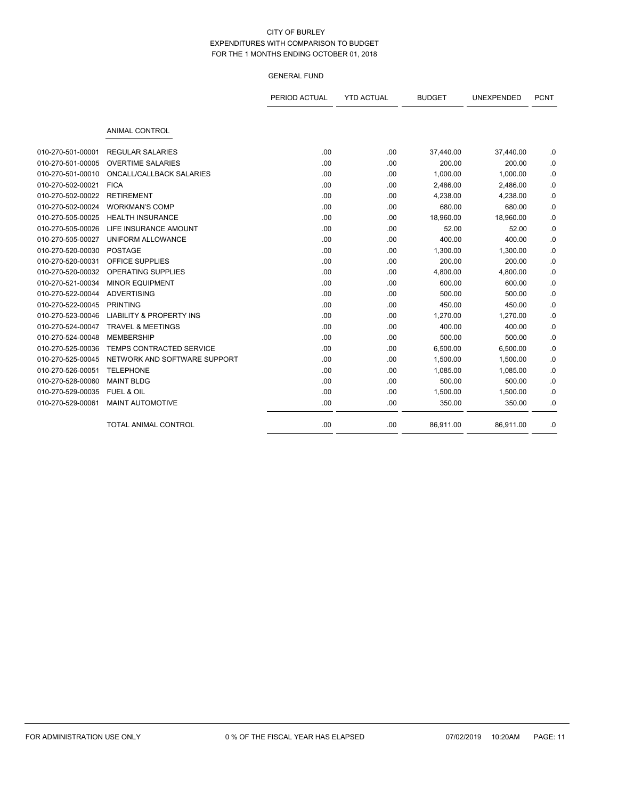|                   |                                     | PERIOD ACTUAL | <b>YTD ACTUAL</b> | <b>BUDGET</b> | UNEXPENDED | <b>PCNT</b> |
|-------------------|-------------------------------------|---------------|-------------------|---------------|------------|-------------|
|                   | <b>ANIMAL CONTROL</b>               |               |                   |               |            |             |
| 010-270-501-00001 | <b>REGULAR SALARIES</b>             | .00           | .00               | 37,440.00     | 37,440.00  | .0          |
| 010-270-501-00005 | <b>OVERTIME SALARIES</b>            | .00           | .00               | 200.00        | 200.00     | .0          |
| 010-270-501-00010 | <b>ONCALL/CALLBACK SALARIES</b>     | .00           | .00               | 1,000.00      | 1,000.00   | .0          |
| 010-270-502-00021 | <b>FICA</b>                         | .00           | .00               | 2,486.00      | 2,486.00   | .0          |
| 010-270-502-00022 | <b>RETIREMENT</b>                   | .00           | .00               | 4,238.00      | 4,238.00   | .0          |
| 010-270-502-00024 | <b>WORKMAN'S COMP</b>               | .00           | .00               | 680.00        | 680.00     | .0          |
| 010-270-505-00025 | <b>HEALTH INSURANCE</b>             | .00           | .00               | 18,960.00     | 18,960.00  | .0          |
| 010-270-505-00026 | LIFE INSURANCE AMOUNT               | .00           | .00               | 52.00         | 52.00      | .0          |
| 010-270-505-00027 | UNIFORM ALLOWANCE                   | .00           | .00               | 400.00        | 400.00     | .0          |
| 010-270-520-00030 | <b>POSTAGE</b>                      | .00           | .00               | 1,300.00      | 1,300.00   | .0          |
| 010-270-520-00031 | OFFICE SUPPLIES                     | .00           | .00               | 200.00        | 200.00     | .0          |
| 010-270-520-00032 | <b>OPERATING SUPPLIES</b>           | .00           | .00               | 4,800.00      | 4,800.00   | .0          |
| 010-270-521-00034 | <b>MINOR EQUIPMENT</b>              | .00           | .00               | 600.00        | 600.00     | .0          |
| 010-270-522-00044 | <b>ADVERTISING</b>                  | .00           | .00               | 500.00        | 500.00     | .0          |
| 010-270-522-00045 | <b>PRINTING</b>                     | .00           | .00               | 450.00        | 450.00     | .0          |
| 010-270-523-00046 | <b>LIABILITY &amp; PROPERTY INS</b> | .00           | .00               | 1,270.00      | 1,270.00   | .0          |
| 010-270-524-00047 | <b>TRAVEL &amp; MEETINGS</b>        | .00           | .00               | 400.00        | 400.00     | .0          |
| 010-270-524-00048 | <b>MEMBERSHIP</b>                   | .00           | .00               | 500.00        | 500.00     | .0          |
| 010-270-525-00036 | TEMPS CONTRACTED SERVICE            | .00           | .00               | 6,500.00      | 6,500.00   | .0          |
| 010-270-525-00045 | NETWORK AND SOFTWARE SUPPORT        | .00           | .00               | 1,500.00      | 1,500.00   | .0          |
| 010-270-526-00051 | <b>TELEPHONE</b>                    | .00           | .00               | 1,085.00      | 1,085.00   | .0          |
| 010-270-528-00060 | <b>MAINT BLDG</b>                   | .00           | .00               | 500.00        | 500.00     | .0          |
| 010-270-529-00035 | FUEL & OIL                          | .00           | .00               | 1,500.00      | 1,500.00   | .0          |
| 010-270-529-00061 | MAINT AUTOMOTIVE                    | .00           | .00               | 350.00        | 350.00     | .0          |
|                   | <b>TOTAL ANIMAL CONTROL</b>         | .00           | .00               | 86,911.00     | 86,911.00  | .0          |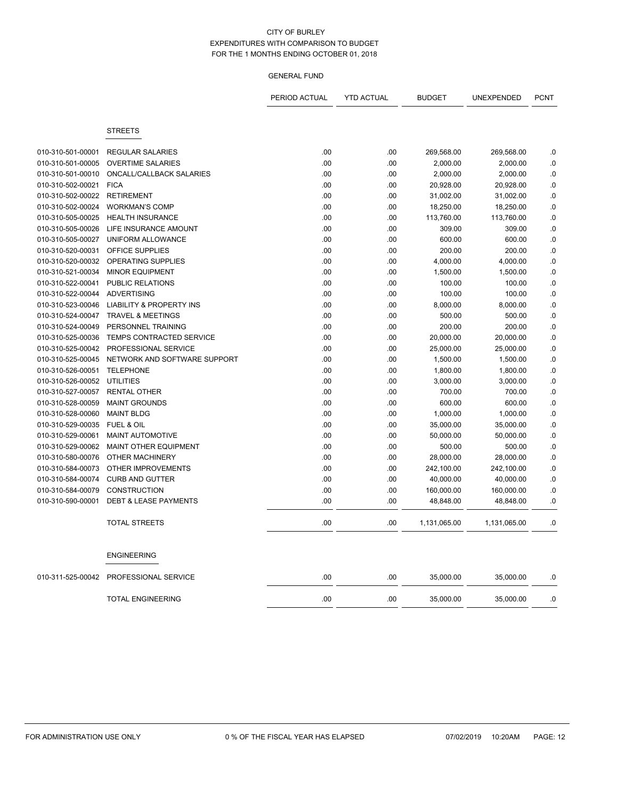|                                        |                                     | PERIOD ACTUAL | <b>YTD ACTUAL</b> | <b>BUDGET</b>          | UNEXPENDED             | <b>PCNT</b> |
|----------------------------------------|-------------------------------------|---------------|-------------------|------------------------|------------------------|-------------|
|                                        | <b>STREETS</b>                      |               |                   |                        |                        |             |
|                                        | <b>REGULAR SALARIES</b>             | .00           | .00               |                        |                        |             |
| 010-310-501-00001<br>010-310-501-00005 | <b>OVERTIME SALARIES</b>            | .00           | .00               | 269,568.00<br>2,000.00 | 269,568.00<br>2,000.00 | .0<br>.0    |
| 010-310-501-00010                      | ONCALL/CALLBACK SALARIES            | .00           | .00               | 2,000.00               | 2,000.00               | .0          |
| 010-310-502-00021                      | <b>FICA</b>                         | .00           | .00               | 20,928.00              | 20,928.00              | .0          |
| 010-310-502-00022                      | <b>RETIREMENT</b>                   | .00           | .00               | 31,002.00              | 31,002.00              | .0          |
| 010-310-502-00024                      | <b>WORKMAN'S COMP</b>               | .00           | .00               | 18,250.00              | 18,250.00              | .0          |
| 010-310-505-00025                      | <b>HEALTH INSURANCE</b>             | .00           | .00               | 113,760.00             | 113,760.00             | .0          |
| 010-310-505-00026                      | LIFE INSURANCE AMOUNT               | .00           | .00               | 309.00                 | 309.00                 | .0          |
| 010-310-505-00027                      | UNIFORM ALLOWANCE                   | .00           | .00               | 600.00                 | 600.00                 | .0          |
| 010-310-520-00031                      | OFFICE SUPPLIES                     | .00           | .00               | 200.00                 | 200.00                 | .0          |
| 010-310-520-00032                      | <b>OPERATING SUPPLIES</b>           | .00           | .00               | 4,000.00               | 4,000.00               | .0          |
| 010-310-521-00034                      | <b>MINOR EQUIPMENT</b>              | .00           | .00               | 1,500.00               | 1,500.00               | .0          |
| 010-310-522-00041                      | PUBLIC RELATIONS                    | .00           | .00               | 100.00                 | 100.00                 | .0          |
| 010-310-522-00044                      | <b>ADVERTISING</b>                  | .00           | .00               | 100.00                 | 100.00                 | .0          |
| 010-310-523-00046                      | <b>LIABILITY &amp; PROPERTY INS</b> | .00           | .00               | 8,000.00               | 8,000.00               | .0          |
| 010-310-524-00047                      | <b>TRAVEL &amp; MEETINGS</b>        | .00           | .00               | 500.00                 | 500.00                 | .0          |
| 010-310-524-00049                      | PERSONNEL TRAINING                  | .00           | .00               | 200.00                 | 200.00                 | .0          |
| 010-310-525-00036                      | TEMPS CONTRACTED SERVICE            | .00           | .00               | 20,000.00              | 20,000.00              | .0          |
| 010-310-525-00042                      | PROFESSIONAL SERVICE                | .00           | .00               | 25,000.00              | 25,000.00              | .0          |
| 010-310-525-00045                      | NETWORK AND SOFTWARE SUPPORT        | .00           | .00               | 1,500.00               | 1,500.00               | .0          |
| 010-310-526-00051                      | <b>TELEPHONE</b>                    | .00           | .00               | 1,800.00               | 1,800.00               | .0          |
| 010-310-526-00052                      | <b>UTILITIES</b>                    | .00           | .00               | 3,000.00               | 3,000.00               | .0          |
| 010-310-527-00057                      | <b>RENTAL OTHER</b>                 | .00           | .00               | 700.00                 | 700.00                 | .0          |
| 010-310-528-00059                      | <b>MAINT GROUNDS</b>                | .00           | .00               | 600.00                 | 600.00                 | 0.0         |
| 010-310-528-00060                      | <b>MAINT BLDG</b>                   | .00           | .00               | 1,000.00               | 1,000.00               | .0          |
| 010-310-529-00035                      | <b>FUEL &amp; OIL</b>               | .00           | .00               | 35,000.00              | 35,000.00              | .0          |
| 010-310-529-00061                      | <b>MAINT AUTOMOTIVE</b>             | .00           | .00               | 50,000.00              | 50,000.00              | .0          |
| 010-310-529-00062                      | <b>MAINT OTHER EQUIPMENT</b>        | .00           | .00               | 500.00                 | 500.00                 | .0          |
| 010-310-580-00076                      | <b>OTHER MACHINERY</b>              | .00           | .00               | 28,000.00              | 28,000.00              | .0          |
| 010-310-584-00073                      | OTHER IMPROVEMENTS                  | .00           | .00               | 242,100.00             | 242,100.00             | .0          |
| 010-310-584-00074                      | <b>CURB AND GUTTER</b>              | .00           | .00               | 40,000.00              | 40,000.00              | .0          |
| 010-310-584-00079                      | <b>CONSTRUCTION</b>                 | .00           | .00               | 160,000.00             | 160,000.00             | .0          |
| 010-310-590-00001                      | <b>DEBT &amp; LEASE PAYMENTS</b>    | .00           | .00               | 48,848.00              | 48,848.00              | .0          |
|                                        | <b>TOTAL STREETS</b>                | .00           | .00               | 1,131,065.00           | 1,131,065.00           | .0          |
|                                        | <b>ENGINEERING</b>                  |               |                   |                        |                        |             |
| 010-311-525-00042                      | PROFESSIONAL SERVICE                | .00           | .00               | 35,000.00              | 35,000.00              | .0          |
|                                        | <b>TOTAL ENGINEERING</b>            | .00           | .00               | 35,000.00              | 35,000.00              | .0          |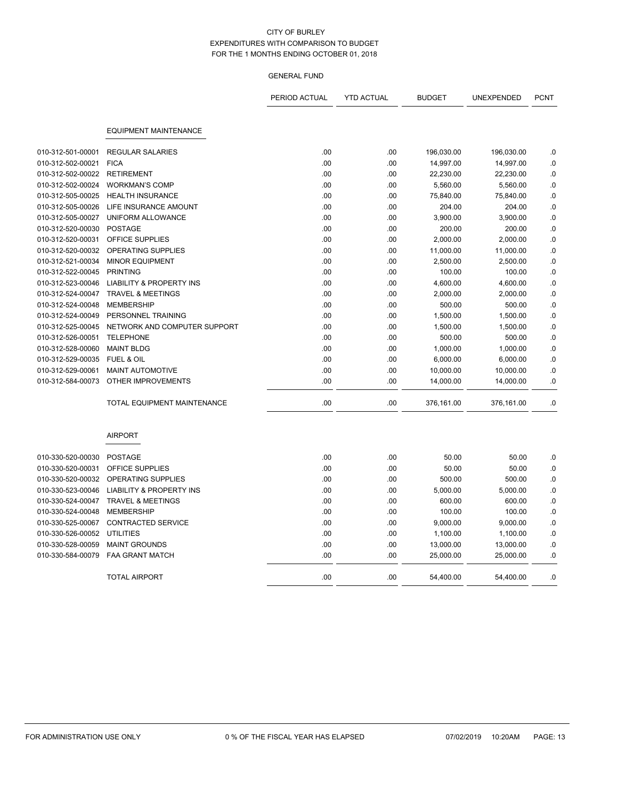|                   |                                     | PERIOD ACTUAL | <b>YTD ACTUAL</b> | <b>BUDGET</b> | <b>UNEXPENDED</b> | <b>PCNT</b> |
|-------------------|-------------------------------------|---------------|-------------------|---------------|-------------------|-------------|
|                   |                                     |               |                   |               |                   |             |
|                   | <b>EQUIPMENT MAINTENANCE</b>        |               |                   |               |                   |             |
| 010-312-501-00001 | <b>REGULAR SALARIES</b>             | .00           | .00               | 196,030.00    | 196,030.00        | .0          |
| 010-312-502-00021 | <b>FICA</b>                         | .00.          | .00               | 14,997.00     | 14,997.00         | 0.          |
| 010-312-502-00022 | <b>RETIREMENT</b>                   | .00           | .00               | 22,230.00     | 22,230.00         | .0          |
| 010-312-502-00024 | <b>WORKMAN'S COMP</b>               | .00           | .00               | 5,560.00      | 5,560.00          | .0          |
| 010-312-505-00025 | <b>HEALTH INSURANCE</b>             | .00           | .00               | 75,840.00     | 75,840.00         | $\cdot$ 0   |
| 010-312-505-00026 | LIFE INSURANCE AMOUNT               | .00           | .00               | 204.00        | 204.00            | .0          |
| 010-312-505-00027 | UNIFORM ALLOWANCE                   | .00           | .00               | 3,900.00      | 3,900.00          | .0          |
| 010-312-520-00030 | <b>POSTAGE</b>                      | .00           | .00               | 200.00        | 200.00            | .0          |
| 010-312-520-00031 | OFFICE SUPPLIES                     | .00           | .00               | 2,000.00      | 2,000.00          | .0          |
| 010-312-520-00032 | OPERATING SUPPLIES                  | .00           | .00               | 11,000.00     | 11,000.00         | .0          |
| 010-312-521-00034 | <b>MINOR EQUIPMENT</b>              | .00           | .00               | 2,500.00      | 2,500.00          | .0          |
| 010-312-522-00045 | <b>PRINTING</b>                     | .00           | .00               | 100.00        | 100.00            | $\cdot$ 0   |
| 010-312-523-00046 | LIABILITY & PROPERTY INS            | .00           | .00               | 4,600.00      | 4,600.00          | .0          |
| 010-312-524-00047 | <b>TRAVEL &amp; MEETINGS</b>        | .00           | .00               | 2,000.00      | 2,000.00          | .0          |
| 010-312-524-00048 | <b>MEMBERSHIP</b>                   | .00           | .00               | 500.00        | 500.00            | .0          |
| 010-312-524-00049 | PERSONNEL TRAINING                  | .00           | .00               | 1,500.00      | 1,500.00          | .0          |
| 010-312-525-00045 | NETWORK AND COMPUTER SUPPORT        | .00           | .00               | 1,500.00      | 1,500.00          | .0          |
| 010-312-526-00051 | <b>TELEPHONE</b>                    | .00           | .00               | 500.00        | 500.00            | .0          |
| 010-312-528-00060 | <b>MAINT BLDG</b>                   | .00           | .00               | 1,000.00      | 1,000.00          | .0          |
| 010-312-529-00035 | <b>FUEL &amp; OIL</b>               | .00           | .00               | 6,000.00      | 6,000.00          | .0          |
| 010-312-529-00061 | <b>MAINT AUTOMOTIVE</b>             | .00           | .00               | 10,000.00     | 10,000.00         | .0          |
| 010-312-584-00073 | OTHER IMPROVEMENTS                  | .00           | .00               | 14,000.00     | 14,000.00         | .0          |
|                   | <b>TOTAL EQUIPMENT MAINTENANCE</b>  | .00           | .00               | 376,161.00    | 376,161.00        | .0          |
|                   | <b>AIRPORT</b>                      |               |                   |               |                   |             |
| 010-330-520-00030 | <b>POSTAGE</b>                      | .00           | .00               | 50.00         | 50.00             | .0          |
| 010-330-520-00031 | <b>OFFICE SUPPLIES</b>              | .00           | .00               | 50.00         | 50.00             | .0          |
| 010-330-520-00032 | OPERATING SUPPLIES                  | .00           | .00               | 500.00        | 500.00            | .0          |
| 010-330-523-00046 | <b>LIABILITY &amp; PROPERTY INS</b> | .00           | .00               | 5,000.00      | 5,000.00          | .0          |
| 010-330-524-00047 | <b>TRAVEL &amp; MEETINGS</b>        | .00           | .00               | 600.00        | 600.00            | .0          |
| 010-330-524-00048 | <b>MEMBERSHIP</b>                   | .00           | .00               | 100.00        | 100.00            | .0          |
| 010-330-525-00067 | <b>CONTRACTED SERVICE</b>           | .00           | .00               | 9,000.00      | 9,000.00          | .0          |
| 010-330-526-00052 | <b>UTILITIES</b>                    | .00           | .00               | 1,100.00      | 1,100.00          | .0          |
| 010-330-528-00059 | <b>MAINT GROUNDS</b>                | .00           | .00               | 13,000.00     | 13,000.00         | .0          |
| 010-330-584-00079 | <b>FAA GRANT MATCH</b>              | .00           | .00               | 25,000.00     | 25,000.00         | .0          |
|                   | <b>TOTAL AIRPORT</b>                | .00           | .00               | 54,400.00     | 54,400.00         | .0          |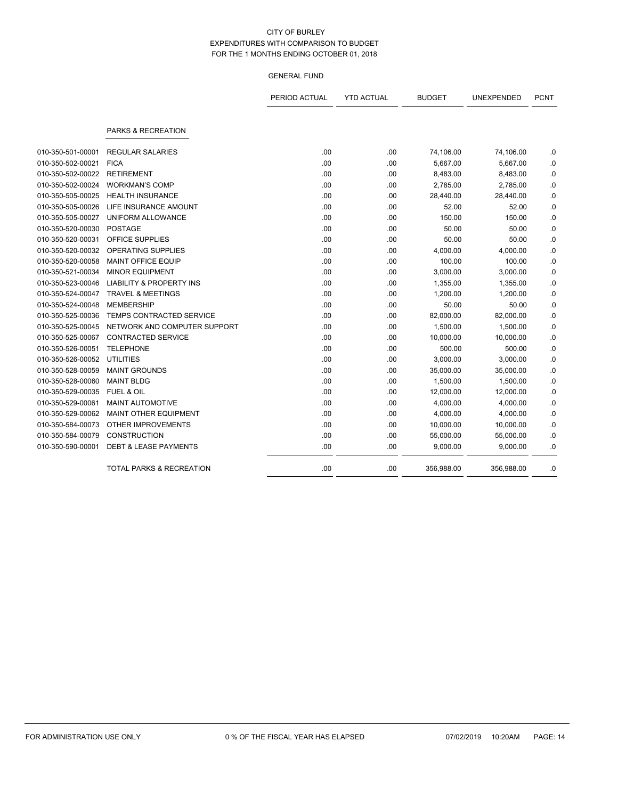|                   |                                     | PERIOD ACTUAL | <b>YTD ACTUAL</b> | <b>BUDGET</b> | UNEXPENDED | <b>PCNT</b> |
|-------------------|-------------------------------------|---------------|-------------------|---------------|------------|-------------|
|                   | PARKS & RECREATION                  |               |                   |               |            |             |
| 010-350-501-00001 | <b>REGULAR SALARIES</b>             | .00           | .00               | 74,106.00     | 74,106.00  | .0          |
| 010-350-502-00021 | <b>FICA</b>                         | .00           | .00               | 5,667.00      | 5,667.00   | .0          |
| 010-350-502-00022 | <b>RETIREMENT</b>                   | .00           | .00               | 8,483.00      | 8,483.00   | .0          |
| 010-350-502-00024 | <b>WORKMAN'S COMP</b>               | .00           | .00               | 2,785.00      | 2,785.00   | .0          |
| 010-350-505-00025 | <b>HEALTH INSURANCE</b>             | .00           | .00               | 28,440.00     | 28,440.00  | 0.0         |
| 010-350-505-00026 | LIFE INSURANCE AMOUNT               | .00           | .00               | 52.00         | 52.00      | .0          |
| 010-350-505-00027 | UNIFORM ALLOWANCE                   | .00           | .00               | 150.00        | 150.00     | .0          |
| 010-350-520-00030 | <b>POSTAGE</b>                      | .00           | .00               | 50.00         | 50.00      | .0          |
| 010-350-520-00031 | OFFICE SUPPLIES                     | .00           | .00               | 50.00         | 50.00      | .0          |
| 010-350-520-00032 | <b>OPERATING SUPPLIES</b>           | .00           | .00               | 4,000.00      | 4,000.00   | .0          |
| 010-350-520-00058 | <b>MAINT OFFICE EQUIP</b>           | .00           | .00               | 100.00        | 100.00     | .0          |
| 010-350-521-00034 | <b>MINOR EQUIPMENT</b>              | .00           | .00               | 3,000.00      | 3,000.00   | .0          |
| 010-350-523-00046 | <b>LIABILITY &amp; PROPERTY INS</b> | .00           | .00               | 1,355.00      | 1,355.00   | .0          |
| 010-350-524-00047 | <b>TRAVEL &amp; MEETINGS</b>        | .00           | .00               | 1,200.00      | 1,200.00   | .0          |
| 010-350-524-00048 | <b>MEMBERSHIP</b>                   | .00           | .00               | 50.00         | 50.00      | .0          |
| 010-350-525-00036 | <b>TEMPS CONTRACTED SERVICE</b>     | .00           | .00               | 82,000.00     | 82,000.00  | .0          |
| 010-350-525-00045 | NETWORK AND COMPUTER SUPPORT        | .00           | .00               | 1,500.00      | 1,500.00   | 0.          |
| 010-350-525-00067 | <b>CONTRACTED SERVICE</b>           | .00           | .00               | 10,000.00     | 10,000.00  | .0          |
| 010-350-526-00051 | <b>TELEPHONE</b>                    | .00           | .00               | 500.00        | 500.00     | .0          |
| 010-350-526-00052 | <b>UTILITIES</b>                    | .00           | .00               | 3,000.00      | 3,000.00   | .0          |
| 010-350-528-00059 | <b>MAINT GROUNDS</b>                | .00           | .00               | 35,000.00     | 35,000.00  | 0.0         |
| 010-350-528-00060 | <b>MAINT BLDG</b>                   | .00           | .00               | 1,500.00      | 1,500.00   | .0          |
| 010-350-529-00035 | FUEL & OIL                          | .00           | .00               | 12,000.00     | 12,000.00  | .0          |
| 010-350-529-00061 | <b>MAINT AUTOMOTIVE</b>             | .00           | .00               | 4,000.00      | 4,000.00   | .0          |
| 010-350-529-00062 | MAINT OTHER EQUIPMENT               | .00           | .00               | 4,000.00      | 4,000.00   | .0          |
| 010-350-584-00073 | <b>OTHER IMPROVEMENTS</b>           | .00           | .00               | 10,000.00     | 10,000.00  | .0          |
| 010-350-584-00079 | <b>CONSTRUCTION</b>                 | .00           | .00               | 55,000.00     | 55,000.00  | .0          |
| 010-350-590-00001 | <b>DEBT &amp; LEASE PAYMENTS</b>    | .00           | .00               | 9,000.00      | 9,000.00   | .0          |
|                   | TOTAL PARKS & RECREATION            | .00           | .00               | 356,988.00    | 356,988.00 | .0          |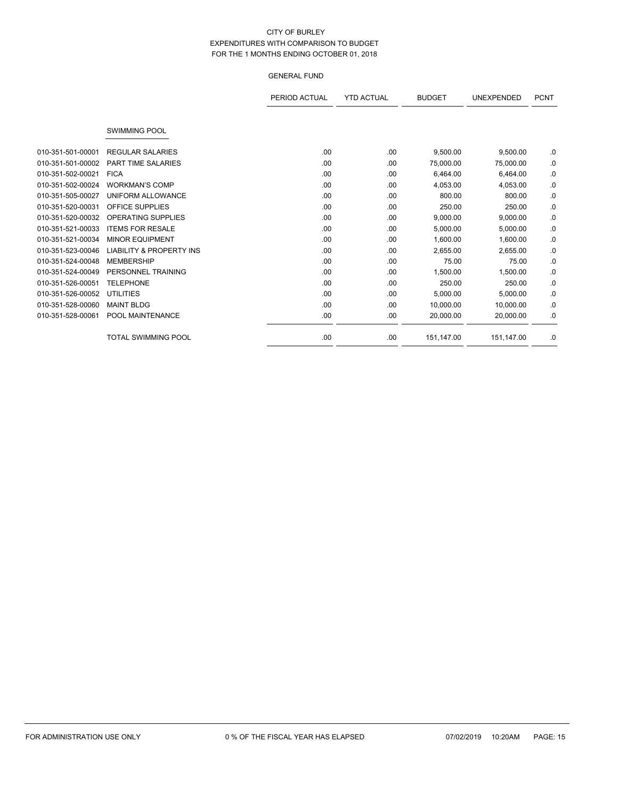|                   |                                     | PERIOD ACTUAL | <b>YTD ACTUAL</b> | <b>BUDGET</b> | <b>UNEXPENDED</b> | <b>PCNT</b> |
|-------------------|-------------------------------------|---------------|-------------------|---------------|-------------------|-------------|
|                   |                                     |               |                   |               |                   |             |
|                   | <b>SWIMMING POOL</b>                |               |                   |               |                   |             |
| 010-351-501-00001 | <b>REGULAR SALARIES</b>             | .00           | .00               | 9,500.00      | 9,500.00          | .0          |
| 010-351-501-00002 | <b>PART TIME SALARIES</b>           | .00           | .00               | 75,000.00     | 75,000.00         | .0          |
| 010-351-502-00021 | <b>FICA</b>                         | .00           | .00               | 6,464.00      | 6,464.00          | .0          |
| 010-351-502-00024 | <b>WORKMAN'S COMP</b>               | .00           | .00               | 4,053.00      | 4,053.00          | .0          |
| 010-351-505-00027 | UNIFORM ALLOWANCE                   | .00.          | .00               | 800.00        | 800.00            | .0          |
| 010-351-520-00031 | OFFICE SUPPLIES                     | .00.          | .00               | 250.00        | 250.00            | .0          |
| 010-351-520-00032 | <b>OPERATING SUPPLIES</b>           | .00           | .00               | 9,000.00      | 9,000.00          | 0.          |
| 010-351-521-00033 | <b>ITEMS FOR RESALE</b>             | .00           | .00               | 5,000.00      | 5,000.00          | .0          |
| 010-351-521-00034 | <b>MINOR EQUIPMENT</b>              | .00           | .00               | 1,600.00      | 1,600.00          | .0          |
| 010-351-523-00046 | <b>LIABILITY &amp; PROPERTY INS</b> | .00           | .00               | 2,655.00      | 2,655.00          | .0          |
| 010-351-524-00048 | <b>MEMBERSHIP</b>                   | .00.          | .00               | 75.00         | 75.00             | .0          |
| 010-351-524-00049 | PERSONNEL TRAINING                  | .00           | .00               | 1,500.00      | 1,500.00          | .0          |
| 010-351-526-00051 | <b>TELEPHONE</b>                    | .00.          | .00               | 250.00        | 250.00            | .0          |
| 010-351-526-00052 | <b>UTILITIES</b>                    | .00.          | .00               | 5,000.00      | 5,000.00          | .0          |
| 010-351-528-00060 | <b>MAINT BLDG</b>                   | .00           | .00               | 10,000.00     | 10.000.00         | .0          |
| 010-351-528-00061 | POOL MAINTENANCE                    | .00           | .00               | 20,000.00     | 20,000.00         | .0          |
|                   | <b>TOTAL SWIMMING POOL</b>          | .00           | .00               | 151,147.00    | 151,147.00        | .0          |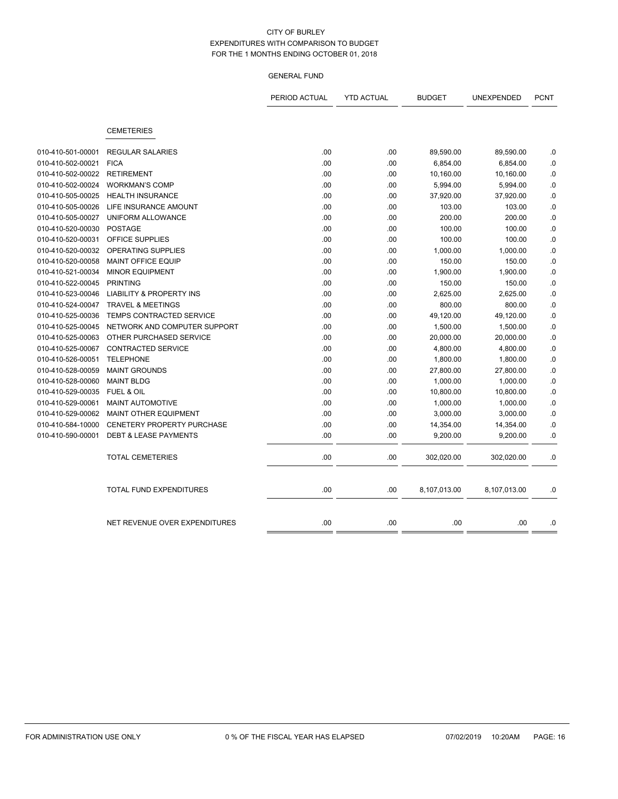|                   |                                        | PERIOD ACTUAL | <b>YTD ACTUAL</b> | <b>BUDGET</b> | UNEXPENDED   | <b>PCNT</b> |
|-------------------|----------------------------------------|---------------|-------------------|---------------|--------------|-------------|
|                   | <b>CEMETERIES</b>                      |               |                   |               |              |             |
|                   |                                        |               |                   |               |              |             |
| 010-410-501-00001 | <b>REGULAR SALARIES</b><br><b>FICA</b> | .00           | .00               | 89,590.00     | 89,590.00    | .0          |
| 010-410-502-00021 |                                        | .00           | .00               | 6,854.00      | 6,854.00     | $.0$        |
| 010-410-502-00022 | <b>RETIREMENT</b>                      | .00           | .00               | 10,160.00     | 10,160.00    | $\cdot$ 0   |
| 010-410-502-00024 | <b>WORKMAN'S COMP</b>                  | .00           | .00               | 5,994.00      | 5,994.00     | $\cdot$ 0   |
| 010-410-505-00025 | <b>HEALTH INSURANCE</b>                | .00           | .00               | 37,920.00     | 37,920.00    | $\cdot$ 0   |
| 010-410-505-00026 | LIFE INSURANCE AMOUNT                  | .00           | .00               | 103.00        | 103.00       | .0          |
| 010-410-505-00027 | UNIFORM ALLOWANCE                      | .00           | .00               | 200.00        | 200.00       | .0          |
| 010-410-520-00030 | <b>POSTAGE</b>                         | .00           | .00               | 100.00        | 100.00       | .0          |
| 010-410-520-00031 | <b>OFFICE SUPPLIES</b>                 | .00           | .00               | 100.00        | 100.00       | .0          |
| 010-410-520-00032 | <b>OPERATING SUPPLIES</b>              | .00           | .00               | 1,000.00      | 1,000.00     | $.0$        |
| 010-410-520-00058 | <b>MAINT OFFICE EQUIP</b>              | .00           | .00               | 150.00        | 150.00       | .0          |
| 010-410-521-00034 | <b>MINOR EQUIPMENT</b>                 | .00           | .00               | 1,900.00      | 1,900.00     | $.0\,$      |
| 010-410-522-00045 | <b>PRINTING</b>                        | .00           | .00               | 150.00        | 150.00       | $\cdot$ 0   |
| 010-410-523-00046 | <b>LIABILITY &amp; PROPERTY INS</b>    | .00           | .00               | 2,625.00      | 2,625.00     | .0          |
| 010-410-524-00047 | <b>TRAVEL &amp; MEETINGS</b>           | .00           | .00               | 800.00        | 800.00       | .0          |
| 010-410-525-00036 | <b>TEMPS CONTRACTED SERVICE</b>        | .00           | .00               | 49,120.00     | 49,120.00    | .0          |
| 010-410-525-00045 | NETWORK AND COMPUTER SUPPORT           | .00           | .00               | 1,500.00      | 1,500.00     | .0          |
| 010-410-525-00063 | OTHER PURCHASED SERVICE                | .00           | .00               | 20,000.00     | 20,000.00    | .0          |
| 010-410-525-00067 | <b>CONTRACTED SERVICE</b>              | .00           | .00               | 4,800.00      | 4,800.00     | $\cdot$ 0   |
| 010-410-526-00051 | <b>TELEPHONE</b>                       | .00           | .00               | 1,800.00      | 1,800.00     | $\cdot$ 0   |
| 010-410-528-00059 | <b>MAINT GROUNDS</b>                   | .00           | .00               | 27,800.00     | 27,800.00    | $\cdot$ 0   |
| 010-410-528-00060 | <b>MAINT BLDG</b>                      | .00           | .00               | 1,000.00      | 1,000.00     | $\cdot$ 0   |
| 010-410-529-00035 | <b>FUEL &amp; OIL</b>                  | .00           | .00               | 10,800.00     | 10,800.00    | .0          |
| 010-410-529-00061 | <b>MAINT AUTOMOTIVE</b>                | .00           | .00               | 1,000.00      | 1,000.00     | $\cdot$ 0   |
| 010-410-529-00062 | <b>MAINT OTHER EQUIPMENT</b>           | .00           | .00               | 3,000.00      | 3,000.00     | .0          |
| 010-410-584-10000 | <b>CENETERY PROPERTY PURCHASE</b>      | .00           | .00               | 14,354.00     | 14,354.00    | .0          |
| 010-410-590-00001 | <b>DEBT &amp; LEASE PAYMENTS</b>       | .00           | .00               | 9,200.00      | 9,200.00     | .0          |
|                   | <b>TOTAL CEMETERIES</b>                | .00           | .00               | 302,020.00    | 302,020.00   | .0          |
|                   | <b>TOTAL FUND EXPENDITURES</b>         | .00           | .00               | 8,107,013.00  | 8,107,013.00 | .0          |
|                   | NET REVENUE OVER EXPENDITURES          | .00           | .00               | .00           | .00          | .0          |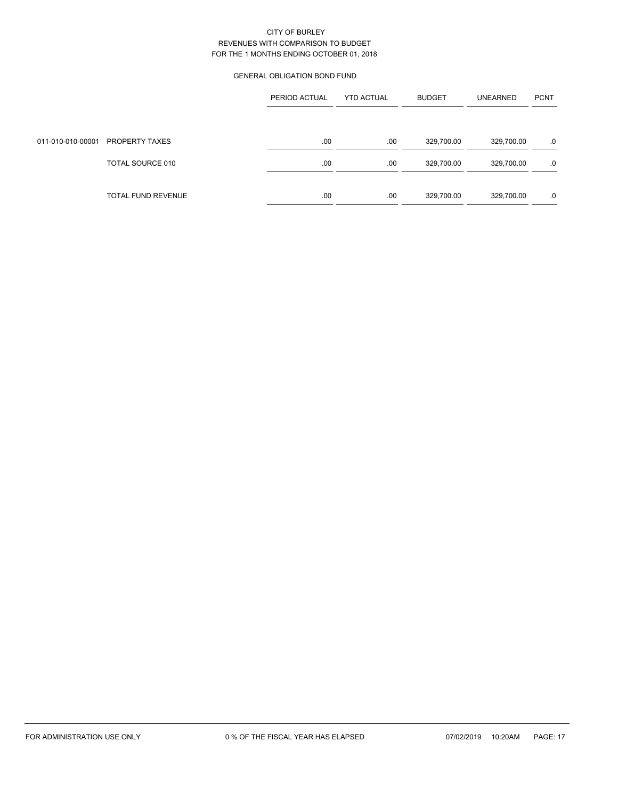# GENERAL OBLIGATION BOND FUND

|                   |                    | PERIOD ACTUAL | <b>YTD ACTUAL</b> | <b>BUDGET</b> | <b>UNEARNED</b> | <b>PCNT</b> |
|-------------------|--------------------|---------------|-------------------|---------------|-----------------|-------------|
|                   |                    |               |                   |               |                 |             |
| 011-010-010-00001 | PROPERTY TAXES     | .00           | .00               | 329,700.00    | 329,700.00      | .0          |
|                   | TOTAL SOURCE 010   | .00           | .00               | 329,700.00    | 329,700.00      | .0          |
|                   |                    |               |                   |               |                 |             |
|                   | TOTAL FUND REVENUE | .00           | .00               | 329,700.00    | 329,700.00      | .0          |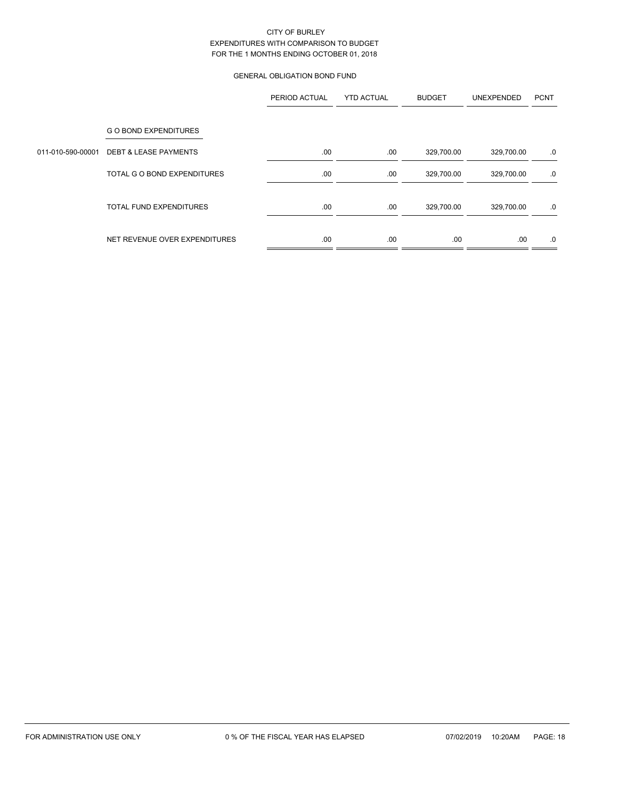# GENERAL OBLIGATION BOND FUND

|                   |                                  | PERIOD ACTUAL | <b>YTD ACTUAL</b> | <b>BUDGET</b> | UNEXPENDED | <b>PCNT</b> |
|-------------------|----------------------------------|---------------|-------------------|---------------|------------|-------------|
|                   | <b>GO BOND EXPENDITURES</b>      |               |                   |               |            |             |
| 011-010-590-00001 | <b>DEBT &amp; LEASE PAYMENTS</b> | .00           | .00               | 329,700.00    | 329,700.00 | .0          |
|                   | TOTAL G O BOND EXPENDITURES      | .00.          | .00               | 329,700.00    | 329,700.00 | .0          |
|                   | <b>TOTAL FUND EXPENDITURES</b>   | .00           | .00               | 329,700.00    | 329,700.00 | .0          |
|                   | NET REVENUE OVER EXPENDITURES    | .00           | .00               | .00           | .00        | .0          |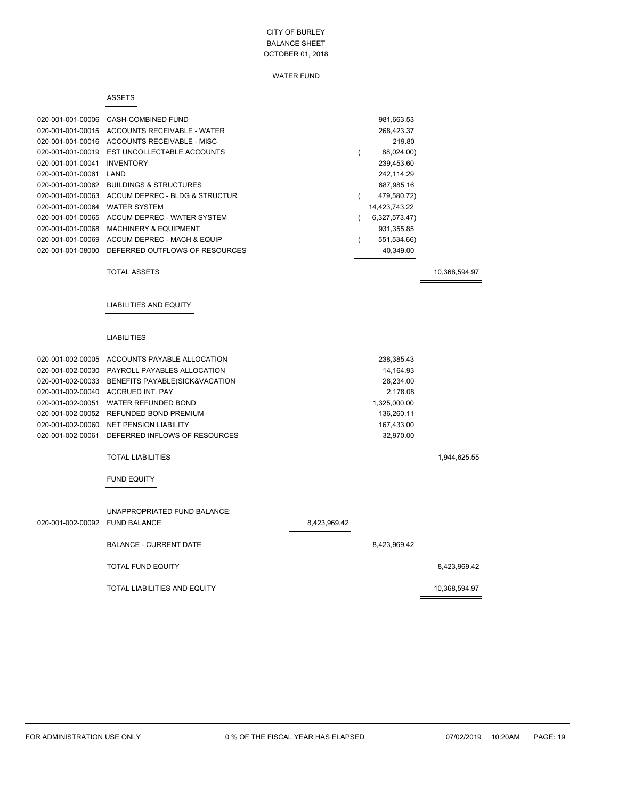### WATER FUND

#### ASSETS

 $=$ 

| 020-001-001-00006 | CASH-COMBINED FUND                | 981,663.53    |
|-------------------|-----------------------------------|---------------|
| 020-001-001-00015 | ACCOUNTS RECEIVABLE - WATER       | 268,423.37    |
| 020-001-001-00016 | ACCOUNTS RECEIVABLE - MISC        | 219.80        |
| 020-001-001-00019 | EST UNCOLLECTABLE ACCOUNTS        | 88,024.00)    |
| 020-001-001-00041 | <b>INVENTORY</b>                  | 239,453.60    |
| 020-001-001-00061 | LAND                              | 242.114.29    |
| 020-001-001-00062 | <b>BUILDINGS &amp; STRUCTURES</b> | 687,985.16    |
| 020-001-001-00063 | ACCUM DEPREC - BLDG & STRUCTUR    | 479,580.72)   |
| 020-001-001-00064 | <b>WATER SYSTEM</b>               | 14,423,743.22 |
| 020-001-001-00065 | ACCUM DEPREC - WATER SYSTEM       | 6,327,573.47) |
| 020-001-001-00068 | <b>MACHINERY &amp; EQUIPMENT</b>  | 931.355.85    |
| 020-001-001-00069 | ACCUM DEPREC - MACH & EQUIP       | 551,534.66)   |
| 020-001-001-08000 | DEFERRED OUTFLOWS OF RESOURCES    | 40,349.00     |
|                   |                                   |               |

TOTAL ASSETS 10,368,594.97

 $\equiv$ 

LIABILITIES AND EQUITY

#### LIABILITIES

|                   | 020-001-002-00005 ACCOUNTS PAYABLE ALLOCATION    | 238,385.43   |  |
|-------------------|--------------------------------------------------|--------------|--|
|                   | 020-001-002-00030 PAYROLL PAYABLES ALLOCATION    | 14,164.93    |  |
|                   | 020-001-002-00033 BENEFITS PAYABLE(SICK&VACATION | 28.234.00    |  |
| 020-001-002-00040 | ACCRUED INT. PAY                                 | 2.178.08     |  |
|                   | 020-001-002-00051 WATER REFUNDED BOND            | 1,325,000.00 |  |
|                   | 020-001-002-00052 REFUNDED BOND PREMIUM          | 136.260.11   |  |
| 020-001-002-00060 | <b>NET PENSION LIABILITY</b>                     | 167.433.00   |  |
|                   | 020-001-002-00061 DEFERRED INFLOWS OF RESOURCES  | 32.970.00    |  |
|                   |                                                  |              |  |

#### TOTAL LIABILITIES 1,944,625.55

#### FUND EQUITY

| 020-001-002-00092 FUND BALANCE | UNAPPROPRIATED FUND BALANCE:  | 8,423,969.42 |              |               |
|--------------------------------|-------------------------------|--------------|--------------|---------------|
|                                | <b>BALANCE - CURRENT DATE</b> |              | 8,423,969.42 |               |
|                                | <b>TOTAL FUND EQUITY</b>      |              |              | 8,423,969.42  |
|                                | TOTAL LIABILITIES AND EQUITY  |              |              | 10,368,594.97 |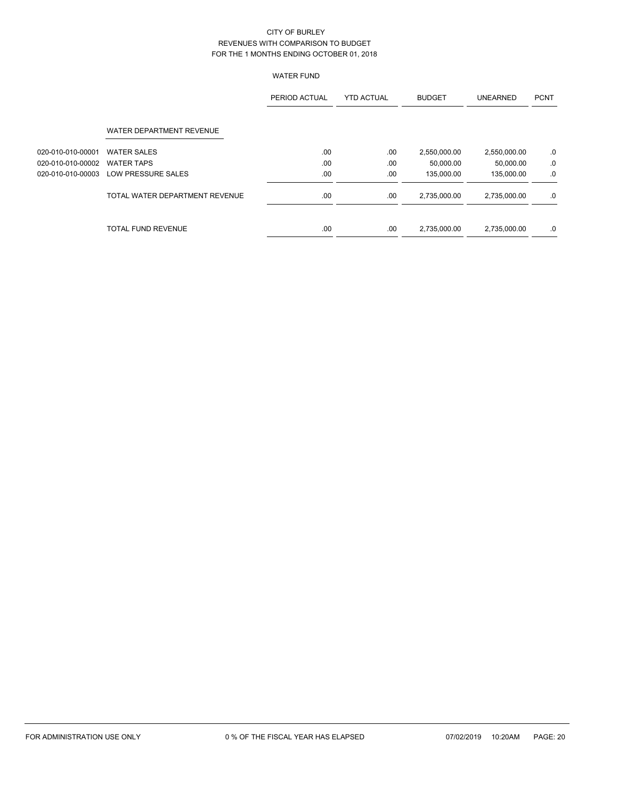# WATER FUND

|                   |                                | PERIOD ACTUAL | <b>YTD ACTUAL</b> | <b>BUDGET</b> | <b>UNEARNED</b> | <b>PCNT</b> |
|-------------------|--------------------------------|---------------|-------------------|---------------|-----------------|-------------|
|                   | WATER DEPARTMENT REVENUE       |               |                   |               |                 |             |
| 020-010-010-00001 | <b>WATER SALES</b>             | .00.          | .00               | 2,550,000.00  | 2,550,000.00    | .0          |
| 020-010-010-00002 | <b>WATER TAPS</b>              | .00.          | .00               | 50.000.00     | 50.000.00       | .0          |
| 020-010-010-00003 | LOW PRESSURE SALES             | .00           | .00               | 135,000.00    | 135,000.00      | .0          |
|                   | TOTAL WATER DEPARTMENT REVENUE | .00.          | .00               | 2,735,000.00  | 2,735,000.00    | .0          |
|                   | <b>TOTAL FUND REVENUE</b>      | .00           | .00               | 2,735,000.00  | 2,735,000.00    | .0          |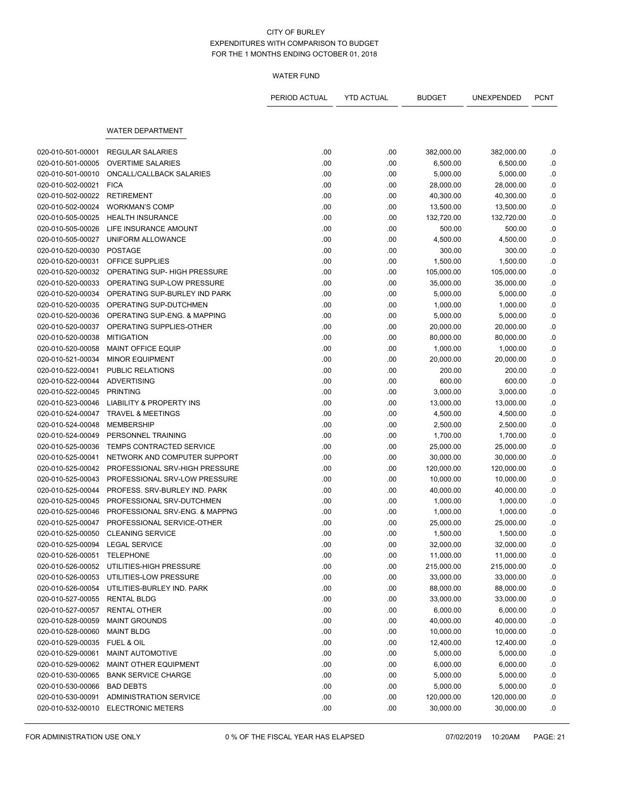# WATER FUND

|                                 |                                     | PERIOD ACTUAL | <b>YTD ACTUAL</b> | <b>BUDGET</b> | UNEXPENDED | <b>PCNT</b> |
|---------------------------------|-------------------------------------|---------------|-------------------|---------------|------------|-------------|
|                                 | <b>WATER DEPARTMENT</b>             |               |                   |               |            |             |
|                                 |                                     |               |                   |               |            |             |
| 020-010-501-00001               | <b>REGULAR SALARIES</b>             | .00           | .00               | 382,000.00    | 382,000.00 | .0          |
| 020-010-501-00005               | <b>OVERTIME SALARIES</b>            | .00           | .00               | 6,500.00      | 6,500.00   | .0          |
| 020-010-501-00010               | ONCALL/CALLBACK SALARIES            | .00           | .00               | 5,000.00      | 5,000.00   | .0          |
| 020-010-502-00021               | <b>FICA</b>                         | .00           | .00               | 28,000.00     | 28,000.00  | .0          |
| 020-010-502-00022               | <b>RETIREMENT</b>                   | .00           | .00               | 40,300.00     | 40,300.00  | .0          |
| 020-010-502-00024               | <b>WORKMAN'S COMP</b>               | .00           | .00               | 13,500.00     | 13,500.00  | ${\bf .0}$  |
| 020-010-505-00025               | <b>HEALTH INSURANCE</b>             | .00           | .00               | 132,720.00    | 132,720.00 | .0          |
| 020-010-505-00026               | LIFE INSURANCE AMOUNT               | .00           | .00               | 500.00        | 500.00     | .0          |
| 020-010-505-00027               | UNIFORM ALLOWANCE                   | .00           | .00               | 4,500.00      | 4,500.00   | .0          |
| 020-010-520-00030               | <b>POSTAGE</b>                      | .00           | .00               | 300.00        | 300.00     | .0          |
| 020-010-520-00031               | OFFICE SUPPLIES                     | .00           | .00               | 1,500.00      | 1,500.00   | ${\bf .0}$  |
| 020-010-520-00032               | OPERATING SUP- HIGH PRESSURE        | .00           | .00               | 105,000.00    | 105,000.00 | .0          |
| 020-010-520-00033               | OPERATING SUP-LOW PRESSURE          | .00           | .00               | 35,000.00     | 35,000.00  | .0          |
| 020-010-520-00034               | OPERATING SUP-BURLEY IND PARK       | .00           | .00               | 5,000.00      | 5,000.00   | .0          |
| 020-010-520-00035               | OPERATING SUP-DUTCHMEN              | .00           | .00               | 1,000.00      | 1,000.00   | .0          |
| 020-010-520-00036               | OPERATING SUP-ENG. & MAPPING        | .00           | .00               | 5,000.00      | 5,000.00   | ${\bf .0}$  |
| 020-010-520-00037               | OPERATING SUPPLIES-OTHER            | .00           | .00               | 20,000.00     | 20,000.00  | .0          |
| 020-010-520-00038               | <b>MITIGATION</b>                   | .00           | .00               | 80,000.00     | 80,000.00  | 0.0         |
| 020-010-520-00058               | MAINT OFFICE EQUIP                  | .00           | .00               | 1,000.00      | 1,000.00   | .0          |
| 020-010-521-00034               | <b>MINOR EQUIPMENT</b>              | .00           | .00               | 20,000.00     | 20,000.00  | .0          |
| 020-010-522-00041               | PUBLIC RELATIONS                    | .00           | .00               | 200.00        | 200.00     | .0          |
| 020-010-522-00044               | <b>ADVERTISING</b>                  | .00           | .00               | 600.00        | 600.00     | 0.0         |
| 020-010-522-00045               | <b>PRINTING</b>                     | .00           | .00               | 3,000.00      | 3,000.00   | .0          |
| 020-010-523-00046               | <b>LIABILITY &amp; PROPERTY INS</b> | .00           | .00               | 13,000.00     | 13,000.00  | .0          |
| 020-010-524-00047               | <b>TRAVEL &amp; MEETINGS</b>        | .00           | .00               | 4,500.00      | 4,500.00   | .0          |
| 020-010-524-00048               | <b>MEMBERSHIP</b>                   | .00           | .00               | 2,500.00      | 2,500.00   | ${\bf .0}$  |
| 020-010-524-00049               | PERSONNEL TRAINING                  | .00           | .00               | 1,700.00      | 1,700.00   | 0.0         |
| 020-010-525-00036               | <b>TEMPS CONTRACTED SERVICE</b>     | .00           | .00               | 25,000.00     | 25,000.00  | .0          |
| 020-010-525-00041               | NETWORK AND COMPUTER SUPPORT        | .00           | .00               | 30,000.00     | 30,000.00  | .0          |
| 020-010-525-00042               | PROFESSIONAL SRV-HIGH PRESSURE      | .00           | .00               | 120,000.00    | 120,000.00 | .0          |
| 020-010-525-00043               | PROFESSIONAL SRV-LOW PRESSURE       | .00           | .00               | 10,000.00     | 10,000.00  | .0          |
| 020-010-525-00044               | PROFESS, SRV-BURLEY IND, PARK       | .00           | .00               | 40,000.00     | 40,000.00  | .0          |
| 020-010-525-00045               | PROFESSIONAL SRV-DUTCHMEN           | .00           | .00               | 1,000.00      | 1,000.00   | .0          |
| 020-010-525-00046               | PROFESSIONAL SRV-ENG. & MAPPNG      | .00           | .00               | 1,000.00      | 1,000.00   | .0          |
| 020-010-525-00047               | PROFESSIONAL SERVICE-OTHER          | .00           | .00               | 25,000.00     | 25,000.00  | .0          |
| 020-010-525-00050               | <b>CLEANING SERVICE</b>             | .00           | .00               | 1,500.00      | 1,500.00   | 0.          |
| 020-010-525-00094 LEGAL SERVICE |                                     | .00           | .00               | 32,000.00     | 32,000.00  | .0          |
| 020-010-526-00051               | <b>TELEPHONE</b>                    | .00           | .00               | 11,000.00     | 11,000.00  | .0          |
| 020-010-526-00052               | UTILITIES-HIGH PRESSURE             | .00           | .00               | 215,000.00    | 215,000.00 | .0          |
| 020-010-526-00053               | UTILITIES-LOW PRESSURE              | .00           | .00               | 33,000.00     | 33,000.00  | .0          |
| 020-010-526-00054               | UTILITIES-BURLEY IND. PARK          | .00           | .00               | 88,000.00     | 88,000.00  | .0          |
| 020-010-527-00055               | <b>RENTAL BLDG</b>                  | .00           | .00               | 33,000.00     | 33,000.00  | .0          |
| 020-010-527-00057               | RENTAL OTHER                        | .00           | .00               | 6,000.00      | 6,000.00   | $\cdot$     |
| 020-010-528-00059               | <b>MAINT GROUNDS</b>                | .00           | .00               | 40,000.00     | 40,000.00  | .0          |
| 020-010-528-00060               | <b>MAINT BLDG</b>                   | .00           | .00               | 10,000.00     | 10,000.00  | .0          |
| 020-010-529-00035               | FUEL & OIL                          | .00           | .00               | 12,400.00     | 12,400.00  | .0          |
| 020-010-529-00061               | MAINT AUTOMOTIVE                    | .00           | .00               | 5,000.00      | 5,000.00   | .0          |
| 020-010-529-00062               | MAINT OTHER EQUIPMENT               | .00           | .00.              | 6,000.00      | 6,000.00   | .0          |
| 020-010-530-00065               | <b>BANK SERVICE CHARGE</b>          | .00           | .00               | 5,000.00      | 5,000.00   | .0          |
| 020-010-530-00066               | <b>BAD DEBTS</b>                    | .00           | .00               | 5,000.00      | 5,000.00   | .0          |
| 020-010-530-00091               | ADMINISTRATION SERVICE              | .00           | .00               | 120,000.00    | 120,000.00 | .0          |
| 020-010-532-00010               | <b>ELECTRONIC METERS</b>            | .00           | .00               | 30,000.00     | 30,000.00  | .0          |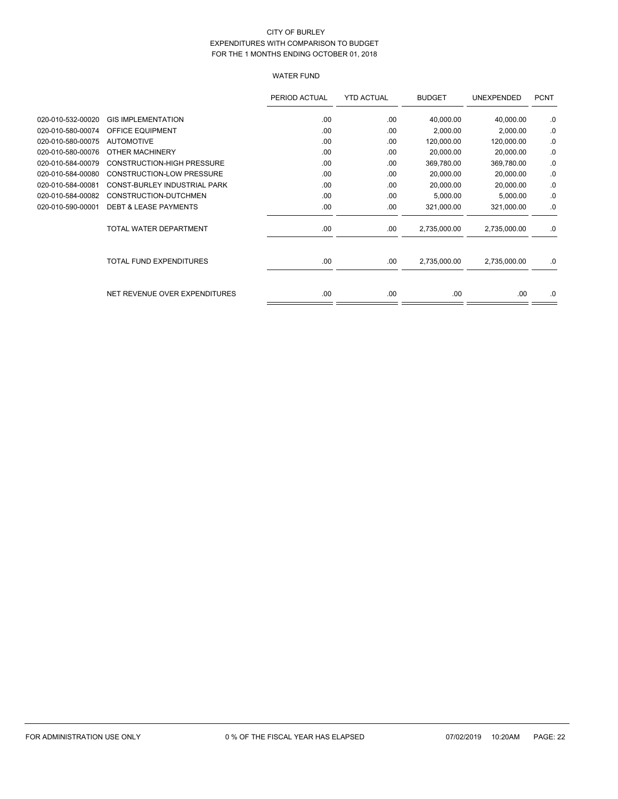# WATER FUND

|                   |                                   | PERIOD ACTUAL | <b>YTD ACTUAL</b> | <b>BUDGET</b> | UNEXPENDED   | <b>PCNT</b> |
|-------------------|-----------------------------------|---------------|-------------------|---------------|--------------|-------------|
| 020-010-532-00020 | <b>GIS IMPLEMENTATION</b>         | .00           | .00               | 40,000.00     | 40,000.00    | .0          |
| 020-010-580-00074 | OFFICE EQUIPMENT                  | .00           | .00               | 2,000.00      | 2,000.00     | .0          |
| 020-010-580-00075 | <b>AUTOMOTIVE</b>                 | .00           | .00               | 120,000.00    | 120,000.00   | .0          |
| 020-010-580-00076 | OTHER MACHINERY                   | .00.          | .00               | 20,000.00     | 20,000.00    | .0          |
| 020-010-584-00079 | <b>CONSTRUCTION-HIGH PRESSURE</b> | .00           | .00               | 369,780.00    | 369,780.00   | .0          |
| 020-010-584-00080 | <b>CONSTRUCTION-LOW PRESSURE</b>  | .00           | .00               | 20,000.00     | 20,000.00    | .0          |
| 020-010-584-00081 | CONST-BURLEY INDUSTRIAL PARK      | .00           | .00               | 20,000.00     | 20,000.00    | .0          |
| 020-010-584-00082 | CONSTRUCTION-DUTCHMEN             | .00           | .00               | 5,000.00      | 5,000.00     | .0          |
| 020-010-590-00001 | <b>DEBT &amp; LEASE PAYMENTS</b>  | .00           | .00               | 321,000.00    | 321,000.00   | .0          |
|                   | TOTAL WATER DEPARTMENT            | .00           | .00               | 2,735,000.00  | 2,735,000.00 | .0          |
|                   | <b>TOTAL FUND EXPENDITURES</b>    | .00.          | .00               | 2,735,000.00  | 2,735,000.00 | .0          |
|                   | NET REVENUE OVER EXPENDITURES     | .00           | .00               | .00           | .00          | .0          |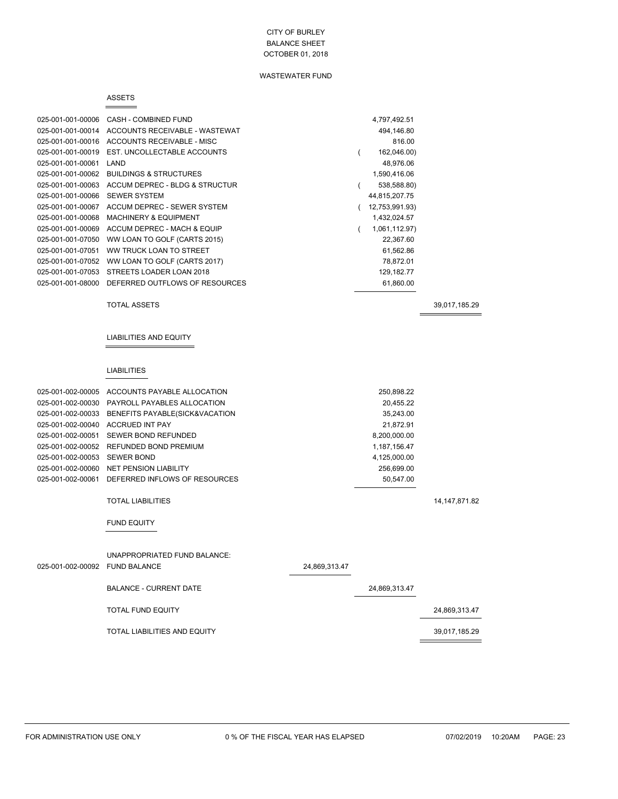# WASTEWATER FUND

#### ASSETS  $=$

| 025-001-001-00006 | CASH - COMBINED FUND              | 4,797,492.51   |
|-------------------|-----------------------------------|----------------|
| 025-001-001-00014 | ACCOUNTS RECEIVABLE - WASTEWAT    | 494,146.80     |
| 025-001-001-00016 | ACCOUNTS RECEIVABLE - MISC        | 816.00         |
| 025-001-001-00019 | EST. UNCOLLECTABLE ACCOUNTS       | 162,046.00)    |
| 025-001-001-00061 | LAND                              | 48,976.06      |
| 025-001-001-00062 | <b>BUILDINGS &amp; STRUCTURES</b> | 1,590,416.06   |
| 025-001-001-00063 | ACCUM DEPREC - BLDG & STRUCTUR    | 538,588.80)    |
| 025-001-001-00066 | <b>SEWER SYSTEM</b>               | 44,815,207.75  |
| 025-001-001-00067 | ACCUM DEPREC - SEWER SYSTEM       | 12,753,991.93) |
| 025-001-001-00068 | <b>MACHINERY &amp; EQUIPMENT</b>  | 1,432,024.57   |
| 025-001-001-00069 | ACCUM DEPREC - MACH & EQUIP       | 1,061,112.97)  |
| 025-001-001-07050 | WW LOAN TO GOLF (CARTS 2015)      | 22.367.60      |
| 025-001-001-07051 | WW TRUCK LOAN TO STREET           | 61,562.86      |
| 025-001-001-07052 | WW LOAN TO GOLF (CARTS 2017)      | 78,872.01      |
| 025-001-001-07053 | STREETS LOADER LOAN 2018          | 129,182.77     |
| 025-001-001-08000 | DEFERRED OUTFLOWS OF RESOURCES    | 61,860.00      |
|                   |                                   |                |

TOTAL ASSETS 39,017,185.29

#### LIABILITIES AND EQUITY

#### LIABILITIES

 $\equiv$ 

| 025-001-002-00005            | ACCOUNTS PAYABLE ALLOCATION                         |               | 250,898.22    |                 |
|------------------------------|-----------------------------------------------------|---------------|---------------|-----------------|
| 025-001-002-00030            | PAYROLL PAYABLES ALLOCATION                         |               | 20,455.22     |                 |
| 025-001-002-00033            | BENEFITS PAYABLE(SICK&VACATION                      |               | 35,243.00     |                 |
| 025-001-002-00040            | <b>ACCRUED INT PAY</b>                              |               | 21,872.91     |                 |
| 025-001-002-00051            | SEWER BOND REFUNDED                                 |               | 8,200,000.00  |                 |
| 025-001-002-00052            | REFUNDED BOND PREMIUM                               |               | 1,187,156.47  |                 |
| 025-001-002-00053 SEWER BOND |                                                     |               | 4,125,000.00  |                 |
|                              | 025-001-002-00060 NET PENSION LIABILITY             |               | 256,699.00    |                 |
|                              | 025-001-002-00061 DEFERRED INFLOWS OF RESOURCES     |               | 50,547.00     |                 |
|                              | <b>TOTAL LIABILITIES</b>                            |               |               | 14, 147, 871.82 |
|                              | <b>FUND EQUITY</b>                                  |               |               |                 |
| 025-001-002-00092            | UNAPPROPRIATED FUND BALANCE:<br><b>FUND BALANCE</b> | 24,869,313.47 |               |                 |
|                              | <b>BALANCE - CURRENT DATE</b>                       |               | 24,869,313.47 |                 |

| TOTAL FUND EQUITY            | 24,869,313.47 |
|------------------------------|---------------|
| TOTAL LIABILITIES AND EQUITY | 39,017,185.29 |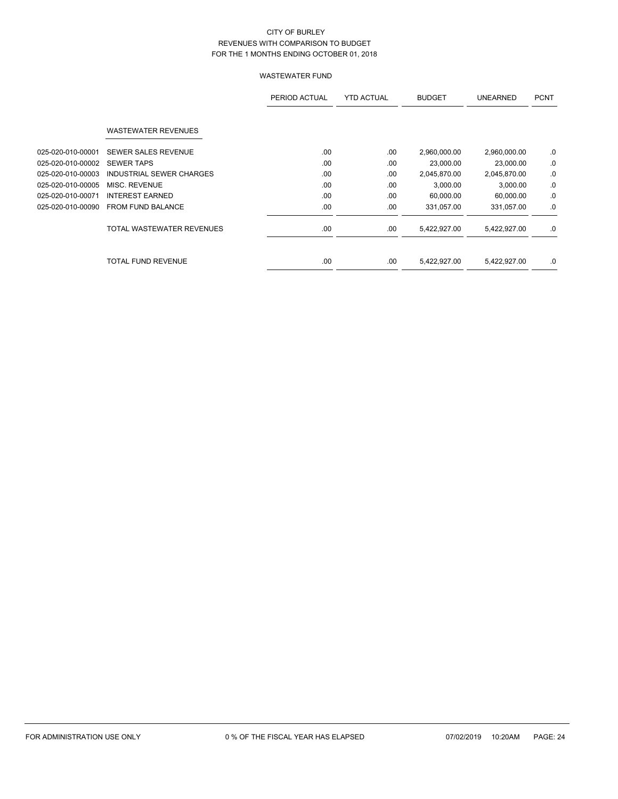|                   |                            | PERIOD ACTUAL | <b>YTD ACTUAL</b> | <b>BUDGET</b> | <b>UNEARNED</b> | <b>PCNT</b> |
|-------------------|----------------------------|---------------|-------------------|---------------|-----------------|-------------|
|                   | <b>WASTEWATER REVENUES</b> |               |                   |               |                 |             |
|                   |                            |               |                   |               |                 |             |
| 025-020-010-00001 | <b>SEWER SALES REVENUE</b> | .00.          | .00               | 2,960,000.00  | 2,960,000.00    | .0          |
| 025-020-010-00002 | <b>SEWER TAPS</b>          | .00           | .00               | 23,000.00     | 23,000.00       | .0          |
| 025-020-010-00003 | INDUSTRIAL SEWER CHARGES   | .00           | .00               | 2,045,870.00  | 2,045,870.00    | .0          |
| 025-020-010-00005 | MISC. REVENUE              | .00.          | .00               | 3,000.00      | 3,000.00        | .0          |
| 025-020-010-00071 | <b>INTEREST EARNED</b>     | .00.          | .00               | 60,000.00     | 60,000.00       | .0          |
| 025-020-010-00090 | <b>FROM FUND BALANCE</b>   | .00           | .00               | 331,057.00    | 331,057.00      | .0          |
|                   | TOTAL WASTEWATER REVENUES  | .00.          | .00               | 5,422,927.00  | 5,422,927.00    | .0          |
|                   | TOTAL FUND REVENUE         | .00           | .00               | 5,422,927.00  | 5,422,927.00    | .0          |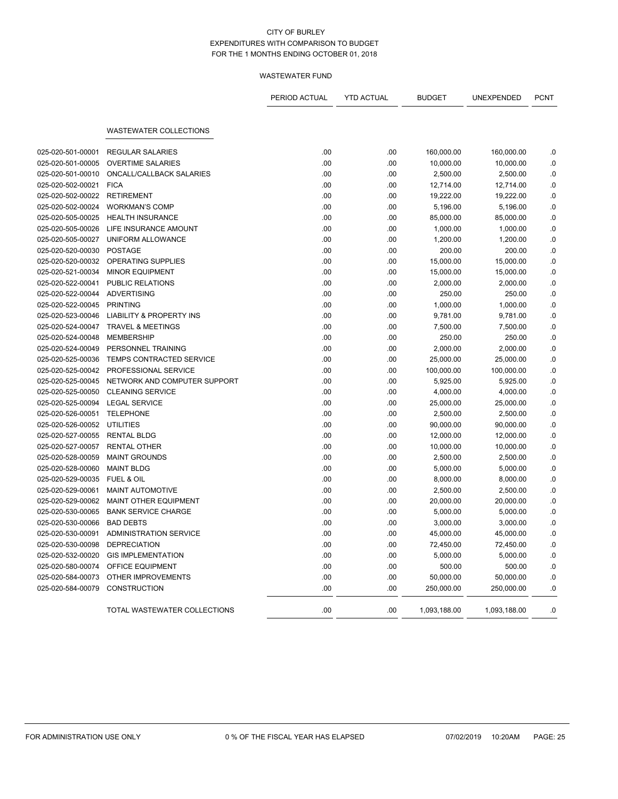|                   |                                     | PERIOD ACTUAL | <b>YTD ACTUAL</b> | <b>BUDGET</b> | UNEXPENDED   | <b>PCNT</b> |
|-------------------|-------------------------------------|---------------|-------------------|---------------|--------------|-------------|
|                   | <b>WASTEWATER COLLECTIONS</b>       |               |                   |               |              |             |
|                   |                                     |               |                   |               |              |             |
| 025-020-501-00001 | <b>REGULAR SALARIES</b>             | .00           | .00               | 160,000.00    | 160,000.00   | .0          |
| 025-020-501-00005 | <b>OVERTIME SALARIES</b>            | .00           | .00               | 10,000.00     | 10,000.00    | .0          |
| 025-020-501-00010 | ONCALL/CALLBACK SALARIES            | .00           | .00               | 2,500.00      | 2,500.00     | .0          |
| 025-020-502-00021 | <b>FICA</b>                         | .00           | .00               | 12,714.00     | 12,714.00    | 0.0         |
| 025-020-502-00022 | <b>RETIREMENT</b>                   | .00           | .00               | 19,222.00     | 19,222.00    | .0          |
| 025-020-502-00024 | <b>WORKMAN'S COMP</b>               | .00           | .00               | 5,196.00      | 5,196.00     | .0          |
| 025-020-505-00025 | <b>HEALTH INSURANCE</b>             | .00           | .00               | 85,000.00     | 85,000.00    | 0.0         |
| 025-020-505-00026 | LIFE INSURANCE AMOUNT               | .00           | .00               | 1,000.00      | 1,000.00     | .0          |
| 025-020-505-00027 | UNIFORM ALLOWANCE                   | .00           | .00               | 1,200.00      | 1,200.00     | .0          |
| 025-020-520-00030 | <b>POSTAGE</b>                      | .00           | .00               | 200.00        | 200.00       | .0          |
| 025-020-520-00032 | OPERATING SUPPLIES                  | .00           | .00               | 15,000.00     | 15,000.00    | .0          |
| 025-020-521-00034 | <b>MINOR EQUIPMENT</b>              | .00           | .00               | 15,000.00     | 15,000.00    | .0          |
| 025-020-522-00041 | <b>PUBLIC RELATIONS</b>             | .00           | .00               | 2,000.00      | 2,000.00     | .0          |
| 025-020-522-00044 | <b>ADVERTISING</b>                  | .00           | .00               | 250.00        | 250.00       | .0          |
| 025-020-522-00045 | <b>PRINTING</b>                     | .00           | .00               | 1,000.00      | 1,000.00     | .0          |
| 025-020-523-00046 | <b>LIABILITY &amp; PROPERTY INS</b> | .00           | .00               | 9,781.00      | 9,781.00     | .0          |
| 025-020-524-00047 | <b>TRAVEL &amp; MEETINGS</b>        | .00           | .00               | 7,500.00      | 7,500.00     | .0          |
| 025-020-524-00048 | <b>MEMBERSHIP</b>                   | .00           | .00               | 250.00        | 250.00       | .0          |
| 025-020-524-00049 | PERSONNEL TRAINING                  | .00           | .00               | 2,000.00      | 2,000.00     | .0          |
| 025-020-525-00036 | TEMPS CONTRACTED SERVICE            | .00           | .00               | 25,000.00     | 25,000.00    | .0          |
| 025-020-525-00042 | PROFESSIONAL SERVICE                | .00           | .00               | 100,000.00    | 100,000.00   | .0          |
| 025-020-525-00045 | NETWORK AND COMPUTER SUPPORT        | .00           | .00               | 5,925.00      | 5,925.00     | .0          |
| 025-020-525-00050 | <b>CLEANING SERVICE</b>             | .00           | .00               | 4,000.00      | 4,000.00     | 0.0         |
| 025-020-525-00094 | <b>LEGAL SERVICE</b>                | .00           | .00               | 25,000.00     | 25,000.00    | .0          |
| 025-020-526-00051 | <b>TELEPHONE</b>                    | .00           | .00               | 2,500.00      | 2,500.00     | .0          |
| 025-020-526-00052 | <b>UTILITIES</b>                    | .00           | .00               | 90,000.00     | 90,000.00    | .0          |
| 025-020-527-00055 | <b>RENTAL BLDG</b>                  | .00           | .00               | 12,000.00     | 12,000.00    | .0          |
| 025-020-527-00057 | <b>RENTAL OTHER</b>                 | .00           | .00               | 10,000.00     | 10,000.00    | .0          |
| 025-020-528-00059 | <b>MAINT GROUNDS</b>                | .00           | .00               | 2,500.00      | 2,500.00     | .0          |
| 025-020-528-00060 | <b>MAINT BLDG</b>                   | .00           | .00               | 5,000.00      | 5,000.00     | .0          |
| 025-020-529-00035 | <b>FUEL &amp; OIL</b>               | .00           | .00               | 8,000.00      | 8,000.00     | .0          |
| 025-020-529-00061 | <b>MAINT AUTOMOTIVE</b>             | .00           | .00               | 2,500.00      | 2,500.00     | .0          |
| 025-020-529-00062 | <b>MAINT OTHER EQUIPMENT</b>        | .00           | .00               | 20,000.00     | 20,000.00    | 0.          |
| 025-020-530-00065 | <b>BANK SERVICE CHARGE</b>          | .00           | .00               | 5,000.00      | 5,000.00     | .0          |
| 025-020-530-00066 | <b>BAD DEBTS</b>                    | .00           | .00               | 3,000.00      | 3,000.00     | .0          |
| 025-020-530-00091 | <b>ADMINISTRATION SERVICE</b>       | .00           | .00               | 45,000.00     | 45,000.00    | .0          |
| 025-020-530-00098 | <b>DEPRECIATION</b>                 | .00           | .00               | 72,450.00     | 72,450.00    | .0          |
| 025-020-532-00020 | <b>GIS IMPLEMENTATION</b>           | .00           | .00               | 5,000.00      | 5,000.00     | .0          |
| 025-020-580-00074 | OFFICE EQUIPMENT                    | .00           | .00               | 500.00        | 500.00       | .0          |
| 025-020-584-00073 | OTHER IMPROVEMENTS                  | .00           | .00               | 50,000.00     | 50,000.00    | .0          |
| 025-020-584-00079 | <b>CONSTRUCTION</b>                 | .00           | .00               | 250,000.00    | 250,000.00   | .0          |
|                   | TOTAL WASTEWATER COLLECTIONS        | .00           | .00               | 1,093,188.00  | 1,093,188.00 | 0.          |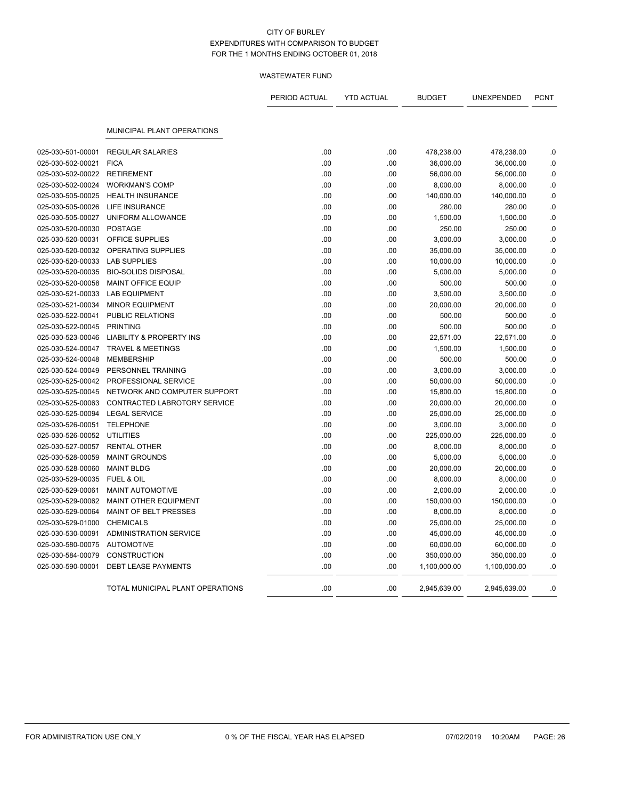|                   |                                     | PERIOD ACTUAL | <b>YTD ACTUAL</b> | <b>BUDGET</b> | <b>UNEXPENDED</b> | <b>PCNT</b> |
|-------------------|-------------------------------------|---------------|-------------------|---------------|-------------------|-------------|
|                   | MUNICIPAL PLANT OPERATIONS          |               |                   |               |                   |             |
|                   |                                     |               |                   |               |                   |             |
| 025-030-501-00001 | <b>REGULAR SALARIES</b>             | .00           | .00               | 478,238.00    | 478,238.00        | .0          |
| 025-030-502-00021 | <b>FICA</b>                         | .00           | .00               | 36,000.00     | 36,000.00         | .0          |
| 025-030-502-00022 | <b>RETIREMENT</b>                   | .00           | .00               | 56,000.00     | 56,000.00         | .0          |
| 025-030-502-00024 | <b>WORKMAN'S COMP</b>               | .00           | .00               | 8,000.00      | 8,000.00          | .0          |
| 025-030-505-00025 | <b>HEALTH INSURANCE</b>             | .00           | .00               | 140,000.00    | 140,000.00        | $\cdot$ 0   |
| 025-030-505-00026 | <b>LIFE INSURANCE</b>               | .00           | .00               | 280.00        | 280.00            | .0          |
| 025-030-505-00027 | UNIFORM ALLOWANCE                   | .00           | .00               | 1,500.00      | 1,500.00          | .0          |
| 025-030-520-00030 | <b>POSTAGE</b>                      | .00           | .00               | 250.00        | 250.00            | .0          |
| 025-030-520-00031 | OFFICE SUPPLIES                     | .00           | .00               | 3,000.00      | 3,000.00          | $\cdot$ 0   |
| 025-030-520-00032 | OPERATING SUPPLIES                  | .00           | .00               | 35,000.00     | 35,000.00         | .0          |
| 025-030-520-00033 | <b>LAB SUPPLIES</b>                 | .00           | .00               | 10,000.00     | 10,000.00         | .0          |
| 025-030-520-00035 | <b>BIO-SOLIDS DISPOSAL</b>          | .00           | .00               | 5,000.00      | 5,000.00          | .0          |
| 025-030-520-00058 | <b>MAINT OFFICE EQUIP</b>           | .00           | .00               | 500.00        | 500.00            | .0          |
| 025-030-521-00033 | <b>LAB EQUIPMENT</b>                | .00           | .00               | 3,500.00      | 3,500.00          | .0          |
| 025-030-521-00034 | <b>MINOR EQUIPMENT</b>              | .00           | .00               | 20,000.00     | 20,000.00         | $\cdot$ 0   |
| 025-030-522-00041 | <b>PUBLIC RELATIONS</b>             | .00           | .00               | 500.00        | 500.00            | .0          |
| 025-030-522-00045 | <b>PRINTING</b>                     | .00           | .00               | 500.00        | 500.00            | .0          |
| 025-030-523-00046 | <b>LIABILITY &amp; PROPERTY INS</b> | .00           | .00               | 22,571.00     | 22,571.00         | .0          |
| 025-030-524-00047 | <b>TRAVEL &amp; MEETINGS</b>        | .00           | .00               | 1,500.00      | 1,500.00          | $\cdot$ 0   |
| 025-030-524-00048 | <b>MEMBERSHIP</b>                   | .00           | .00               | 500.00        | 500.00            | .0          |
| 025-030-524-00049 | PERSONNEL TRAINING                  | .00           | .00               | 3,000.00      | 3,000.00          | .0          |
| 025-030-525-00042 | PROFESSIONAL SERVICE                | .00           | .00               | 50,000.00     | 50,000.00         | .0          |
| 025-030-525-00045 | NETWORK AND COMPUTER SUPPORT        | .00           | .00               | 15,800.00     | 15,800.00         | .0          |
| 025-030-525-00063 | CONTRACTED LABROTORY SERVICE        | .00           | .00               | 20,000.00     | 20,000.00         | .0          |
| 025-030-525-00094 | <b>LEGAL SERVICE</b>                | .00           | .00               | 25,000.00     | 25,000.00         | $\cdot$ 0   |
| 025-030-526-00051 | <b>TELEPHONE</b>                    | .00           | .00               | 3,000.00      | 3,000.00          | .0          |
| 025-030-526-00052 | <b>UTILITIES</b>                    | .00           | .00               | 225,000.00    | 225,000.00        | .0          |
| 025-030-527-00057 | <b>RENTAL OTHER</b>                 | .00           | .00               | 8,000.00      | 8,000.00          | .0          |
| 025-030-528-00059 | <b>MAINT GROUNDS</b>                | .00           | .00               | 5,000.00      | 5,000.00          | $\cdot$ 0   |
| 025-030-528-00060 | <b>MAINT BLDG</b>                   | .00           | .00               |               |                   |             |
|                   |                                     |               |                   | 20,000.00     | 20,000.00         | $\cdot$ 0   |
| 025-030-529-00035 | <b>FUEL &amp; OIL</b>               | .00<br>.00    | .00               | 8,000.00      | 8,000.00          | .0<br>.0    |
| 025-030-529-00061 | <b>MAINT AUTOMOTIVE</b>             |               | .00               | 2,000.00      | 2,000.00          |             |
| 025-030-529-00062 | MAINT OTHER EQUIPMENT               | .00           | .00               | 150,000.00    | 150,000.00        | .0          |
| 025-030-529-00064 | MAINT OF BELT PRESSES               | .00           | .00               | 8,000.00      | 8,000.00          | .0          |
| 025-030-529-01000 | <b>CHEMICALS</b>                    | .00           | .00               | 25,000.00     | 25,000.00         | $\cdot$ 0   |
| 025-030-530-00091 | <b>ADMINISTRATION SERVICE</b>       | .00           | .00               | 45,000.00     | 45,000.00         | .0          |
| 025-030-580-00075 | <b>AUTOMOTIVE</b>                   | .00           | .00               | 60,000.00     | 60,000.00         | .0          |
| 025-030-584-00079 | <b>CONSTRUCTION</b>                 | .00           | .00               | 350,000.00    | 350,000.00        | .0          |
| 025-030-590-00001 | <b>DEBT LEASE PAYMENTS</b>          | .00           | .00               | 1,100,000.00  | 1,100,000.00      | .0          |
|                   | TOTAL MUNICIPAL PLANT OPERATIONS    | .00           | .00               | 2,945,639.00  | 2,945,639.00      | .0          |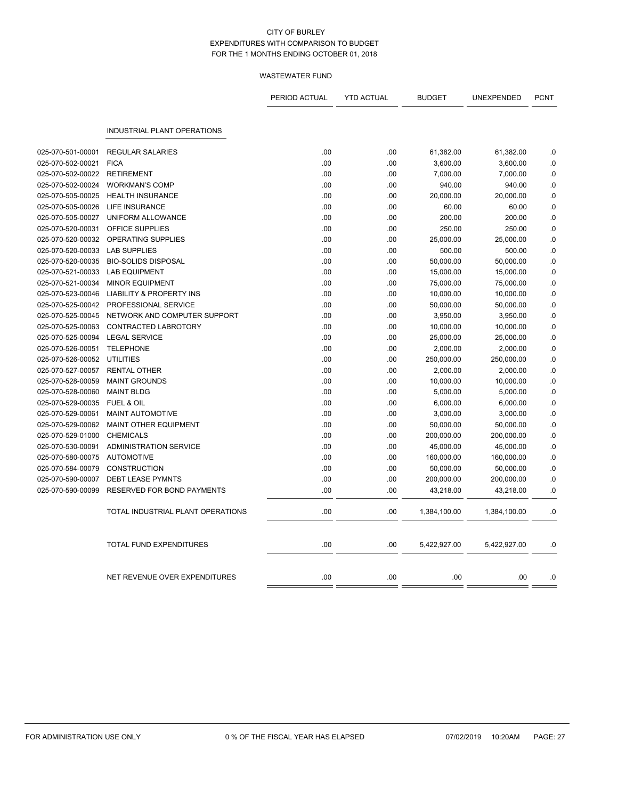|                   |                                     | PERIOD ACTUAL | <b>YTD ACTUAL</b> | <b>BUDGET</b> | UNEXPENDED   | <b>PCNT</b> |
|-------------------|-------------------------------------|---------------|-------------------|---------------|--------------|-------------|
|                   | <b>INDUSTRIAL PLANT OPERATIONS</b>  |               |                   |               |              |             |
| 025-070-501-00001 | <b>REGULAR SALARIES</b>             | .00           | .00               | 61,382.00     | 61,382.00    | .0          |
| 025-070-502-00021 | <b>FICA</b>                         | .00           | .00               | 3,600.00      | 3,600.00     | .0          |
| 025-070-502-00022 | <b>RETIREMENT</b>                   | .00           | .00               | 7,000.00      | 7,000.00     | .0          |
| 025-070-502-00024 | <b>WORKMAN'S COMP</b>               | .00           | .00               | 940.00        | 940.00       | $\cdot$ 0   |
| 025-070-505-00025 | <b>HEALTH INSURANCE</b>             | .00           | .00               | 20,000.00     | 20,000.00    | .0          |
| 025-070-505-00026 | LIFE INSURANCE                      | .00           | .00               | 60.00         | 60.00        | .0          |
| 025-070-505-00027 | UNIFORM ALLOWANCE                   | .00           | .00               | 200.00        | 200.00       | $\cdot$ 0   |
| 025-070-520-00031 | OFFICE SUPPLIES                     | .00           | .00               | 250.00        | 250.00       | .0          |
| 025-070-520-00032 | OPERATING SUPPLIES                  | .00           | .00               | 25,000.00     | 25,000.00    | .0          |
| 025-070-520-00033 | <b>LAB SUPPLIES</b>                 | .00           | .00               | 500.00        | 500.00       | .0          |
| 025-070-520-00035 | <b>BIO-SOLIDS DISPOSAL</b>          | .00           | .00               | 50,000.00     | 50,000.00    | .0          |
| 025-070-521-00033 | <b>LAB EQUIPMENT</b>                | .00           | .00               | 15,000.00     | 15,000.00    | .0          |
| 025-070-521-00034 | <b>MINOR EQUIPMENT</b>              | .00           | .00               | 75,000.00     | 75,000.00    | $\cdot$ 0   |
| 025-070-523-00046 | <b>LIABILITY &amp; PROPERTY INS</b> | .00           | .00               | 10,000.00     | 10,000.00    | .0          |
| 025-070-525-00042 | PROFESSIONAL SERVICE                | .00           | .00               | 50,000.00     | 50,000.00    | .0          |
| 025-070-525-00045 | NETWORK AND COMPUTER SUPPORT        | .00           | .00               | 3,950.00      | 3,950.00     | .0          |
| 025-070-525-00063 | CONTRACTED LABROTORY                | .00           | .00               | 10,000.00     | 10,000.00    | .0          |
| 025-070-525-00094 | <b>LEGAL SERVICE</b>                | .00           | .00               | 25,000.00     | 25,000.00    | .0          |
| 025-070-526-00051 | <b>TELEPHONE</b>                    | .00           | .00               | 2,000.00      | 2,000.00     | $\cdot$ 0   |
| 025-070-526-00052 | <b>UTILITIES</b>                    | .00           | .00               | 250,000.00    | 250,000.00   | .0          |
| 025-070-527-00057 | <b>RENTAL OTHER</b>                 | .00           | .00.              | 2,000.00      | 2,000.00     | .0          |
| 025-070-528-00059 | <b>MAINT GROUNDS</b>                | .00           | .00               | 10,000.00     | 10,000.00    | $\cdot$ 0   |
| 025-070-528-00060 | <b>MAINT BLDG</b>                   | .00           | .00               | 5,000.00      | 5,000.00     | .0          |
| 025-070-529-00035 | <b>FUEL &amp; OIL</b>               | .00           | .00               | 6,000.00      | 6,000.00     | .0          |
| 025-070-529-00061 | <b>MAINT AUTOMOTIVE</b>             | .00           | .00               | 3,000.00      | 3,000.00     | $\cdot$ 0   |
| 025-070-529-00062 | MAINT OTHER EQUIPMENT               | .00           | .00               | 50,000.00     | 50,000.00    | .0          |
| 025-070-529-01000 | <b>CHEMICALS</b>                    | .00           | .00               | 200,000.00    | 200,000.00   | .0          |
| 025-070-530-00091 | <b>ADMINISTRATION SERVICE</b>       | .00           | .00               | 45,000.00     | 45,000.00    | $\cdot$ 0   |
| 025-070-580-00075 | <b>AUTOMOTIVE</b>                   | .00           | .00               | 160,000.00    | 160,000.00   | .0          |
| 025-070-584-00079 | <b>CONSTRUCTION</b>                 | .00           | .00               | 50,000.00     | 50,000.00    | .0          |
| 025-070-590-00007 | <b>DEBT LEASE PYMNTS</b>            | .00           | .00               | 200,000.00    | 200,000.00   | $\cdot$ 0   |
| 025-070-590-00099 | RESERVED FOR BOND PAYMENTS          | .00           | .00               | 43,218.00     | 43,218.00    | .0          |
|                   | TOTAL INDUSTRIAL PLANT OPERATIONS   | .00           | .00               | 1,384,100.00  | 1,384,100.00 | .0          |
|                   | TOTAL FUND EXPENDITURES             | .00           | .00               | 5,422,927.00  | 5,422,927.00 | .0          |
|                   | NET REVENUE OVER EXPENDITURES       | .00           | .00               | .00           | .00          | .0          |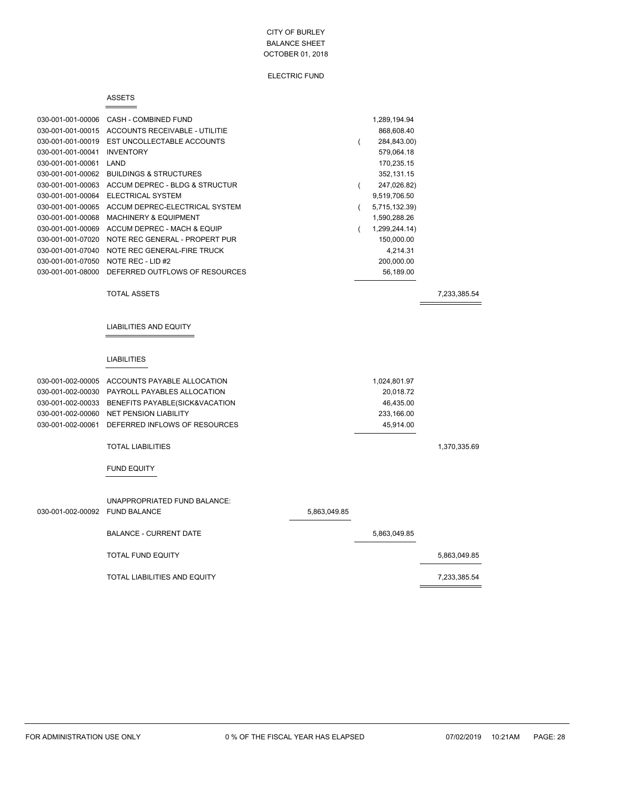### ELECTRIC FUND

#### ASSETS

 $=$ 

| 030-001-001-00006 | CASH - COMBINED FUND              | 1,289,194.94  |
|-------------------|-----------------------------------|---------------|
| 030-001-001-00015 | ACCOUNTS RECEIVABLE - UTILITIE    | 868,608.40    |
| 030-001-001-00019 | EST UNCOLLECTABLE ACCOUNTS        | 284,843.00)   |
| 030-001-001-00041 | <b>INVENTORY</b>                  | 579,064.18    |
| 030-001-001-00061 | LAND                              | 170,235.15    |
| 030-001-001-00062 | <b>BUILDINGS &amp; STRUCTURES</b> | 352,131.15    |
| 030-001-001-00063 | ACCUM DEPREC - BLDG & STRUCTUR    | 247,026.82)   |
| 030-001-001-00064 | ELECTRICAL SYSTEM                 | 9,519,706.50  |
| 030-001-001-00065 | ACCUM DEPREC-ELECTRICAL SYSTEM    | 5,715,132.39) |
| 030-001-001-00068 | <b>MACHINERY &amp; EQUIPMENT</b>  | 1,590,288.26  |
| 030-001-001-00069 | ACCUM DEPREC - MACH & EQUIP       | 1,299,244.14) |
| 030-001-001-07020 | NOTE REC GENERAL - PROPERT PUR    | 150,000.00    |
| 030-001-001-07040 | NOTE REC GENERAL-FIRE TRUCK       | 4,214.31      |
| 030-001-001-07050 | NOTE REC - LID #2                 | 200,000.00    |
| 030-001-001-08000 | DEFERRED OUTFLOWS OF RESOURCES    | 56,189.00     |
|                   |                                   |               |

TOTAL ASSETS 7,233,385.54

 $\equiv$ 

### LIABILITIES AND EQUITY

# LIABILITIES

| 030-001-002-00005 | ACCOUNTS PAYABLE ALLOCATION    |              | 1,024,801.97 |              |
|-------------------|--------------------------------|--------------|--------------|--------------|
| 030-001-002-00030 | PAYROLL PAYABLES ALLOCATION    |              | 20,018.72    |              |
| 030-001-002-00033 | BENEFITS PAYABLE(SICK&VACATION |              | 46,435.00    |              |
| 030-001-002-00060 | <b>NET PENSION LIABILITY</b>   |              | 233,166.00   |              |
| 030-001-002-00061 | DEFERRED INFLOWS OF RESOURCES  |              | 45,914.00    |              |
|                   | <b>TOTAL LIABILITIES</b>       |              |              | 1,370,335.69 |
|                   | <b>FUND EQUITY</b>             |              |              |              |
|                   | UNAPPROPRIATED FUND BALANCE:   |              |              |              |
| 030-001-002-00092 | <b>FUND BALANCE</b>            | 5,863,049.85 |              |              |
|                   | <b>BALANCE - CURRENT DATE</b>  |              | 5,863,049.85 |              |
|                   | <b>TOTAL FUND EQUITY</b>       |              |              | 5,863,049.85 |
|                   | TOTAL LIABILITIES AND EQUITY   |              |              | 7,233,385.54 |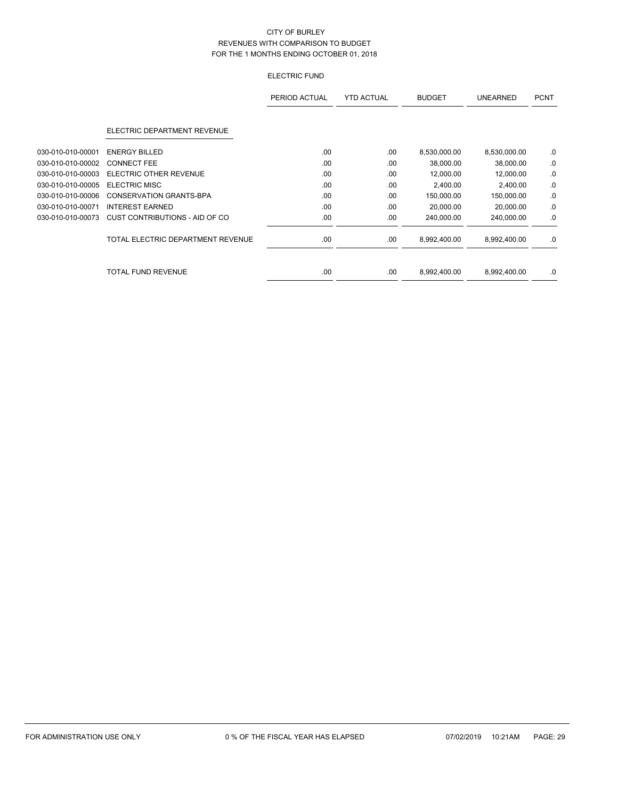# ELECTRIC FUND

|                   |                                   | PERIOD ACTUAL | <b>YTD ACTUAL</b> | <b>BUDGET</b> | <b>UNEARNED</b> | <b>PCNT</b> |
|-------------------|-----------------------------------|---------------|-------------------|---------------|-----------------|-------------|
|                   | ELECTRIC DEPARTMENT REVENUE       |               |                   |               |                 |             |
| 030-010-010-00001 | <b>ENERGY BILLED</b>              | .00           | .00               | 8,530,000.00  | 8,530,000.00    | .0          |
| 030-010-010-00002 | <b>CONNECT FEE</b>                | .00           | .00               | 38,000.00     | 38,000.00       | .0          |
| 030-010-010-00003 | ELECTRIC OTHER REVENUE            | .00           | .00               | 12,000.00     | 12,000.00       | .0          |
| 030-010-010-00005 | <b>ELECTRIC MISC</b>              | .00           | .00               | 2,400.00      | 2,400.00        | .0          |
| 030-010-010-00006 | <b>CONSERVATION GRANTS-BPA</b>    | .00           | .00               | 150,000.00    | 150,000.00      | .0          |
| 030-010-010-00071 | <b>INTEREST EARNED</b>            | .00.          | .00               | 20,000.00     | 20,000.00       | .0          |
| 030-010-010-00073 | CUST CONTRIBUTIONS - AID OF CO    | .00.          | .00               | 240,000.00    | 240,000.00      | .0          |
|                   | TOTAL ELECTRIC DEPARTMENT REVENUE | .00.          | .00               | 8,992,400.00  | 8,992,400.00    | .0          |
|                   | <b>TOTAL FUND REVENUE</b>         | .00           | .00               | 8,992,400.00  | 8,992,400.00    | .0          |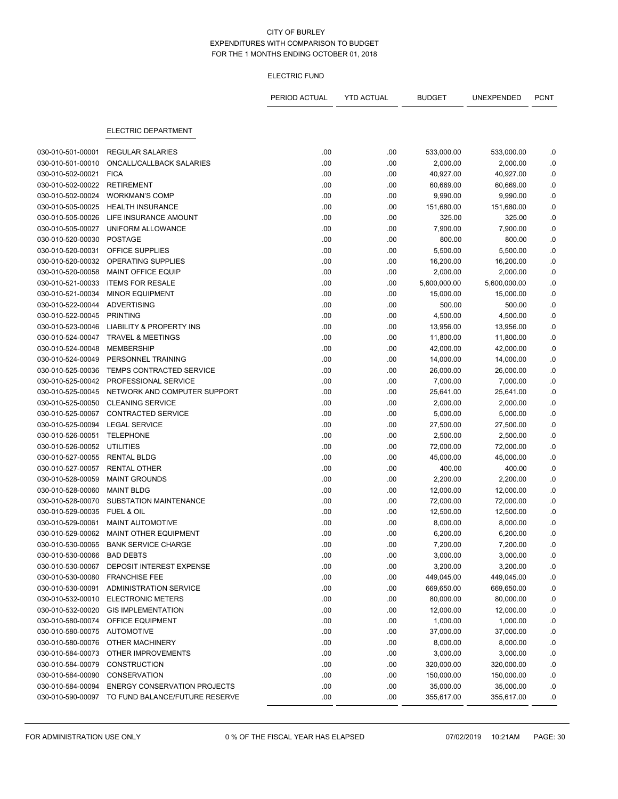### ELECTRIC FUND

|                   |                                     | PERIOD ACTUAL | <b>YTD ACTUAL</b> | <b>BUDGET</b> | UNEXPENDED   | <b>PCNT</b> |
|-------------------|-------------------------------------|---------------|-------------------|---------------|--------------|-------------|
|                   | ELECTRIC DEPARTMENT                 |               |                   |               |              |             |
| 030-010-501-00001 | <b>REGULAR SALARIES</b>             | .00           | .00               | 533,000.00    | 533,000.00   | .0          |
| 030-010-501-00010 | ONCALL/CALLBACK SALARIES            | .00           | .00               | 2,000.00      | 2,000.00     | .0          |
| 030-010-502-00021 | <b>FICA</b>                         | .00           | .00               | 40,927.00     | 40,927.00    | .0          |
| 030-010-502-00022 | <b>RETIREMENT</b>                   | .00           | .00               | 60,669.00     | 60,669.00    | $\cdot$ 0   |
| 030-010-502-00024 | <b>WORKMAN'S COMP</b>               | .00           | .00               | 9,990.00      | 9,990.00     | .0          |
| 030-010-505-00025 | <b>HEALTH INSURANCE</b>             | .00           | .00               | 151,680.00    | 151,680.00   | $\cdot$ 0   |
| 030-010-505-00026 | LIFE INSURANCE AMOUNT               | .00           | .00               | 325.00        | 325.00       | .0          |
| 030-010-505-00027 | UNIFORM ALLOWANCE                   | .00           | .00               | 7,900.00      | 7,900.00     | $\cdot$ 0   |
| 030-010-520-00030 | <b>POSTAGE</b>                      | .00           | .00               | 800.00        | 800.00       | .0          |
| 030-010-520-00031 | OFFICE SUPPLIES                     | .00           | .00               | 5,500.00      | 5,500.00     | .0          |
| 030-010-520-00032 | OPERATING SUPPLIES                  | .00           | .00               | 16,200.00     | 16,200.00    | $\cdot$ 0   |
| 030-010-520-00058 | MAINT OFFICE EQUIP                  | .00           | .00               | 2,000.00      | 2,000.00     | .0          |
| 030-010-521-00033 | <b>ITEMS FOR RESALE</b>             | .00           | .00               | 5,600,000.00  | 5,600,000.00 | .0          |
| 030-010-521-00034 | <b>MINOR EQUIPMENT</b>              | .00           | .00               | 15,000.00     | 15,000.00    | $\cdot$ 0   |
| 030-010-522-00044 | <b>ADVERTISING</b>                  | .00           | .00               | 500.00        | 500.00       | .0          |
| 030-010-522-00045 | <b>PRINTING</b>                     | .00           | .00               | 4,500.00      | 4,500.00     | $\cdot$ 0   |
| 030-010-523-00046 | <b>LIABILITY &amp; PROPERTY INS</b> | .00           | .00               | 13,956.00     | 13,956.00    | .0          |
| 030-010-524-00047 | <b>TRAVEL &amp; MEETINGS</b>        | .00           | .00               | 11,800.00     | 11,800.00    | $\cdot$ 0   |
| 030-010-524-00048 | <b>MEMBERSHIP</b>                   | .00           | .00               | 42,000.00     | 42,000.00    | .0          |
| 030-010-524-00049 | PERSONNEL TRAINING                  | .00           | .00               | 14,000.00     | 14,000.00    | .0          |
| 030-010-525-00036 | <b>TEMPS CONTRACTED SERVICE</b>     | .00           | .00               | 26,000.00     | 26,000.00    | $\cdot$ 0   |
| 030-010-525-00042 | PROFESSIONAL SERVICE                | .00           | .00               | 7,000.00      | 7,000.00     | 0.          |
| 030-010-525-00045 | NETWORK AND COMPUTER SUPPORT        | .00           | .00               | 25,641.00     | 25,641.00    | .0          |
| 030-010-525-00050 | <b>CLEANING SERVICE</b>             | .00           | .00               | 2,000.00      | 2,000.00     | $\cdot$ 0   |
| 030-010-525-00067 | <b>CONTRACTED SERVICE</b>           | .00           | .00               | 5,000.00      | 5,000.00     | .0          |
| 030-010-525-00094 | <b>LEGAL SERVICE</b>                | .00           | .00               | 27,500.00     | 27,500.00    | $\cdot$ 0   |
| 030-010-526-00051 | <b>TELEPHONE</b>                    | .00           | .00               | 2,500.00      | 2,500.00     | .0          |
| 030-010-526-00052 | <b>UTILITIES</b>                    | .00           | .00               | 72,000.00     | 72,000.00    | $\cdot$ 0   |
| 030-010-527-00055 | <b>RENTAL BLDG</b>                  | .00           | .00               | 45,000.00     | 45,000.00    | $0.$        |
| 030-010-527-00057 | <b>RENTAL OTHER</b>                 | .00           | .00               | 400.00        | 400.00       | .0          |
| 030-010-528-00059 | <b>MAINT GROUNDS</b>                | .00           | .00               | 2,200.00      | 2,200.00     | $\cdot$ 0   |
| 030-010-528-00060 | <b>MAINT BLDG</b>                   | .00           | .00               | 12,000.00     | 12,000.00    | .0          |
| 030-010-528-00070 | SUBSTATION MAINTENANCE              | .00           | .00               | 72,000.00     | 72,000.00    | .0          |
| 030-010-529-00035 | <b>FUEL &amp; OIL</b>               | .00           | .00               | 12,500.00     | 12,500.00    | .0          |
| 030-010-529-00061 | <b>MAINT AUTOMOTIVE</b>             | .00           | .00               | 8,000.00      | 8,000.00     | .0          |
| 030-010-529-00062 | MAINT OTHER EQUIPMENT               | .00           | .00               | 6,200.00      | 6,200.00     | $\cdot$ 0   |
| 030-010-530-00065 | <b>BANK SERVICE CHARGE</b>          | .00           | .00               | 7,200.00      | 7,200.00     | 0.          |
| 030-010-530-00066 | <b>BAD DEBTS</b>                    | .00           | .00               | 3,000.00      | 3,000.00     | .0          |
| 030-010-530-00067 | DEPOSIT INTEREST EXPENSE            | .00           | .00               | 3,200.00      | 3,200.00     | .0          |
| 030-010-530-00080 | <b>FRANCHISE FEE</b>                | .00           | .00               | 449,045.00    | 449,045.00   | .0          |
| 030-010-530-00091 | <b>ADMINISTRATION SERVICE</b>       | .00           | .00               | 669,650.00    | 669,650.00   | .0          |
| 030-010-532-00010 | <b>ELECTRONIC METERS</b>            | .00           | .00               | 80,000.00     | 80,000.00    | .0          |
| 030-010-532-00020 | <b>GIS IMPLEMENTATION</b>           | .00           | .00               | 12,000.00     | 12,000.00    | .0          |
| 030-010-580-00074 | OFFICE EQUIPMENT                    | .00           | .00               | 1,000.00      | 1,000.00     | .0          |
| 030-010-580-00075 | AUTOMOTIVE                          | .00           | .00               | 37,000.00     | 37,000.00    | .0          |
| 030-010-580-00076 | OTHER MACHINERY                     | .00           | .00               | 8,000.00      | 8,000.00     | .0          |
| 030-010-584-00073 | OTHER IMPROVEMENTS                  | .00           | .00               | 3,000.00      | 3,000.00     | .0          |
| 030-010-584-00079 | <b>CONSTRUCTION</b>                 | .00           | .00               | 320,000.00    | 320,000.00   | .0          |
| 030-010-584-00090 | <b>CONSERVATION</b>                 | .00           | .00               | 150,000.00    | 150,000.00   | .0          |
| 030-010-584-00094 | <b>ENERGY CONSERVATION PROJECTS</b> | .00           | .00               | 35,000.00     | 35,000.00    | .0          |
| 030-010-590-00097 | TO FUND BALANCE/FUTURE RESERVE      | .00           | .00               | 355,617.00    | 355,617.00   | .0          |
|                   |                                     |               |                   |               |              |             |

FOR ADMINISTRATION USE ONLY 0 % OF THE FISCAL YEAR HAS ELAPSED 07/02/2019 10:21AM PAGE: 30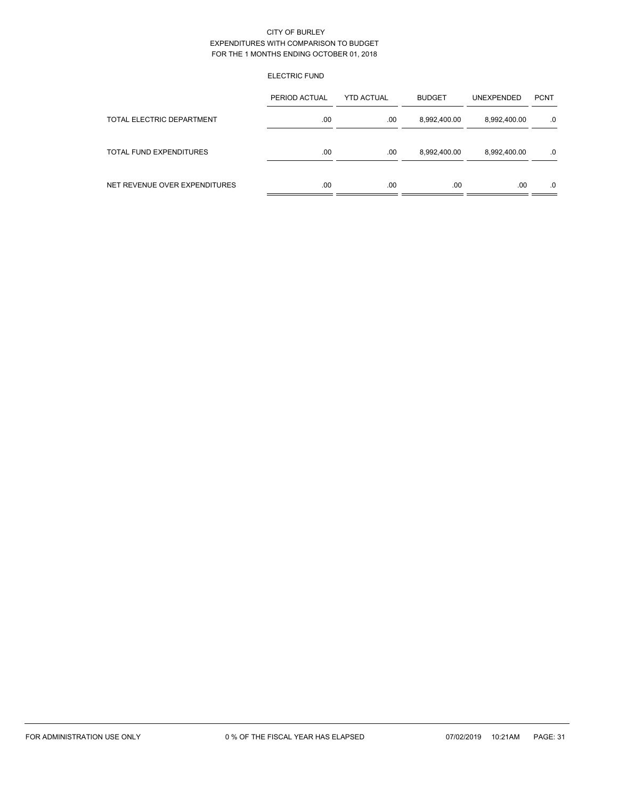# ELECTRIC FUND

|                               | PERIOD ACTUAL | <b>YTD ACTUAL</b> | <b>BUDGET</b> | <b>UNEXPENDED</b> | <b>PCNT</b> |
|-------------------------------|---------------|-------------------|---------------|-------------------|-------------|
| TOTAL ELECTRIC DEPARTMENT     | .00           | .00               | 8,992,400.00  | 8,992,400.00      | $.0 \,$     |
| TOTAL FUND EXPENDITURES       | .00           | .00               | 8,992,400.00  | 8,992,400.00      | .0          |
| NET REVENUE OVER EXPENDITURES | .00           | .00               | .00           | .00               | .0          |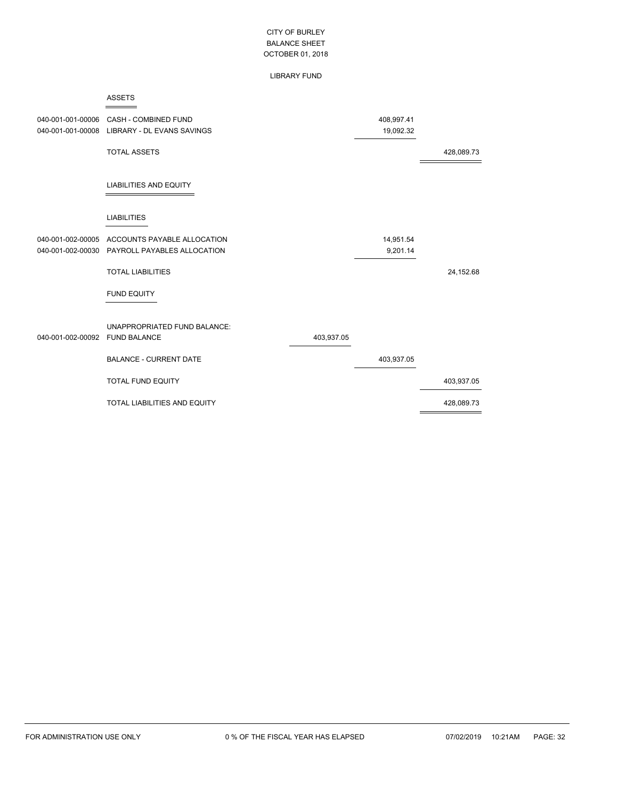### LIBRARY FUND

|                   | <b>ASSETS</b>                 |            |            |            |
|-------------------|-------------------------------|------------|------------|------------|
| 040-001-001-00006 | <b>CASH - COMBINED FUND</b>   |            | 408,997.41 |            |
| 040-001-001-00008 | LIBRARY - DL EVANS SAVINGS    |            | 19,092.32  |            |
|                   | <b>TOTAL ASSETS</b>           |            |            | 428,089.73 |
|                   | <b>LIABILITIES AND EQUITY</b> |            |            |            |
|                   | <b>LIABILITIES</b>            |            |            |            |
| 040-001-002-00005 | ACCOUNTS PAYABLE ALLOCATION   |            | 14,951.54  |            |
| 040-001-002-00030 | PAYROLL PAYABLES ALLOCATION   |            | 9,201.14   |            |
|                   | <b>TOTAL LIABILITIES</b>      |            |            | 24,152.68  |
|                   | <b>FUND EQUITY</b>            |            |            |            |
|                   | UNAPPROPRIATED FUND BALANCE:  |            |            |            |
| 040-001-002-00092 | <b>FUND BALANCE</b>           | 403,937.05 |            |            |
|                   | <b>BALANCE - CURRENT DATE</b> |            | 403,937.05 |            |
|                   | <b>TOTAL FUND EQUITY</b>      |            |            | 403,937.05 |
|                   | TOTAL LIABILITIES AND EQUITY  |            |            | 428,089.73 |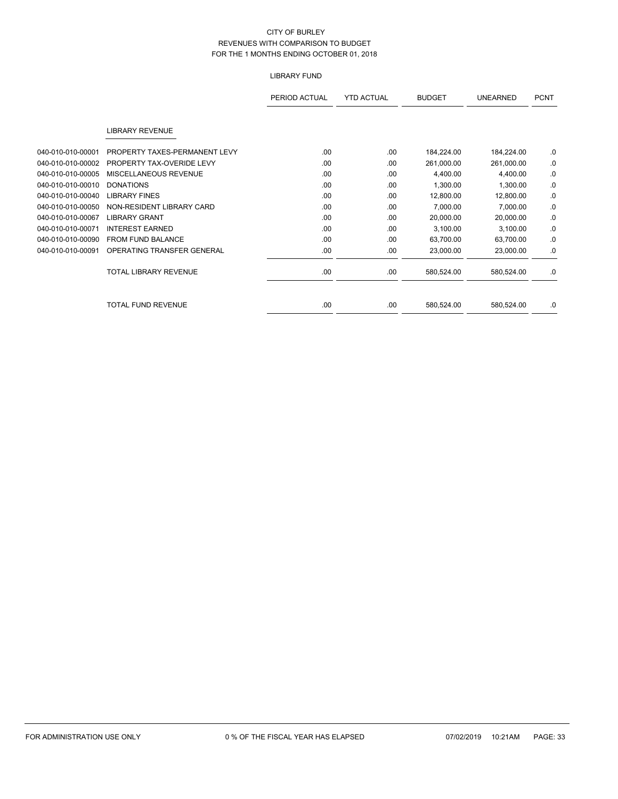# LIBRARY FUND

|                   |                               | PERIOD ACTUAL | <b>YTD ACTUAL</b> | <b>BUDGET</b> | <b>UNEARNED</b> | <b>PCNT</b> |
|-------------------|-------------------------------|---------------|-------------------|---------------|-----------------|-------------|
|                   | <b>LIBRARY REVENUE</b>        |               |                   |               |                 |             |
| 040-010-010-00001 | PROPERTY TAXES-PERMANENT LEVY | .00           | .00               | 184,224.00    | 184,224.00      | .0          |
| 040-010-010-00002 | PROPERTY TAX-OVERIDE LEVY     | .00.          | .00               | 261,000.00    | 261,000.00      | .0          |
| 040-010-010-00005 | MISCELLANEOUS REVENUE         | .00           | .00               | 4,400.00      | 4,400.00        | .0          |
| 040-010-010-00010 | <b>DONATIONS</b>              | .00           | .00               | 1,300.00      | 1,300.00        | .0          |
| 040-010-010-00040 | <b>LIBRARY FINES</b>          | .00           | .00               | 12,800.00     | 12,800.00       | .0          |
| 040-010-010-00050 | NON-RESIDENT LIBRARY CARD     | .00           | .00               | 7,000.00      | 7,000.00        | .0          |
| 040-010-010-00067 | <b>LIBRARY GRANT</b>          | .00           | .00               | 20,000.00     | 20,000.00       | .0          |
| 040-010-010-00071 | <b>INTEREST EARNED</b>        | .00.          | .00               | 3,100.00      | 3,100.00        | .0          |
| 040-010-010-00090 | <b>FROM FUND BALANCE</b>      | .00           | .00               | 63,700.00     | 63,700.00       | .0          |
| 040-010-010-00091 | OPERATING TRANSFER GENERAL    | .00           | .00               | 23,000.00     | 23,000.00       | .0          |
|                   | <b>TOTAL LIBRARY REVENUE</b>  | .00           | .00               | 580,524.00    | 580,524.00      | .0          |
|                   | <b>TOTAL FUND REVENUE</b>     | .00           | .00               | 580,524.00    | 580,524.00      | .0          |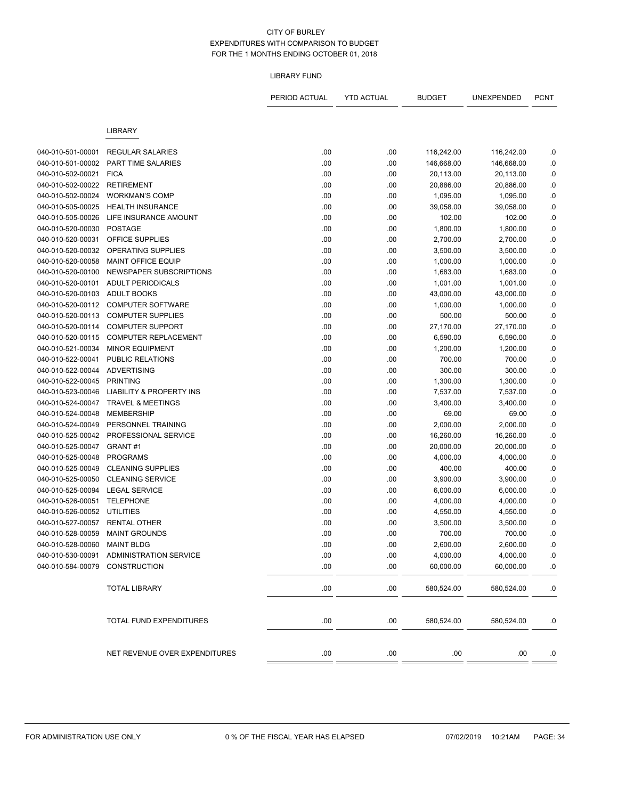### LIBRARY FUND

|                                        |                                                     | PERIOD ACTUAL | <b>YTD ACTUAL</b> | <b>BUDGET</b>        | UNEXPENDED            | <b>PCNT</b> |
|----------------------------------------|-----------------------------------------------------|---------------|-------------------|----------------------|-----------------------|-------------|
|                                        | <b>LIBRARY</b>                                      |               |                   |                      |                       |             |
| 040-010-501-00001                      | <b>REGULAR SALARIES</b>                             | .00           | .00               | 116,242.00           | 116,242.00            | .0          |
| 040-010-501-00002                      | PART TIME SALARIES                                  | .00           | .00               | 146,668.00           | 146,668.00            | .0          |
| 040-010-502-00021                      | <b>FICA</b>                                         | .00           | .00               | 20,113.00            | 20,113.00             | .0          |
| 040-010-502-00022                      | <b>RETIREMENT</b>                                   | .00           | .00               | 20,886.00            | 20,886.00             | .0          |
| 040-010-502-00024                      | <b>WORKMAN'S COMP</b>                               | .00           | .00               | 1,095.00             | 1,095.00              | $\cdot$     |
| 040-010-505-00025                      | <b>HEALTH INSURANCE</b>                             | .00           | .00               | 39,058.00            | 39,058.00             | .0          |
| 040-010-505-00026                      | LIFE INSURANCE AMOUNT                               | .00           | .00               | 102.00               | 102.00                | $\cdot$ 0   |
| 040-010-520-00030                      | <b>POSTAGE</b>                                      | .00           | .00               | 1,800.00             | 1,800.00              | $\cdot$ 0   |
| 040-010-520-00031                      | OFFICE SUPPLIES                                     | .00           | .00               | 2,700.00             | 2,700.00              | $\cdot$     |
| 040-010-520-00032                      | OPERATING SUPPLIES                                  | .00           |                   |                      |                       | $\cdot$     |
| 040-010-520-00058                      | MAINT OFFICE EQUIP                                  |               | .00               | 3,500.00             | 3,500.00              |             |
| 040-010-520-00100                      | NEWSPAPER SUBSCRIPTIONS                             | .00<br>.00    | .00<br>.00        | 1,000.00<br>1,683.00 | 1,000.00<br>1,683.00  | .0<br>0.    |
| 040-010-520-00101                      | <b>ADULT PERIODICALS</b>                            | .00           | .00               |                      |                       | $0.$        |
| 040-010-520-00103                      | <b>ADULT BOOKS</b>                                  |               |                   | 1,001.00             | 1,001.00              |             |
|                                        |                                                     | .00           | .00               | 43,000.00            | 43,000.00<br>1,000.00 | .0          |
| 040-010-520-00112                      | <b>COMPUTER SOFTWARE</b>                            | .00           | .00               | 1,000.00             |                       | $\cdot$     |
| 040-010-520-00113<br>040-010-520-00114 | <b>COMPUTER SUPPLIES</b><br><b>COMPUTER SUPPORT</b> | .00           | .00               | 500.00               | 500.00                | .0          |
|                                        | <b>COMPUTER REPLACEMENT</b>                         | .00           | .00               | 27,170.00            | 27,170.00             | .0          |
| 040-010-520-00115                      |                                                     | .00           | .00               | 6,590.00             | 6,590.00              | $\cdot$     |
| 040-010-521-00034                      | <b>MINOR EQUIPMENT</b>                              | .00           | .00               | 1,200.00             | 1,200.00              | $\cdot$     |
| 040-010-522-00041                      | PUBLIC RELATIONS                                    | .00           | .00               | 700.00               | 700.00                | $\cdot$     |
| 040-010-522-00044                      | <b>ADVERTISING</b>                                  | .00           | .00               | 300.00               | 300.00                | .0          |
| 040-010-522-00045                      | <b>PRINTING</b>                                     | .00           | .00               | 1,300.00             | 1,300.00              | .0          |
| 040-010-523-00046                      | <b>LIABILITY &amp; PROPERTY INS</b>                 | .00           | .00               | 7,537.00             | 7,537.00              | $\cdot$ 0   |
| 040-010-524-00047                      | <b>TRAVEL &amp; MEETINGS</b>                        | .00           | .00               | 3,400.00             | 3,400.00              | .0          |
| 040-010-524-00048                      | <b>MEMBERSHIP</b>                                   | .00           | .00               | 69.00                | 69.00                 | $\cdot$ 0   |
| 040-010-524-00049                      | PERSONNEL TRAINING                                  | .00           | .00               | 2,000.00             | 2,000.00              | .0          |
| 040-010-525-00042                      | PROFESSIONAL SERVICE                                | .00           | .00               | 16,260.00            | 16,260.00             | .0          |
| 040-010-525-00047                      | GRANT#1                                             | .00           | .00               | 20,000.00            | 20,000.00             | $\cdot$     |
| 040-010-525-00048                      | <b>PROGRAMS</b>                                     | .00           | .00               | 4,000.00             | 4,000.00              | .0          |
| 040-010-525-00049                      | <b>CLEANING SUPPLIES</b>                            | .00           | .00               | 400.00               | 400.00                | $\cdot$ 0   |
| 040-010-525-00050                      | <b>CLEANING SERVICE</b>                             | .00           | .00               | 3,900.00             | 3,900.00              | .0          |
| 040-010-525-00094                      | <b>LEGAL SERVICE</b>                                | .00           | .00               | 6,000.00             | 6,000.00              | .0          |
| 040-010-526-00051                      | <b>TELEPHONE</b>                                    | .00           | .00               | 4,000.00             | 4,000.00              | $\cdot$ 0   |
| 040-010-526-00052                      | <b>UTILITIES</b>                                    | .00           | .00               | 4,550.00             | 4,550.00              | .0          |
| 040-010-527-00057                      | <b>RENTAL OTHER</b>                                 | .00           | .00               | 3,500.00             | 3,500.00              | .0          |
| 040-010-528-00059                      | <b>MAINT GROUNDS</b>                                | .00           | .00               | 700.00               | 700.00                | .0          |
| 040-010-528-00060 MAINT BLDG           |                                                     | .00           | .00               | 2,600.00             | 2,600.00              | 0.          |
|                                        | 040-010-530-00091 ADMINISTRATION SERVICE            | .00           | .00               | 4,000.00             | 4,000.00              | .0          |
| 040-010-584-00079                      | CONSTRUCTION                                        | .00           | .00               | 60,000.00            | 60,000.00             | .0          |
|                                        | <b>TOTAL LIBRARY</b>                                | .00.          | .00.              | 580,524.00           | 580,524.00            | .0          |
|                                        | TOTAL FUND EXPENDITURES                             | .00           | .00.              | 580,524.00           | 580,524.00            | .0          |
|                                        | NET REVENUE OVER EXPENDITURES                       | .00           | .00               | .00                  | .00                   | .0          |
|                                        |                                                     |               |                   |                      |                       |             |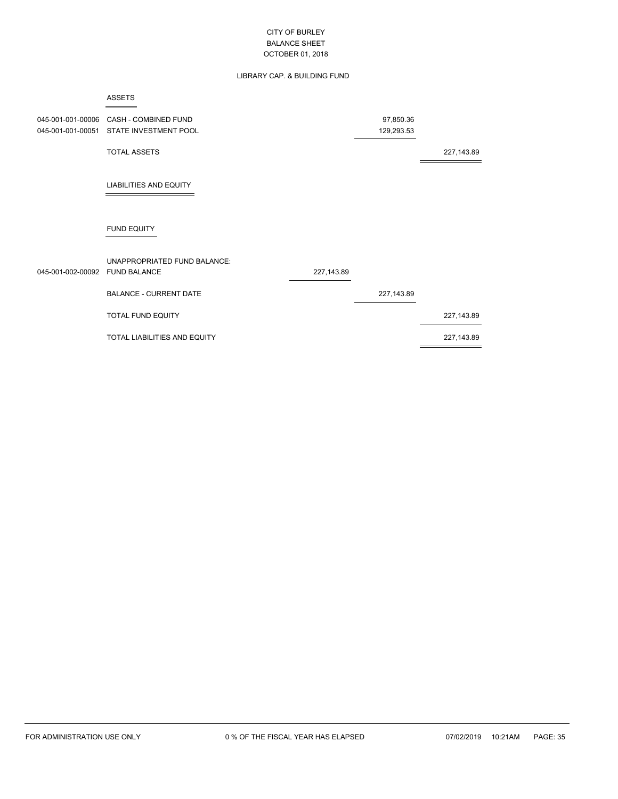# LIBRARY CAP. & BUILDING FUND

|                                | <b>ASSETS</b>                           |             |             |            |
|--------------------------------|-----------------------------------------|-------------|-------------|------------|
| 045-001-001-00006              | <b>CASH - COMBINED FUND</b>             |             | 97,850.36   |            |
|                                | 045-001-001-00051 STATE INVESTMENT POOL |             | 129,293.53  |            |
|                                | <b>TOTAL ASSETS</b>                     |             |             | 227,143.89 |
|                                | LIABILITIES AND EQUITY                  |             |             |            |
|                                | <b>FUND EQUITY</b>                      |             |             |            |
| 045-001-002-00092 FUND BALANCE | UNAPPROPRIATED FUND BALANCE:            | 227, 143.89 |             |            |
|                                | <b>BALANCE - CURRENT DATE</b>           |             | 227, 143.89 |            |
|                                | <b>TOTAL FUND EQUITY</b>                |             |             | 227,143.89 |
|                                | TOTAL LIABILITIES AND EQUITY            |             |             | 227,143.89 |
|                                |                                         |             |             |            |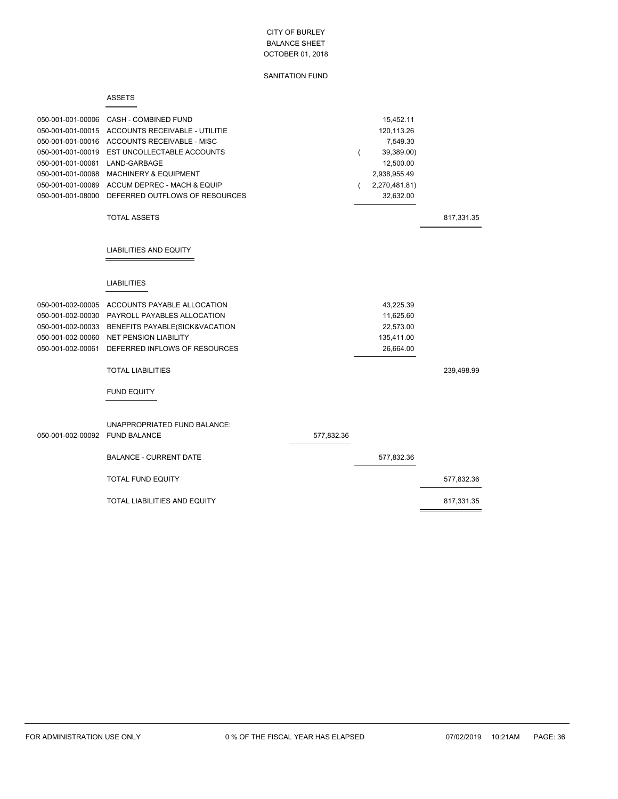### SANITATION FUND

|                                                                                                                                                                      | <b>ASSETS</b>                                                                                                                                                                                                                           |            |   |                                                                                                              |            |
|----------------------------------------------------------------------------------------------------------------------------------------------------------------------|-----------------------------------------------------------------------------------------------------------------------------------------------------------------------------------------------------------------------------------------|------------|---|--------------------------------------------------------------------------------------------------------------|------------|
| 050-001-001-00006<br>050-001-001-00015<br>050-001-001-00016<br>050-001-001-00019<br>050-001-001-00061<br>050-001-001-00068<br>050-001-001-00069<br>050-001-001-08000 | CASH - COMBINED FUND<br>ACCOUNTS RECEIVABLE - UTILITIE<br>ACCOUNTS RECEIVABLE - MISC<br>EST UNCOLLECTABLE ACCOUNTS<br>LAND-GARBAGE<br><b>MACHINERY &amp; EQUIPMENT</b><br>ACCUM DEPREC - MACH & EQUIP<br>DEFERRED OUTFLOWS OF RESOURCES |            | ( | 15,452.11<br>120,113.26<br>7,549.30<br>39,389.00)<br>12,500.00<br>2,938,955.49<br>2,270,481.81)<br>32,632.00 |            |
|                                                                                                                                                                      | <b>TOTAL ASSETS</b>                                                                                                                                                                                                                     |            |   |                                                                                                              | 817,331.35 |
|                                                                                                                                                                      | LIABILITIES AND EQUITY                                                                                                                                                                                                                  |            |   |                                                                                                              |            |
|                                                                                                                                                                      | <b>LIABILITIES</b>                                                                                                                                                                                                                      |            |   |                                                                                                              |            |
| 050-001-002-00005<br>050-001-002-00030<br>050-001-002-00033<br>050-001-002-00060<br>050-001-002-00061                                                                | ACCOUNTS PAYABLE ALLOCATION<br>PAYROLL PAYABLES ALLOCATION<br>BENEFITS PAYABLE(SICK&VACATION<br><b>NET PENSION LIABILITY</b><br>DEFERRED INFLOWS OF RESOURCES                                                                           |            |   | 43,225.39<br>11,625.60<br>22,573.00<br>135,411.00<br>26,664.00                                               |            |
|                                                                                                                                                                      | <b>TOTAL LIABILITIES</b>                                                                                                                                                                                                                |            |   |                                                                                                              | 239,498.99 |
|                                                                                                                                                                      | <b>FUND EQUITY</b>                                                                                                                                                                                                                      |            |   |                                                                                                              |            |
| 050-001-002-00092 FUND BALANCE                                                                                                                                       | UNAPPROPRIATED FUND BALANCE:                                                                                                                                                                                                            | 577,832.36 |   |                                                                                                              |            |
|                                                                                                                                                                      | <b>BALANCE - CURRENT DATE</b>                                                                                                                                                                                                           |            |   | 577,832.36                                                                                                   |            |
|                                                                                                                                                                      | <b>TOTAL FUND EQUITY</b>                                                                                                                                                                                                                |            |   |                                                                                                              | 577,832.36 |
|                                                                                                                                                                      | TOTAL LIABILITIES AND EQUITY                                                                                                                                                                                                            |            |   |                                                                                                              | 817,331.35 |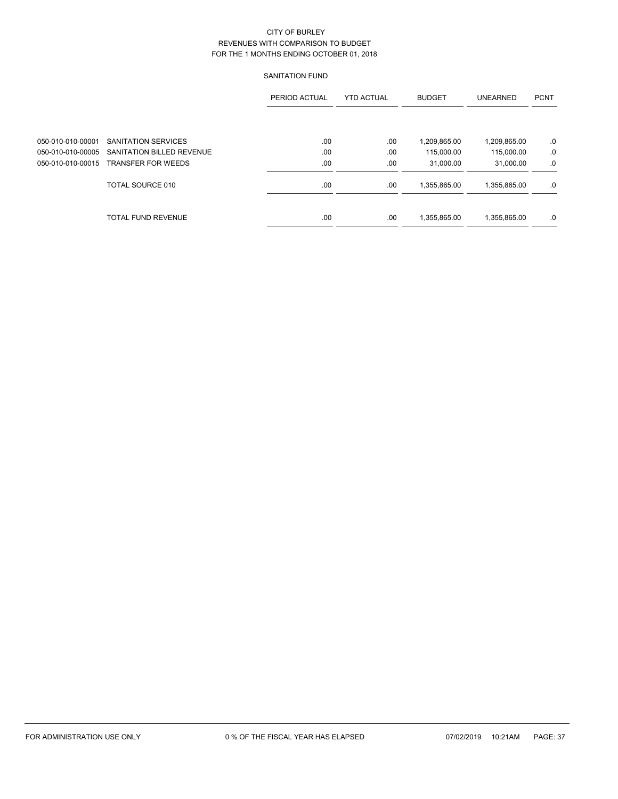# SANITATION FUND

|                   |                           | PERIOD ACTUAL | <b>YTD ACTUAL</b> | <b>BUDGET</b> | <b>UNEARNED</b> | <b>PCNT</b> |
|-------------------|---------------------------|---------------|-------------------|---------------|-----------------|-------------|
| 050-010-010-00001 | SANITATION SERVICES       | .00           | .00               | 1,209,865.00  | 1,209,865.00    | .0          |
| 050-010-010-00005 | SANITATION BILLED REVENUE | .00           | .00               | 115,000.00    | 115,000.00      | .0          |
| 050-010-010-00015 | <b>TRANSFER FOR WEEDS</b> | .00           | .00               | 31.000.00     | 31,000.00       | .0          |
|                   | TOTAL SOURCE 010          | .00           | .00               | 1,355,865.00  | 1,355,865.00    | .0          |
|                   | <b>TOTAL FUND REVENUE</b> | .00           | .00               | 1,355,865.00  | 1,355,865.00    | .0          |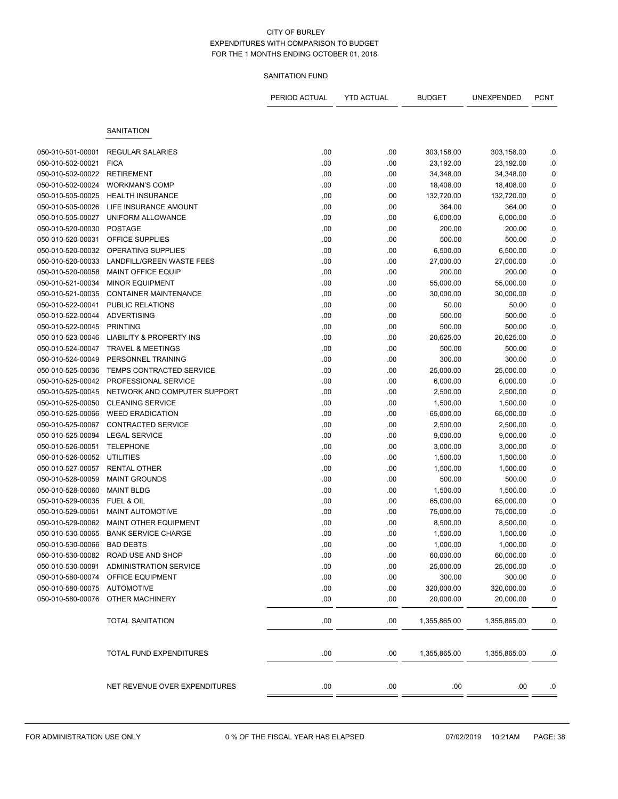# SANITATION FUND

|                             |                                     | PERIOD ACTUAL | <b>YTD ACTUAL</b> | <b>BUDGET</b> | UNEXPENDED   | <b>PCNT</b> |
|-----------------------------|-------------------------------------|---------------|-------------------|---------------|--------------|-------------|
|                             | <b>SANITATION</b>                   |               |                   |               |              |             |
|                             |                                     |               |                   |               |              |             |
| 050-010-501-00001           | <b>REGULAR SALARIES</b>             | .00           | .00               | 303,158.00    | 303,158.00   | .0          |
| 050-010-502-00021           | <b>FICA</b>                         | .00           | .00               | 23,192.00     | 23,192.00    | .0          |
| 050-010-502-00022           | <b>RETIREMENT</b>                   | .00           | .00               | 34,348.00     | 34,348.00    | $0.$        |
| 050-010-502-00024           | <b>WORKMAN'S COMP</b>               | .00           | .00               | 18,408.00     | 18,408.00    | .0          |
| 050-010-505-00025           | <b>HEALTH INSURANCE</b>             | .00           | .00               | 132,720.00    | 132,720.00   | $0.$        |
| 050-010-505-00026           | LIFE INSURANCE AMOUNT               | .00           | .00               | 364.00        | 364.00       | .0          |
| 050-010-505-00027           | UNIFORM ALLOWANCE                   | .00           | .00               | 6,000.00      | 6,000.00     | .0          |
| 050-010-520-00030           | <b>POSTAGE</b>                      | .00           | .00               | 200.00        | 200.00       | $\cdot$ 0   |
| 050-010-520-00031           | OFFICE SUPPLIES                     | .00           | .00               | 500.00        | 500.00       | $\cdot$ 0   |
| 050-010-520-00032           | OPERATING SUPPLIES                  | .00           | .00               | 6,500.00      | 6,500.00     | $\cdot$     |
| 050-010-520-00033           | LANDFILL/GREEN WASTE FEES           | .00           | .00               | 27,000.00     | 27,000.00    | .0          |
| 050-010-520-00058           | <b>MAINT OFFICE EQUIP</b>           | .00           | .00               | 200.00        | 200.00       | .0          |
| 050-010-521-00034           | <b>MINOR EQUIPMENT</b>              | .00           | .00               | 55,000.00     | 55,000.00    | $\cdot$     |
| 050-010-521-00035           | <b>CONTAINER MAINTENANCE</b>        | .00           | .00               | 30,000.00     | 30,000.00    | .0          |
| 050-010-522-00041           | <b>PUBLIC RELATIONS</b>             | .00           | .00               | 50.00         | 50.00        | $0.$        |
| 050-010-522-00044           | <b>ADVERTISING</b>                  | .00           | .00               | 500.00        | 500.00       | .0          |
| 050-010-522-00045           | <b>PRINTING</b>                     | .00           | .00               | 500.00        | 500.00       | .0          |
| 050-010-523-00046           | <b>LIABILITY &amp; PROPERTY INS</b> | .00           | .00               | 20,625.00     | 20,625.00    | $\cdot$ 0   |
| 050-010-524-00047           | <b>TRAVEL &amp; MEETINGS</b>        | .00           | .00               | 500.00        | 500.00       | $\cdot$ 0   |
| 050-010-524-00049           | PERSONNEL TRAINING                  | .00           | .00               | 300.00        | 300.00       | $\cdot$     |
| 050-010-525-00036           | TEMPS CONTRACTED SERVICE            | .00           | .00               | 25,000.00     | 25,000.00    | .0          |
| 050-010-525-00042           | PROFESSIONAL SERVICE                | .00           | .00               | 6,000.00      | 6,000.00     | .0          |
| 050-010-525-00045           | NETWORK AND COMPUTER SUPPORT        | .00           | .00               | 2,500.00      | 2,500.00     | $\cdot$ 0   |
| 050-010-525-00050           | <b>CLEANING SERVICE</b>             | .00           | .00               | 1,500.00      | 1,500.00     | .0          |
| 050-010-525-00066           | <b>WEED ERADICATION</b>             | .00           | .00               | 65,000.00     | 65,000.00    | $0.$        |
| 050-010-525-00067           | CONTRACTED SERVICE                  | .00           | .00               | 2,500.00      | 2,500.00     | .0          |
| 050-010-525-00094           | <b>LEGAL SERVICE</b>                | .00           | .00               | 9,000.00      | 9,000.00     | .0          |
| 050-010-526-00051           | <b>TELEPHONE</b>                    | .00           | .00               | 3,000.00      | 3,000.00     | $\cdot$ 0   |
| 050-010-526-00052           | UTILITIES                           | .00           | .00               | 1,500.00      | 1,500.00     | .0          |
| 050-010-527-00057           | <b>RENTAL OTHER</b>                 | .00           | .00               | 1,500.00      | 1,500.00     | $\cdot$ 0   |
| 050-010-528-00059           | <b>MAINT GROUNDS</b>                | .00           | .00               | 500.00        | 500.00       | .0          |
| 050-010-528-00060           | <b>MAINT BLDG</b>                   | .00           | .00               | 1,500.00      | 1,500.00     | .0          |
| 050-010-529-00035           | <b>FUEL &amp; OIL</b>               | .00           | .00               | 65,000.00     | 65,000.00    | .0          |
| 050-010-529-00061           | <b>MAINT AUTOMOTIVE</b>             | .00           | .00               | 75,000.00     | 75,000.00    | .0          |
| 050-010-529-00062           | <b>MAINT OTHER EQUIPMENT</b>        | .00           | .00               | 8,500.00      | 8,500.00     | .0          |
| 050-010-530-00065           | <b>BANK SERVICE CHARGE</b>          | .00           | .00               | 1,500.00      | 1,500.00     | .0          |
| 050-010-530-00066 BAD DEBTS |                                     | .00           | .00               | 1,000.00      | 1,000.00     | .0          |
|                             | 050-010-530-00082 ROAD USE AND SHOP | .00           | .00               | 60,000.00     | 60,000.00    | .0          |
| 050-010-530-00091           | <b>ADMINISTRATION SERVICE</b>       | .00           | .00               | 25,000.00     | 25,000.00    | .0          |
| 050-010-580-00074           | OFFICE EQUIPMENT                    | .00           | .00               | 300.00        | 300.00       | .0          |
| 050-010-580-00075           | <b>AUTOMOTIVE</b>                   | .00.          | .00               | 320,000.00    | 320,000.00   | .0          |
| 050-010-580-00076           | OTHER MACHINERY                     | .00           | .00.              | 20,000.00     | 20,000.00    | .0          |
|                             | <b>TOTAL SANITATION</b>             | .00           | .00.              | 1,355,865.00  | 1,355,865.00 | .0          |
|                             | TOTAL FUND EXPENDITURES             | .00.          | .00               | 1,355,865.00  | 1,355,865.00 | .0          |
|                             | NET REVENUE OVER EXPENDITURES       | .00.          | .00               | .00           | .00          | .0          |
|                             |                                     |               |                   |               |              |             |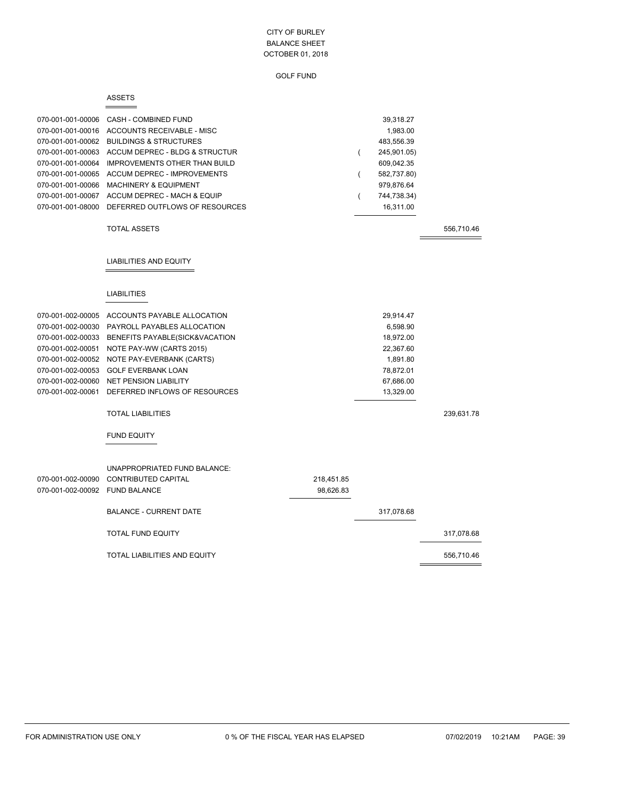| 070-001-001-00006              | CASH - COMBINED FUND                                                                           |            |                | 39,318.27             |            |
|--------------------------------|------------------------------------------------------------------------------------------------|------------|----------------|-----------------------|------------|
|                                | 070-001-001-00016 ACCOUNTS RECEIVABLE - MISC                                                   |            |                | 1,983.00              |            |
|                                | 070-001-001-00062 BUILDINGS & STRUCTURES                                                       |            |                | 483,556.39            |            |
| 070-001-001-00063              | ACCUM DEPREC - BLDG & STRUCTUR                                                                 |            | (              | 245,901.05)           |            |
| 070-001-001-00064              | <b>IMPROVEMENTS OTHER THAN BUILD</b>                                                           |            |                | 609,042.35            |            |
| 070-001-001-00065              | ACCUM DEPREC - IMPROVEMENTS                                                                    |            | (              | 582,737.80)           |            |
| 070-001-001-00066              | <b>MACHINERY &amp; EQUIPMENT</b>                                                               |            |                | 979,876.64            |            |
|                                | 070-001-001-00067 ACCUM DEPREC - MACH & EQUIP                                                  |            | $\overline{ }$ | 744,738.34)           |            |
| 070-001-001-08000              | DEFERRED OUTFLOWS OF RESOURCES                                                                 |            |                | 16,311.00             |            |
|                                | <b>TOTAL ASSETS</b>                                                                            |            |                |                       | 556,710.46 |
|                                | <b>LIABILITIES AND EQUITY</b>                                                                  |            |                |                       |            |
|                                | <b>LIABILITIES</b>                                                                             |            |                |                       |            |
|                                |                                                                                                |            |                |                       |            |
|                                | 070-001-002-00005 ACCOUNTS PAYABLE ALLOCATION<br>070-001-002-00030 PAYROLL PAYABLES ALLOCATION |            |                | 29,914.47             |            |
|                                | 070-001-002-00033 BENEFITS PAYABLE(SICK&VACATION                                               |            |                | 6,598.90<br>18,972.00 |            |
| 070-001-002-00051              |                                                                                                |            |                | 22,367.60             |            |
| 070-001-002-00052              | NOTE PAY-WW (CARTS 2015)<br>NOTE PAY-EVERBANK (CARTS)                                          |            |                | 1,891.80              |            |
| 070-001-002-00053              | <b>GOLF EVERBANK LOAN</b>                                                                      |            |                | 78,872.01             |            |
| 070-001-002-00060              | <b>NET PENSION LIABILITY</b>                                                                   |            |                | 67,686.00             |            |
| 070-001-002-00061              | DEFERRED INFLOWS OF RESOURCES                                                                  |            |                | 13,329.00             |            |
|                                | <b>TOTAL LIABILITIES</b>                                                                       |            |                |                       | 239,631.78 |
|                                | <b>FUND EQUITY</b>                                                                             |            |                |                       |            |
|                                | UNAPPROPRIATED FUND BALANCE:                                                                   |            |                |                       |            |
| 070-001-002-00090              | <b>CONTRIBUTED CAPITAL</b>                                                                     | 218,451.85 |                |                       |            |
| 070-001-002-00092 FUND BALANCE |                                                                                                | 98,626.83  |                |                       |            |
|                                | <b>BALANCE - CURRENT DATE</b>                                                                  |            |                | 317,078.68            |            |
|                                | <b>TOTAL FUND EQUITY</b>                                                                       |            |                |                       | 317,078.68 |
|                                | TOTAL LIABILITIES AND EQUITY                                                                   |            |                |                       | 556,710.46 |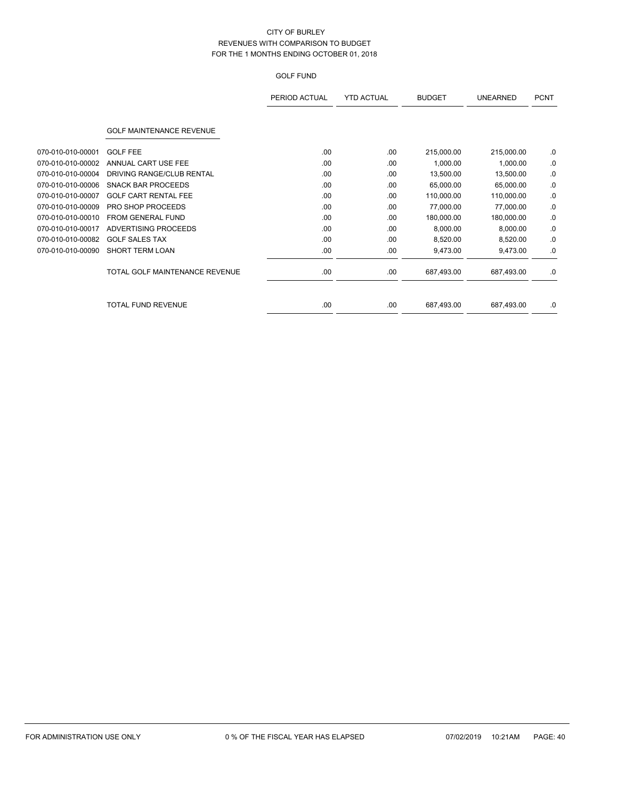|                   |                                 | PERIOD ACTUAL | <b>YTD ACTUAL</b> | <b>BUDGET</b> | <b>UNEARNED</b> | <b>PCNT</b> |
|-------------------|---------------------------------|---------------|-------------------|---------------|-----------------|-------------|
|                   | <b>GOLF MAINTENANCE REVENUE</b> |               |                   |               |                 |             |
| 070-010-010-00001 | <b>GOLF FEE</b>                 | .00           | .00               | 215,000.00    | 215,000.00      | .0          |
| 070-010-010-00002 | ANNUAL CART USE FEE             | .00           | .00               | 1,000.00      | 1,000.00        | .0          |
| 070-010-010-00004 | DRIVING RANGE/CLUB RENTAL       | .00           | .00               | 13,500.00     | 13,500.00       | .0          |
| 070-010-010-00006 | <b>SNACK BAR PROCEEDS</b>       | .00           | .00               | 65,000.00     | 65,000.00       | .0          |
| 070-010-010-00007 | <b>GOLF CART RENTAL FEE</b>     | .00           | .00               | 110,000.00    | 110,000.00      | .0          |
| 070-010-010-00009 | PRO SHOP PROCEEDS               | .00           | .00               | 77,000.00     | 77,000.00       | .0          |
| 070-010-010-00010 | <b>FROM GENERAL FUND</b>        | .00           | .00               | 180,000.00    | 180,000.00      | .0          |
| 070-010-010-00017 | <b>ADVERTISING PROCEEDS</b>     | .00           | .00               | 8,000.00      | 8,000.00        | .0          |
| 070-010-010-00082 | <b>GOLF SALES TAX</b>           | .00           | .00               | 8,520.00      | 8,520.00        | .0          |
| 070-010-010-00090 | <b>SHORT TERM LOAN</b>          | .00           | .00               | 9,473.00      | 9,473.00        | .0          |
|                   | TOTAL GOLF MAINTENANCE REVENUE  | .00           | .00               | 687,493.00    | 687,493.00      | .0          |
|                   | <b>TOTAL FUND REVENUE</b>       | .00           | .00               | 687,493.00    | 687,493.00      | .0          |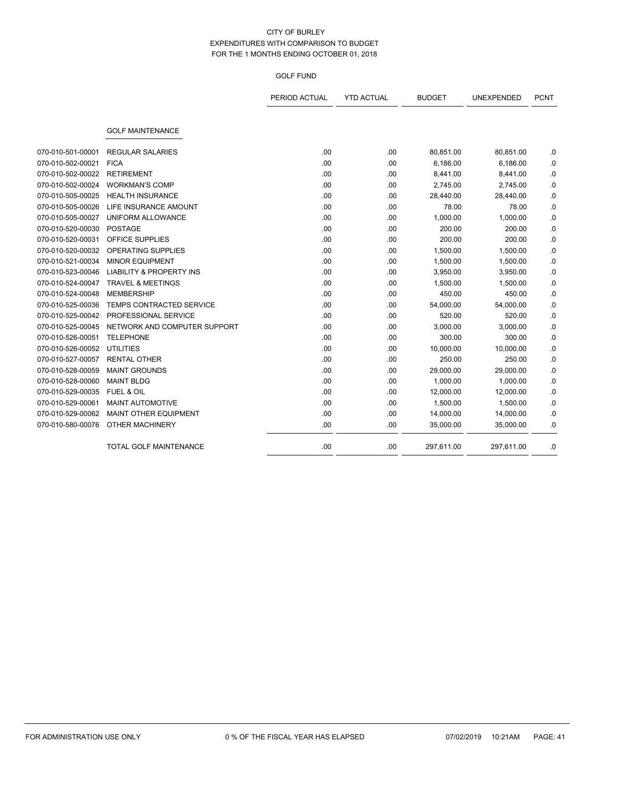|                   |                                     | PERIOD ACTUAL | <b>YTD ACTUAL</b> | <b>BUDGET</b> | UNEXPENDED | <b>PCNT</b> |
|-------------------|-------------------------------------|---------------|-------------------|---------------|------------|-------------|
|                   |                                     |               |                   |               |            |             |
|                   | <b>GOLF MAINTENANCE</b>             |               |                   |               |            |             |
| 070-010-501-00001 | <b>REGULAR SALARIES</b>             | .00           | .00               | 80,851.00     | 80,851.00  | .0          |
| 070-010-502-00021 | <b>FICA</b>                         | .00           | .00               | 6,186.00      | 6,186.00   | .0          |
| 070-010-502-00022 | <b>RETIREMENT</b>                   | .00           | .00               | 8,441.00      | 8,441.00   | .0          |
| 070-010-502-00024 | <b>WORKMAN'S COMP</b>               | .00           | .00               | 2,745.00      | 2,745.00   | .0          |
| 070-010-505-00025 | <b>HEALTH INSURANCE</b>             | .00           | .00               | 28,440.00     | 28,440.00  | .0          |
| 070-010-505-00026 | LIFE INSURANCE AMOUNT               | .00           | .00               | 78.00         | 78.00      | .0          |
| 070-010-505-00027 | UNIFORM ALLOWANCE                   | .00           | .00               | 1,000.00      | 1,000.00   | .0          |
| 070-010-520-00030 | <b>POSTAGE</b>                      | .00           | .00               | 200.00        | 200.00     | .0          |
| 070-010-520-00031 | OFFICE SUPPLIES                     | .00           | .00               | 200.00        | 200.00     | .0          |
| 070-010-520-00032 | <b>OPERATING SUPPLIES</b>           | .00           | .00               | 1,500.00      | 1,500.00   | .0          |
| 070-010-521-00034 | <b>MINOR EQUIPMENT</b>              | .00           | .00               | 1,500.00      | 1,500.00   | .0          |
| 070-010-523-00046 | <b>LIABILITY &amp; PROPERTY INS</b> | .00           | .00               | 3,950.00      | 3,950.00   | .0          |
| 070-010-524-00047 | <b>TRAVEL &amp; MEETINGS</b>        | .00           | .00               | 1,500.00      | 1,500.00   | .0          |
| 070-010-524-00048 | <b>MEMBERSHIP</b>                   | .00           | .00               | 450.00        | 450.00     | 0.          |
| 070-010-525-00036 | <b>TEMPS CONTRACTED SERVICE</b>     | .00           | .00               | 54,000.00     | 54,000.00  | .0          |
| 070-010-525-00042 | PROFESSIONAL SERVICE                | .00           | .00               | 520.00        | 520.00     | .0          |
| 070-010-525-00045 | NETWORK AND COMPUTER SUPPORT        | .00           | .00               | 3,000.00      | 3,000.00   | .0          |
| 070-010-526-00051 | <b>TELEPHONE</b>                    | .00           | .00               | 300.00        | 300.00     | .0          |
| 070-010-526-00052 | <b>UTILITIES</b>                    | .00.          | .00               | 10,000.00     | 10,000.00  | 0.          |
| 070-010-527-00057 | <b>RENTAL OTHER</b>                 | .00           | .00               | 250.00        | 250.00     | 0.          |
| 070-010-528-00059 | <b>MAINT GROUNDS</b>                | .00           | .00               | 29,000.00     | 29,000.00  | .0          |
| 070-010-528-00060 | <b>MAINT BLDG</b>                   | .00           | .00               | 1,000.00      | 1,000.00   | .0          |
| 070-010-529-00035 | <b>FUEL &amp; OIL</b>               | .00           | .00               | 12,000.00     | 12,000.00  | .0          |
| 070-010-529-00061 | MAINT AUTOMOTIVE                    | .00           | .00               | 1,500.00      | 1,500.00   | .0          |
| 070-010-529-00062 | <b>MAINT OTHER EQUIPMENT</b>        | .00           | .00               | 14,000.00     | 14,000.00  | .0          |
| 070-010-580-00076 | <b>OTHER MACHINERY</b>              | .00           | .00               | 35,000.00     | 35,000.00  | .0          |
|                   | <b>TOTAL GOLF MAINTENANCE</b>       | .00           | .00               | 297,611.00    | 297,611.00 | .0          |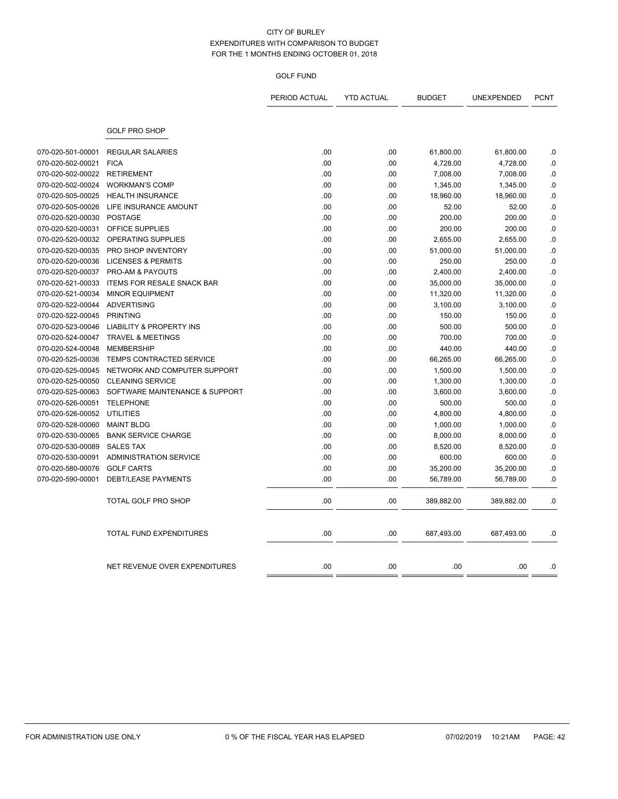|                   |                                     | PERIOD ACTUAL | <b>YTD ACTUAL</b> | <b>BUDGET</b> | <b>UNEXPENDED</b> | <b>PCNT</b> |
|-------------------|-------------------------------------|---------------|-------------------|---------------|-------------------|-------------|
|                   | <b>GOLF PRO SHOP</b>                |               |                   |               |                   |             |
| 070-020-501-00001 | <b>REGULAR SALARIES</b>             | .00           | .00               | 61,800.00     | 61,800.00         | .0          |
| 070-020-502-00021 | <b>FICA</b>                         | .00           | .00               | 4,728.00      | 4,728.00          | .0          |
| 070-020-502-00022 | <b>RETIREMENT</b>                   | .00           | .00               | 7,008.00      | 7,008.00          | .0          |
| 070-020-502-00024 | <b>WORKMAN'S COMP</b>               | .00           | .00               | 1,345.00      | 1,345.00          | .0          |
| 070-020-505-00025 | <b>HEALTH INSURANCE</b>             | .00           | .00               | 18,960.00     | 18,960.00         | .0          |
| 070-020-505-00026 | LIFE INSURANCE AMOUNT               | .00           | .00               | 52.00         | 52.00             | .0          |
| 070-020-520-00030 | <b>POSTAGE</b>                      | .00           | .00               | 200.00        | 200.00            | $\cdot$ 0   |
| 070-020-520-00031 | OFFICE SUPPLIES                     | .00           | .00               | 200.00        | 200.00            | .0          |
| 070-020-520-00032 | OPERATING SUPPLIES                  | .00           | .00               | 2,655.00      | 2,655.00          | .0          |
| 070-020-520-00035 | PRO SHOP INVENTORY                  | .00           | .00               | 51,000.00     | 51,000.00         | .0          |
| 070-020-520-00036 | <b>LICENSES &amp; PERMITS</b>       | .00           | .00               | 250.00        | 250.00            | .0          |
| 070-020-520-00037 | PRO-AM & PAYOUTS                    | .00           | .00               | 2,400.00      | 2,400.00          | .0          |
| 070-020-521-00033 | <b>ITEMS FOR RESALE SNACK BAR</b>   | .00           | .00               | 35,000.00     | 35,000.00         | .0          |
| 070-020-521-00034 | <b>MINOR EQUIPMENT</b>              | .00           | .00               | 11,320.00     | 11,320.00         | .0          |
| 070-020-522-00044 | <b>ADVERTISING</b>                  | .00           | .00               | 3,100.00      | 3,100.00          | $\cdot$ 0   |
| 070-020-522-00045 | <b>PRINTING</b>                     | .00           | .00               | 150.00        | 150.00            | .0          |
| 070-020-523-00046 | <b>LIABILITY &amp; PROPERTY INS</b> | .00           | .00               | 500.00        | 500.00            | .0          |
| 070-020-524-00047 | <b>TRAVEL &amp; MEETINGS</b>        | .00           | .00               | 700.00        | 700.00            | .0          |
| 070-020-524-00048 | <b>MEMBERSHIP</b>                   | .00           | .00               | 440.00        | 440.00            | .0          |
| 070-020-525-00036 | TEMPS CONTRACTED SERVICE            | .00           | .00               | 66,265.00     | 66,265.00         | .0          |
| 070-020-525-00045 | NETWORK AND COMPUTER SUPPORT        | .00           | .00               | 1,500.00      | 1,500.00          | .0          |
| 070-020-525-00050 | <b>CLEANING SERVICE</b>             | .00           | .00               | 1,300.00      | 1,300.00          | $\cdot$ 0   |
| 070-020-525-00063 | SOFTWARE MAINTENANCE & SUPPORT      | .00           | .00               | 3,600.00      | 3,600.00          | .0          |
| 070-020-526-00051 | <b>TELEPHONE</b>                    | .00           | .00               | 500.00        | 500.00            | .0          |
| 070-020-526-00052 | <b>UTILITIES</b>                    | .00           | .00               | 4,800.00      | 4,800.00          | .0          |
| 070-020-528-00060 | <b>MAINT BLDG</b>                   | .00           | .00               | 1,000.00      | 1,000.00          | .0          |
| 070-020-530-00065 | <b>BANK SERVICE CHARGE</b>          | .00           | .00               | 8,000.00      | 8,000.00          | .0          |
| 070-020-530-00089 | <b>SALES TAX</b>                    | .00           | .00               | 8,520.00      | 8,520.00          | .0          |
| 070-020-530-00091 | <b>ADMINISTRATION SERVICE</b>       | .00           | .00               | 600.00        | 600.00            | .0          |
| 070-020-580-00076 | <b>GOLF CARTS</b>                   | .00           | .00               | 35,200.00     | 35,200.00         | .0          |
| 070-020-590-00001 | <b>DEBT/LEASE PAYMENTS</b>          | .00           | .00               | 56,789.00     | 56,789.00         | .0          |
|                   |                                     |               |                   |               |                   |             |
|                   | TOTAL GOLF PRO SHOP                 | .00           | .00               | 389,882.00    | 389,882.00        | .0          |
|                   | TOTAL FUND EXPENDITURES             | .00           | .00               | 687,493.00    | 687,493.00        | .0          |
|                   |                                     |               |                   |               |                   |             |
|                   | NET REVENUE OVER EXPENDITURES       | .00           | .00               | .00           | .00               | .0          |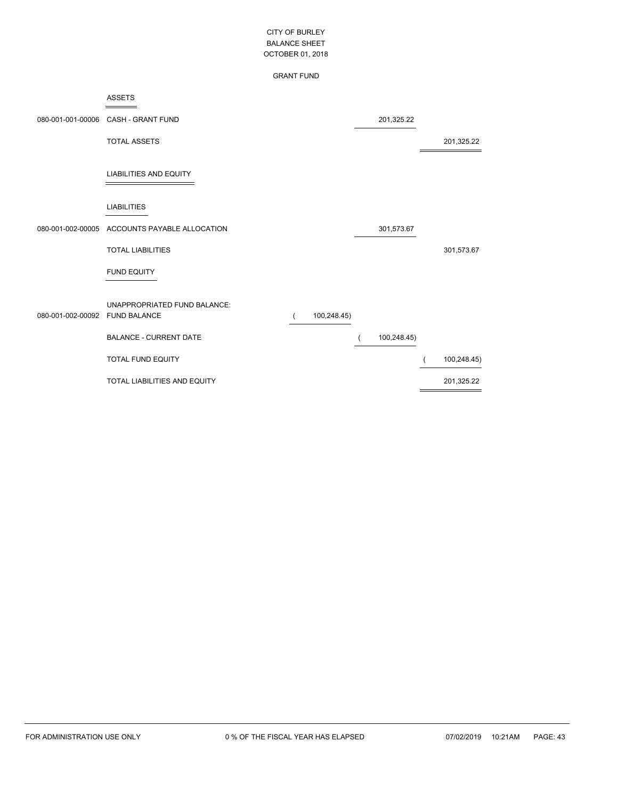### GRANT FUND

|                   | <b>ASSETS</b>                       |             |             |             |
|-------------------|-------------------------------------|-------------|-------------|-------------|
| 080-001-001-00006 | CASH - GRANT FUND                   |             | 201,325.22  |             |
|                   | <b>TOTAL ASSETS</b>                 |             |             | 201,325.22  |
|                   | <b>LIABILITIES AND EQUITY</b>       |             |             |             |
|                   | <b>LIABILITIES</b>                  |             |             |             |
| 080-001-002-00005 | ACCOUNTS PAYABLE ALLOCATION         |             | 301,573.67  |             |
|                   | <b>TOTAL LIABILITIES</b>            |             |             | 301,573.67  |
|                   | <b>FUND EQUITY</b>                  |             |             |             |
|                   | UNAPPROPRIATED FUND BALANCE:        |             |             |             |
| 080-001-002-00092 | <b>FUND BALANCE</b>                 | 100,248.45) |             |             |
|                   | <b>BALANCE - CURRENT DATE</b>       |             | 100,248.45) |             |
|                   | <b>TOTAL FUND EQUITY</b>            |             |             | 100,248.45) |
|                   | <b>TOTAL LIABILITIES AND EQUITY</b> |             |             | 201,325.22  |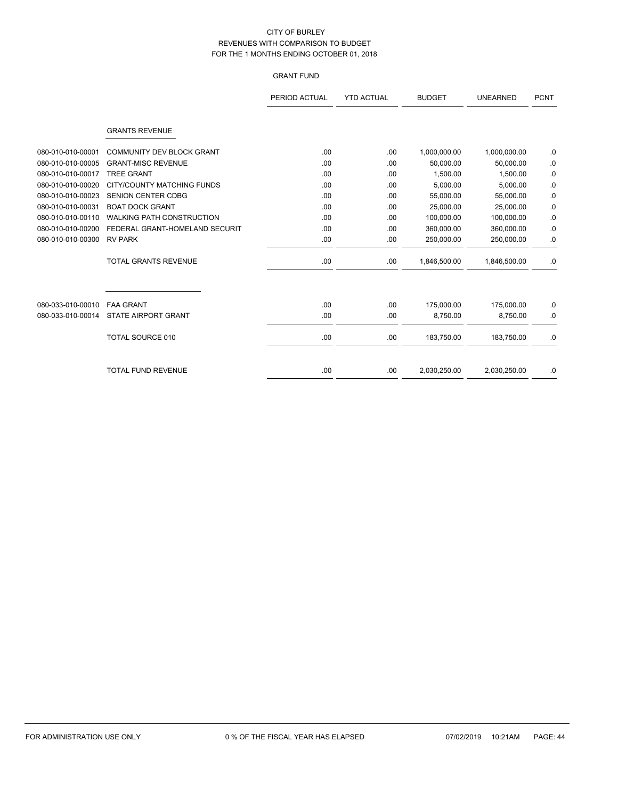# GRANT FUND

|                   |                                  | PERIOD ACTUAL | <b>YTD ACTUAL</b> | <b>BUDGET</b> | <b>UNEARNED</b> | <b>PCNT</b> |
|-------------------|----------------------------------|---------------|-------------------|---------------|-----------------|-------------|
|                   | <b>GRANTS REVENUE</b>            |               |                   |               |                 |             |
| 080-010-010-00001 | COMMUNITY DEV BLOCK GRANT        | .00.          | .00               | 1,000,000.00  | 1,000,000.00    | .0          |
| 080-010-010-00005 | <b>GRANT-MISC REVENUE</b>        | .00           | .00               | 50,000.00     | 50,000.00       | $\cdot$ 0   |
| 080-010-010-00017 | <b>TREE GRANT</b>                | .00           | .00               | 1,500.00      | 1.500.00        | .0          |
| 080-010-010-00020 | CITY/COUNTY MATCHING FUNDS       | .00           | .00               | 5,000.00      | 5,000.00        | .0          |
| 080-010-010-00023 | <b>SENION CENTER CDBG</b>        | .00           | .00               | 55,000.00     | 55,000.00       | .0          |
| 080-010-010-00031 | <b>BOAT DOCK GRANT</b>           | .00.          | .00               | 25.000.00     | 25,000.00       | $\cdot$ 0   |
| 080-010-010-00110 | <b>WALKING PATH CONSTRUCTION</b> | .00           | .00               | 100,000.00    | 100,000.00      | .0          |
| 080-010-010-00200 | FEDERAL GRANT-HOMELAND SECURIT   | .00           | .00               | 360,000.00    | 360,000.00      | .0          |
| 080-010-010-00300 | <b>RV PARK</b>                   | .00.          | .00               | 250,000.00    | 250,000.00      | .0          |
|                   | <b>TOTAL GRANTS REVENUE</b>      | .00.          | .00               | 1,846,500.00  | 1,846,500.00    | .0          |
|                   |                                  |               |                   |               |                 |             |
| 080-033-010-00010 | <b>FAA GRANT</b>                 | .00.          | .00               | 175,000.00    | 175,000.00      | .0          |
| 080-033-010-00014 | <b>STATE AIRPORT GRANT</b>       | .00.          | .00               | 8,750.00      | 8,750.00        | .0          |
|                   | <b>TOTAL SOURCE 010</b>          | .00           | .00               | 183,750.00    | 183,750.00      | .0          |
|                   | <b>TOTAL FUND REVENUE</b>        | .00           | .00               | 2,030,250.00  | 2,030,250.00    | .0          |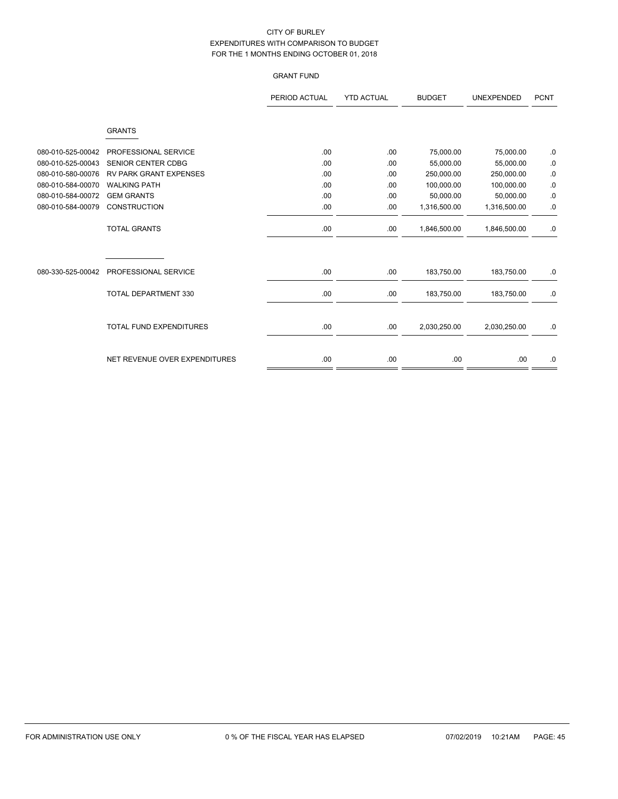# GRANT FUND

|                   |                                | PERIOD ACTUAL | <b>YTD ACTUAL</b> | <b>BUDGET</b> | UNEXPENDED   | <b>PCNT</b> |
|-------------------|--------------------------------|---------------|-------------------|---------------|--------------|-------------|
|                   | <b>GRANTS</b>                  |               |                   |               |              |             |
| 080-010-525-00042 | PROFESSIONAL SERVICE           | .00           | .00               | 75,000.00     | 75,000.00    | $\cdot$ 0   |
| 080-010-525-00043 | <b>SENIOR CENTER CDBG</b>      | .00           | .00               | 55,000.00     | 55,000.00    | $\cdot$     |
| 080-010-580-00076 | <b>RV PARK GRANT EXPENSES</b>  | .00           | .00               | 250,000.00    | 250,000.00   | .0          |
| 080-010-584-00070 | <b>WALKING PATH</b>            | .00           | .00               | 100,000.00    | 100,000.00   | $0.$        |
| 080-010-584-00072 | <b>GEM GRANTS</b>              | .00           | .00               | 50,000.00     | 50,000.00    | $\cdot$     |
| 080-010-584-00079 | <b>CONSTRUCTION</b>            | .00           | .00               | 1,316,500.00  | 1,316,500.00 | .0          |
|                   | <b>TOTAL GRANTS</b>            | .00           | .00               | 1,846,500.00  | 1,846,500.00 | .0          |
| 080-330-525-00042 | PROFESSIONAL SERVICE           | .00           | .00.              | 183,750.00    | 183,750.00   | .0          |
|                   | <b>TOTAL DEPARTMENT 330</b>    | .00           | .00.              | 183,750.00    | 183,750.00   | .0          |
|                   | <b>TOTAL FUND EXPENDITURES</b> | .00           | .00.              | 2,030,250.00  | 2,030,250.00 | .0          |
|                   | NET REVENUE OVER EXPENDITURES  | .00           | .00               | .00.          | .00          | $.0\,$      |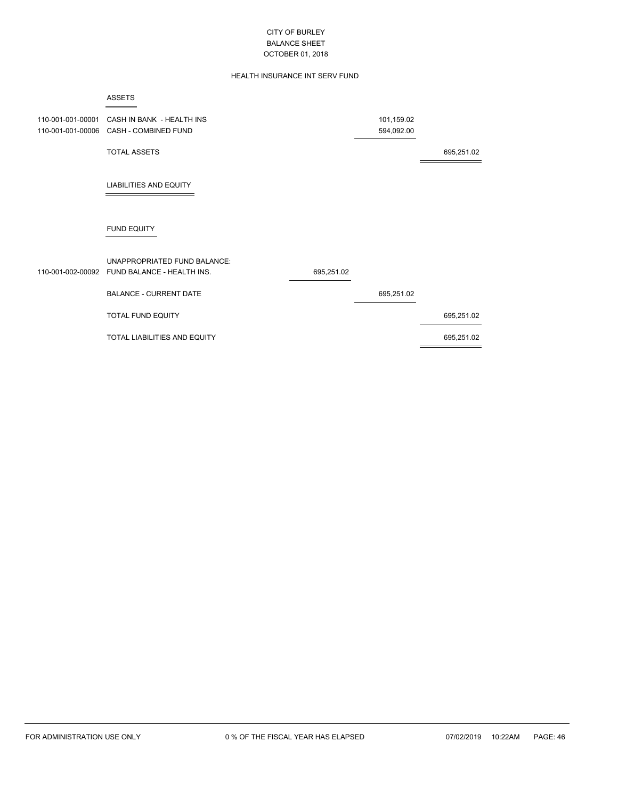# HEALTH INSURANCE INT SERV FUND

|                                        | <b>ASSETS</b>                                              |            |                          |            |
|----------------------------------------|------------------------------------------------------------|------------|--------------------------|------------|
| 110-001-001-00001<br>110-001-001-00006 | CASH IN BANK - HEALTH INS<br>CASH - COMBINED FUND          |            | 101,159.02<br>594,092.00 |            |
|                                        | <b>TOTAL ASSETS</b>                                        |            |                          | 695,251.02 |
|                                        | <b>LIABILITIES AND EQUITY</b>                              |            |                          |            |
|                                        | <b>FUND EQUITY</b>                                         |            |                          |            |
| 110-001-002-00092                      | UNAPPROPRIATED FUND BALANCE:<br>FUND BALANCE - HEALTH INS. | 695,251.02 |                          |            |
|                                        | <b>BALANCE - CURRENT DATE</b>                              |            | 695,251.02               |            |
|                                        | TOTAL FUND EQUITY                                          |            |                          | 695,251.02 |
|                                        | TOTAL LIABILITIES AND EQUITY                               |            |                          | 695,251.02 |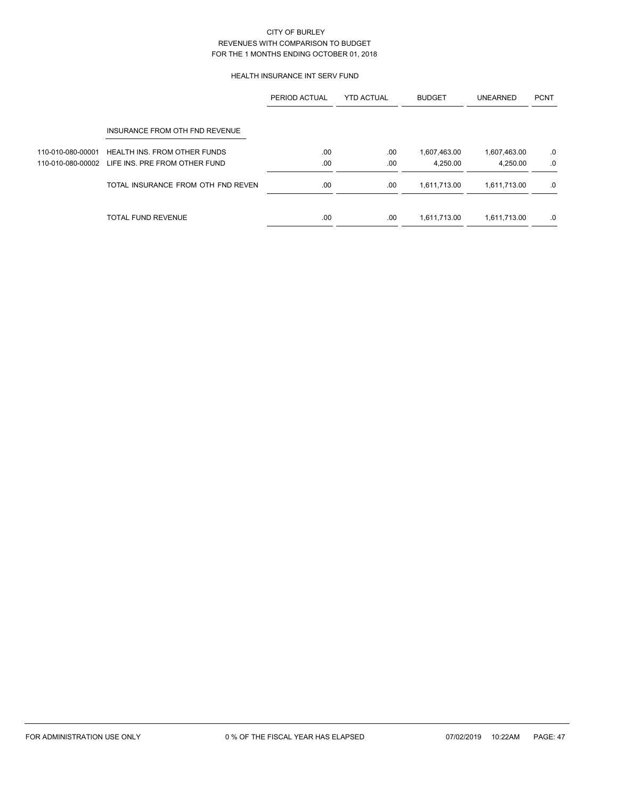# HEALTH INSURANCE INT SERV FUND

|                   |                                     | PERIOD ACTUAL | <b>YTD ACTUAL</b> | <b>BUDGET</b> | <b>UNEARNED</b> | <b>PCNT</b> |
|-------------------|-------------------------------------|---------------|-------------------|---------------|-----------------|-------------|
|                   | INSURANCE FROM OTH FND REVENUE      |               |                   |               |                 |             |
| 110-010-080-00001 | <b>HEALTH INS. FROM OTHER FUNDS</b> | .00           | .00               | 1,607,463.00  | 1,607,463.00    | .0          |
| 110-010-080-00002 | LIFE INS. PRE FROM OTHER FUND       | .00           | .00               | 4.250.00      | 4,250.00        | .0          |
|                   | TOTAL INSURANCE FROM OTH FND REVEN  | .00           | .00               | 1,611,713.00  | 1,611,713.00    | .0          |
|                   | TOTAL FUND REVENUE                  | .00           | .00               | 1,611,713.00  | 1,611,713.00    | .0          |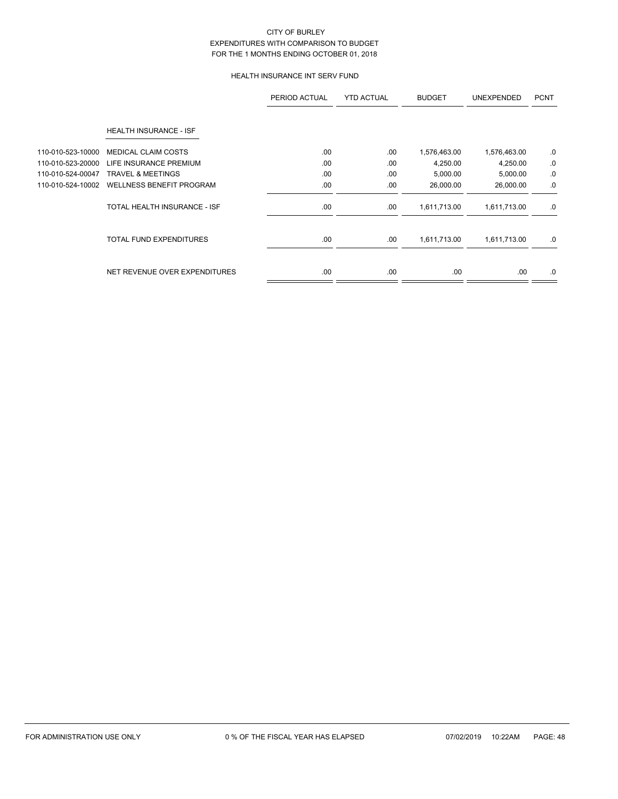# HEALTH INSURANCE INT SERV FUND

|                   |                                 | PERIOD ACTUAL | <b>YTD ACTUAL</b> | <b>BUDGET</b> | <b>UNEXPENDED</b> | <b>PCNT</b> |
|-------------------|---------------------------------|---------------|-------------------|---------------|-------------------|-------------|
|                   | HEALTH INSURANCE - ISF          |               |                   |               |                   |             |
| 110-010-523-10000 | <b>MEDICAL CLAIM COSTS</b>      | .00           | .00               | 1,576,463.00  | 1,576,463.00      | .0          |
| 110-010-523-20000 | LIFE INSURANCE PREMIUM          | .00           | .00               | 4,250.00      | 4,250.00          | .0          |
| 110-010-524-00047 | <b>TRAVEL &amp; MEETINGS</b>    | .00           | .00               | 5,000.00      | 5,000.00          | .0          |
| 110-010-524-10002 | <b>WELLNESS BENEFIT PROGRAM</b> | .00           | .00               | 26,000.00     | 26,000.00         | .0          |
|                   | TOTAL HEALTH INSURANCE - ISF    | .00.          | .00               | 1,611,713.00  | 1,611,713.00      | .0          |
|                   | <b>TOTAL FUND EXPENDITURES</b>  | .00.          | .00               | 1,611,713.00  | 1,611,713.00      | .0          |
|                   | NET REVENUE OVER EXPENDITURES   | .00.          | .00               | .00.          | .00.              | .0          |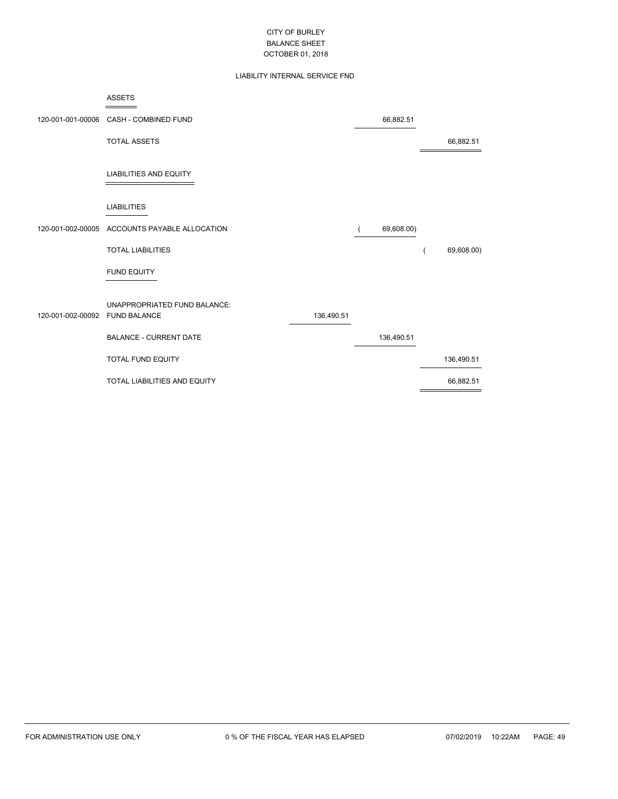# LIABILITY INTERNAL SERVICE FND

|                   | <b>ASSETS</b>                                       |            |            |            |
|-------------------|-----------------------------------------------------|------------|------------|------------|
| 120-001-001-00006 | CASH - COMBINED FUND                                |            | 66,882.51  |            |
|                   | <b>TOTAL ASSETS</b>                                 |            |            | 66,882.51  |
|                   | <b>LIABILITIES AND EQUITY</b>                       |            |            |            |
|                   | <b>LIABILITIES</b>                                  |            |            |            |
| 120-001-002-00005 | ACCOUNTS PAYABLE ALLOCATION                         |            | 69,608.00) |            |
|                   | <b>TOTAL LIABILITIES</b>                            |            |            | 69,608.00) |
|                   | <b>FUND EQUITY</b>                                  |            |            |            |
| 120-001-002-00092 | UNAPPROPRIATED FUND BALANCE:<br><b>FUND BALANCE</b> | 136,490.51 |            |            |
|                   | <b>BALANCE - CURRENT DATE</b>                       |            | 136,490.51 |            |
|                   | <b>TOTAL FUND EQUITY</b>                            |            |            | 136,490.51 |
|                   | TOTAL LIABILITIES AND EQUITY                        |            |            | 66,882.51  |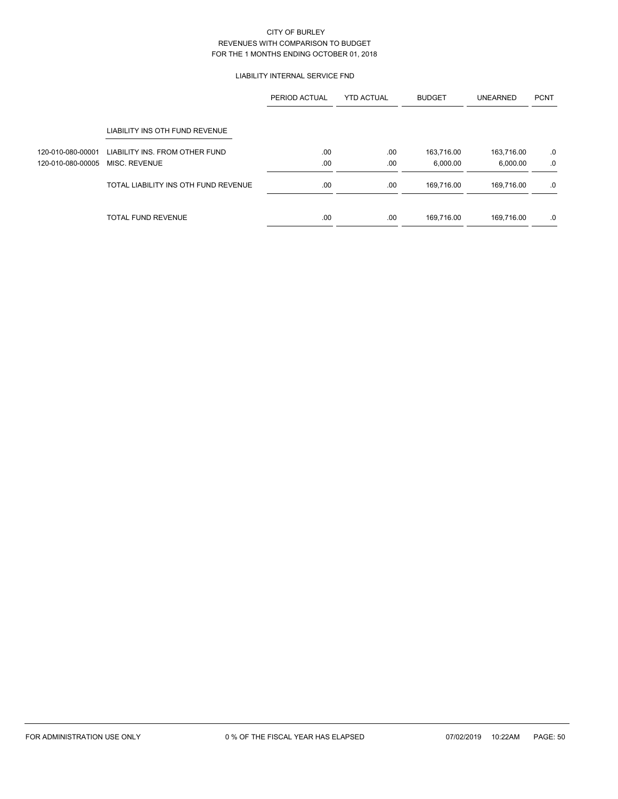# LIABILITY INTERNAL SERVICE FND

|                   |                                      | PERIOD ACTUAL | <b>YTD ACTUAL</b> | <b>BUDGET</b> | <b>UNEARNED</b> | <b>PCNT</b> |
|-------------------|--------------------------------------|---------------|-------------------|---------------|-----------------|-------------|
|                   | LIABILITY INS OTH FUND REVENUE       |               |                   |               |                 |             |
| 120-010-080-00001 | LIABILITY INS. FROM OTHER FUND       | .00.          | .00               | 163,716.00    | 163,716.00      | .0          |
| 120-010-080-00005 | MISC. REVENUE                        | .00           | .00               | 6.000.00      | 6,000.00        | .0          |
|                   | TOTAL LIABILITY INS OTH FUND REVENUE | .00           | .00               | 169.716.00    | 169.716.00      | .0          |
|                   | <b>TOTAL FUND REVENUE</b>            | .00           | .00               | 169,716.00    | 169.716.00      | .0          |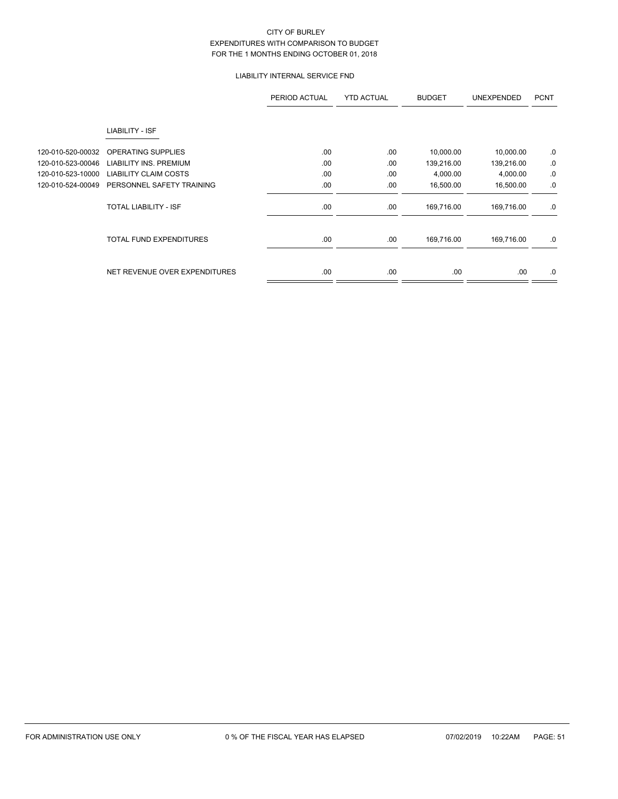# LIABILITY INTERNAL SERVICE FND

|                   |                                | PERIOD ACTUAL | <b>YTD ACTUAL</b> | <b>BUDGET</b> | <b>UNEXPENDED</b> | <b>PCNT</b> |
|-------------------|--------------------------------|---------------|-------------------|---------------|-------------------|-------------|
|                   | LIABILITY - ISF                |               |                   |               |                   |             |
| 120-010-520-00032 | OPERATING SUPPLIES             | .00           | .00               | 10,000.00     | 10,000.00         | .0          |
| 120-010-523-00046 | <b>LIABILITY INS. PREMIUM</b>  | .00           | .00               | 139,216.00    | 139,216.00        | 0.          |
| 120-010-523-10000 | <b>LIABILITY CLAIM COSTS</b>   | .00           | .00               | 4,000.00      | 4,000.00          | 0.          |
| 120-010-524-00049 | PERSONNEL SAFETY TRAINING      | .00           | .00               | 16,500.00     | 16,500.00         | .0          |
|                   | TOTAL LIABILITY - ISF          | .00.          | .00               | 169,716.00    | 169,716.00        | .0          |
|                   | <b>TOTAL FUND EXPENDITURES</b> | .00           | .00               | 169,716.00    | 169,716.00        | .0          |
|                   | NET REVENUE OVER EXPENDITURES  | .00.          | .00               | .00.          | .00.              | .0          |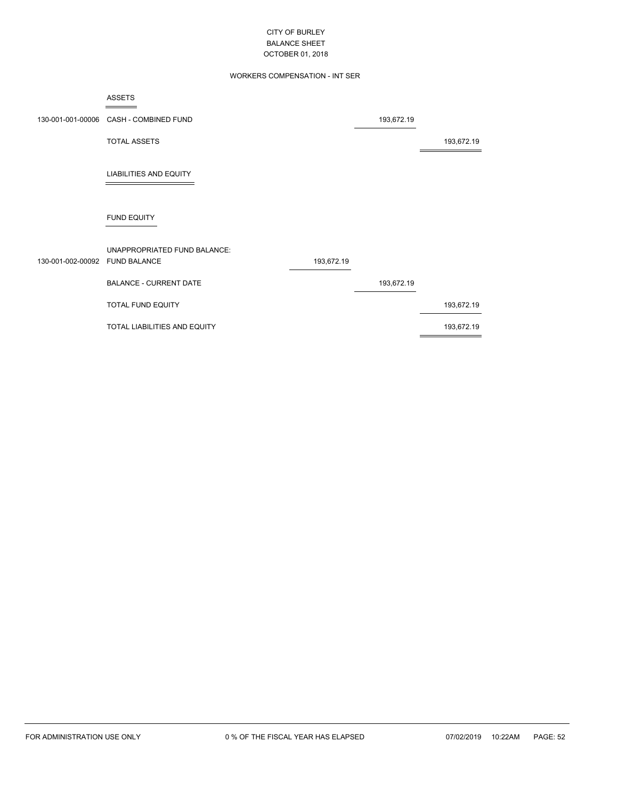# WORKERS COMPENSATION - INT SER

|                                | <b>ASSETS</b>                          |            |            |            |
|--------------------------------|----------------------------------------|------------|------------|------------|
|                                | 130-001-001-00006 CASH - COMBINED FUND |            | 193,672.19 |            |
|                                | <b>TOTAL ASSETS</b>                    |            |            | 193,672.19 |
|                                | <b>LIABILITIES AND EQUITY</b>          |            |            |            |
|                                | <b>FUND EQUITY</b>                     |            |            |            |
| 130-001-002-00092 FUND BALANCE | UNAPPROPRIATED FUND BALANCE:           | 193,672.19 |            |            |

BALANCE - CURRENT DATE 193,672.19 TOTAL FUND EQUITY 193,672.19

TOTAL LIABILITIES AND EQUITY 193,672.19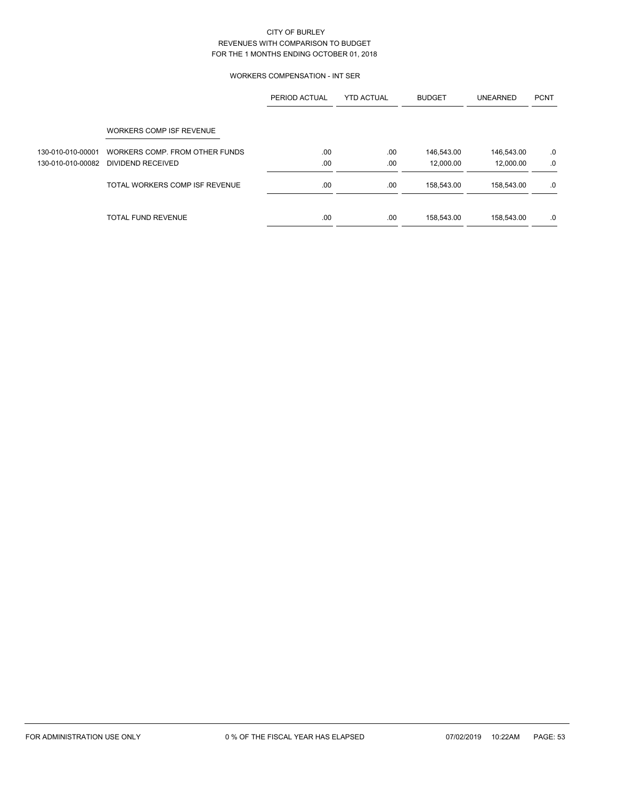# WORKERS COMPENSATION - INT SER

|                   |                                | PERIOD ACTUAL | <b>YTD ACTUAL</b> | <b>BUDGET</b> | <b>UNEARNED</b> | <b>PCNT</b> |
|-------------------|--------------------------------|---------------|-------------------|---------------|-----------------|-------------|
|                   | WORKERS COMP ISF REVENUE       |               |                   |               |                 |             |
| 130-010-010-00001 | WORKERS COMP. FROM OTHER FUNDS | .00           | .00               | 146,543.00    | 146,543.00      | .0          |
| 130-010-010-00082 | DIVIDEND RECEIVED              | .00           | .00               | 12.000.00     | 12,000.00       | .0          |
|                   | TOTAL WORKERS COMP ISF REVENUE | .00           | .00               | 158,543.00    | 158.543.00      | .0          |
|                   | <b>TOTAL FUND REVENUE</b>      | .00           | .00               | 158,543.00    | 158,543.00      | .0          |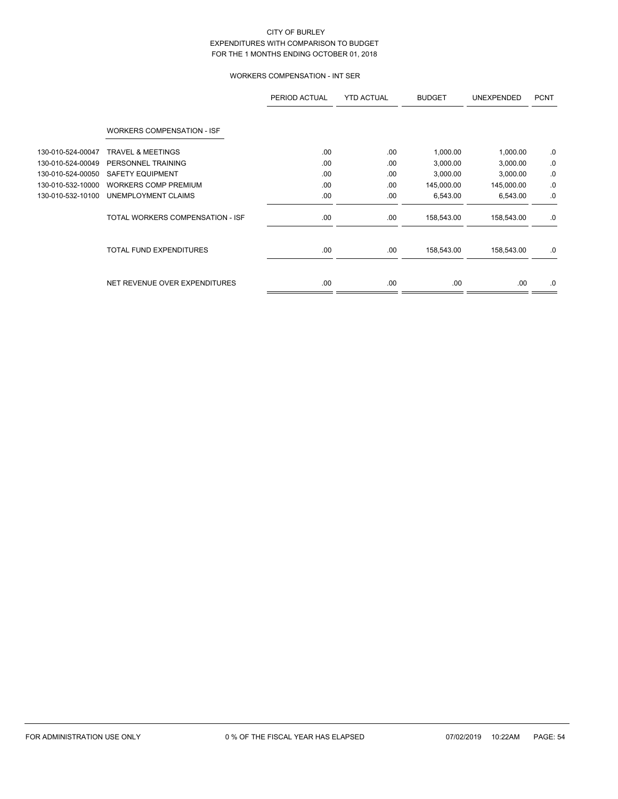# WORKERS COMPENSATION - INT SER

|                   |                                   | PERIOD ACTUAL | <b>YTD ACTUAL</b> | <b>BUDGET</b> | <b>UNEXPENDED</b> | <b>PCNT</b> |
|-------------------|-----------------------------------|---------------|-------------------|---------------|-------------------|-------------|
|                   | <b>WORKERS COMPENSATION - ISF</b> |               |                   |               |                   |             |
| 130-010-524-00047 | <b>TRAVEL &amp; MEETINGS</b>      | .00           | .00               | 1,000.00      | 1,000.00          | 0.          |
| 130-010-524-00049 | PERSONNEL TRAINING                | .00           | .00               | 3,000.00      | 3,000.00          | 0.          |
| 130-010-524-00050 | <b>SAFETY EQUIPMENT</b>           | .00.          | .00               | 3,000.00      | 3,000.00          | 0.          |
| 130-010-532-10000 | <b>WORKERS COMP PREMIUM</b>       | .00           | .00               | 145,000.00    | 145,000.00        | .0          |
| 130-010-532-10100 | UNEMPLOYMENT CLAIMS               | .00           | .00               | 6,543.00      | 6,543.00          | .0          |
|                   | TOTAL WORKERS COMPENSATION - ISF  | .00.          | .00               | 158,543.00    | 158,543.00        | .0          |
|                   | <b>TOTAL FUND EXPENDITURES</b>    | .00           | .00               | 158,543.00    | 158,543.00        | .0          |
|                   | NET REVENUE OVER EXPENDITURES     | .00           | .00               | .00.          | .00.              | .0          |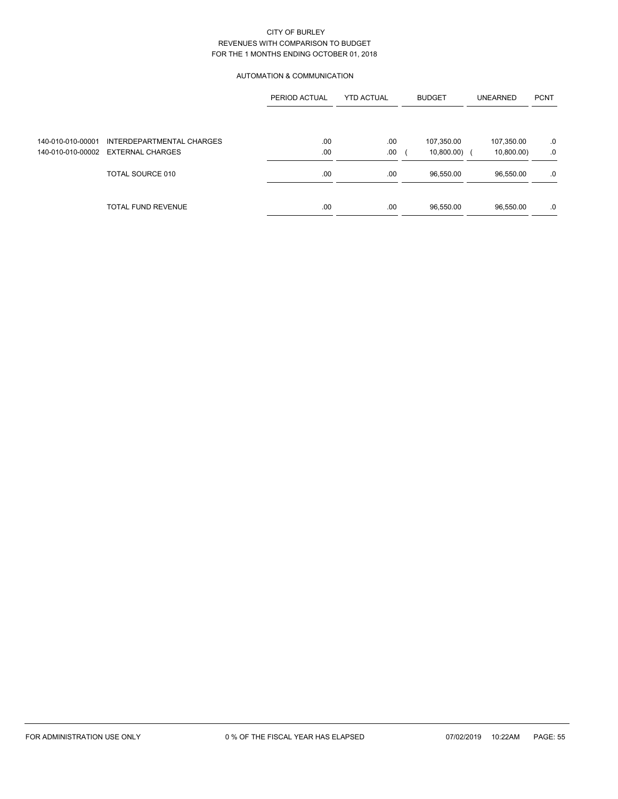# AUTOMATION & COMMUNICATION

|                   |                           | PERIOD ACTUAL | <b>BUDGET</b><br><b>YTD ACTUAL</b> |            | <b>UNEARNED</b> | <b>PCNT</b> |
|-------------------|---------------------------|---------------|------------------------------------|------------|-----------------|-------------|
|                   |                           |               |                                    |            |                 |             |
| 140-010-010-00001 | INTERDEPARTMENTAL CHARGES | .00           | .00                                | 107,350.00 | 107,350.00      | .0          |
| 140-010-010-00002 | <b>EXTERNAL CHARGES</b>   | .00           | .00                                | 10,800.00) | 10,800.00)      | .0          |
|                   | TOTAL SOURCE 010          | .00           | .00                                | 96,550.00  | 96,550.00       | .0          |
|                   | <b>TOTAL FUND REVENUE</b> | .00           | .00                                | 96,550.00  | 96,550.00       | .0          |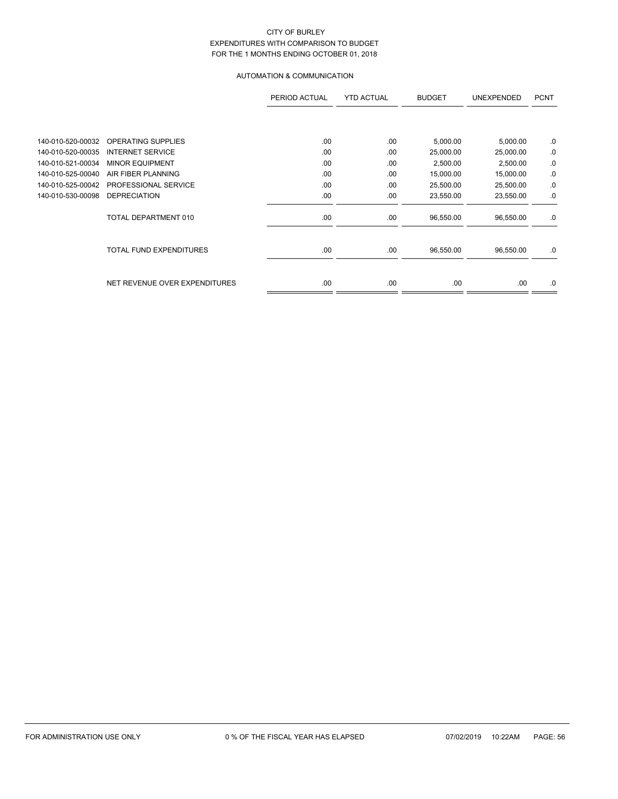# AUTOMATION & COMMUNICATION

|                   |                                | PERIOD ACTUAL | <b>YTD ACTUAL</b> | <b>BUDGET</b> | <b>UNEXPENDED</b> | <b>PCNT</b> |
|-------------------|--------------------------------|---------------|-------------------|---------------|-------------------|-------------|
|                   |                                |               |                   |               |                   |             |
| 140-010-520-00032 | <b>OPERATING SUPPLIES</b>      | .00           | .00               | 5,000.00      | 5,000.00          | 0.          |
| 140-010-520-00035 | <b>INTERNET SERVICE</b>        | .00           | .00               | 25,000.00     | 25,000.00         | 0.          |
| 140-010-521-00034 | <b>MINOR EQUIPMENT</b>         | .00           | .00               | 2,500.00      | 2,500.00          | 0.          |
| 140-010-525-00040 | AIR FIBER PLANNING             | .00           | .00               | 15,000.00     | 15,000.00         | .0          |
| 140-010-525-00042 | PROFESSIONAL SERVICE           | .00           | .00               | 25,500.00     | 25,500.00         | .0          |
| 140-010-530-00098 | <b>DEPRECIATION</b>            | .00           | .00               | 23,550.00     | 23,550.00         | .0          |
|                   | TOTAL DEPARTMENT 010           | .00.          | .00.              | 96,550.00     | 96,550.00         | .0          |
|                   | <b>TOTAL FUND EXPENDITURES</b> | .00.          | .00               | 96,550.00     | 96,550.00         | .0          |
|                   | NET REVENUE OVER EXPENDITURES  | .00           | .00               | .00           | .00               | .0          |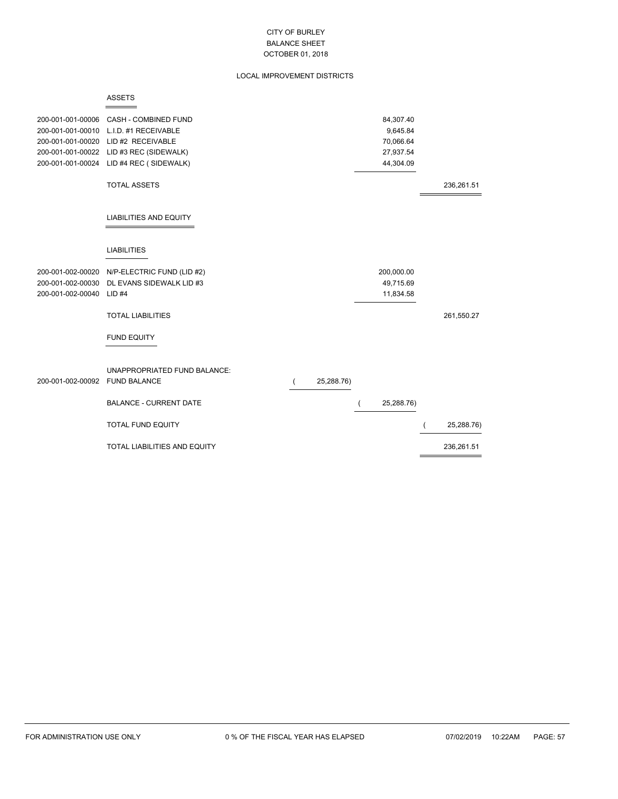# LOCAL IMPROVEMENT DISTRICTS

| 200-001-001-00006<br>200-001-001-00010<br>200-001-001-00020<br>200-001-001-00022<br>200-001-001-00024 | <b>CASH - COMBINED FUND</b><br>L.I.D. #1 RECEIVABLE<br>LID #2 RECEIVABLE<br>LID #3 REC (SIDEWALK)<br>LID #4 REC (SIDEWALK) |            | 84,307.40<br>9,645.84<br>70,066.64<br>27,937.54<br>44,304.09 |            |
|-------------------------------------------------------------------------------------------------------|----------------------------------------------------------------------------------------------------------------------------|------------|--------------------------------------------------------------|------------|
|                                                                                                       | <b>TOTAL ASSETS</b>                                                                                                        |            |                                                              | 236,261.51 |
|                                                                                                       | <b>LIABILITIES AND EQUITY</b>                                                                                              |            |                                                              |            |
|                                                                                                       | <b>LIABILITIES</b>                                                                                                         |            |                                                              |            |
| 200-001-002-00020                                                                                     | N/P-ELECTRIC FUND (LID #2)                                                                                                 |            | 200,000.00                                                   |            |
| 200-001-002-00030                                                                                     | DL EVANS SIDEWALK LID #3                                                                                                   |            | 49,715.69                                                    |            |
| 200-001-002-00040                                                                                     | $LID$ #4                                                                                                                   |            | 11,834.58                                                    |            |
|                                                                                                       | <b>TOTAL LIABILITIES</b>                                                                                                   |            |                                                              | 261,550.27 |
|                                                                                                       | <b>FUND EQUITY</b>                                                                                                         |            |                                                              |            |
|                                                                                                       | UNAPPROPRIATED FUND BALANCE:                                                                                               |            |                                                              |            |
| 200-001-002-00092                                                                                     | <b>FUND BALANCE</b>                                                                                                        | 25,288.76) |                                                              |            |
|                                                                                                       | <b>BALANCE - CURRENT DATE</b>                                                                                              |            | 25,288.76)                                                   |            |
|                                                                                                       | <b>TOTAL FUND EQUITY</b>                                                                                                   |            |                                                              | 25,288.76) |
|                                                                                                       | TOTAL LIABILITIES AND EQUITY                                                                                               |            |                                                              | 236,261.51 |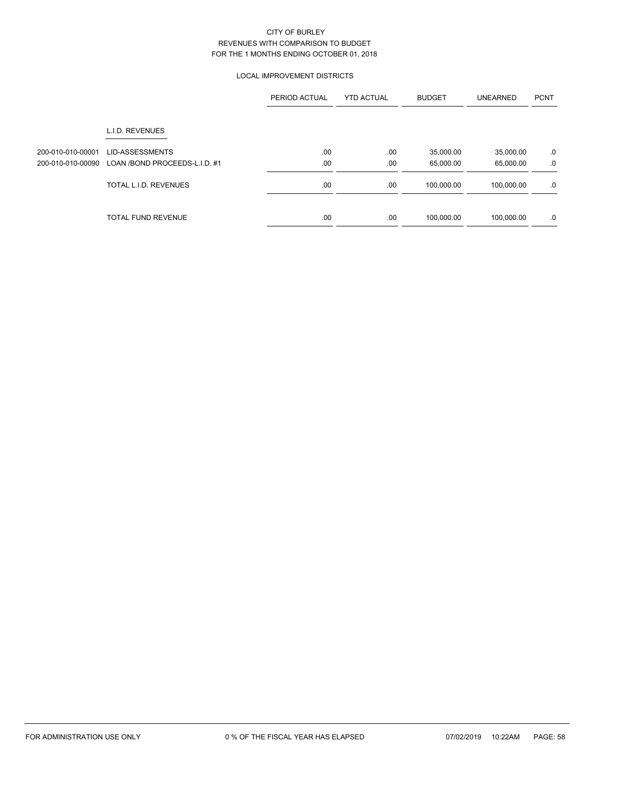# LOCAL IMPROVEMENT DISTRICTS

|                                        |                                                  | PERIOD ACTUAL | <b>YTD ACTUAL</b> | <b>BUDGET</b>          | <b>UNEARNED</b>        | <b>PCNT</b> |
|----------------------------------------|--------------------------------------------------|---------------|-------------------|------------------------|------------------------|-------------|
|                                        | L.I.D. REVENUES                                  |               |                   |                        |                        |             |
| 200-010-010-00001<br>200-010-010-00090 | LID-ASSESSMENTS<br>LOAN /BOND PROCEEDS-L.I.D. #1 | .00<br>.00    | .00<br>.00        | 35,000.00<br>65,000.00 | 35,000.00<br>65,000.00 | .0<br>.0    |
|                                        | TOTAL L.I.D. REVENUES                            | .00.          | .00               | 100,000.00             | 100,000.00             | .0          |
|                                        | <b>TOTAL FUND REVENUE</b>                        | .00           | .00               | 100,000.00             | 100,000.00             | .0          |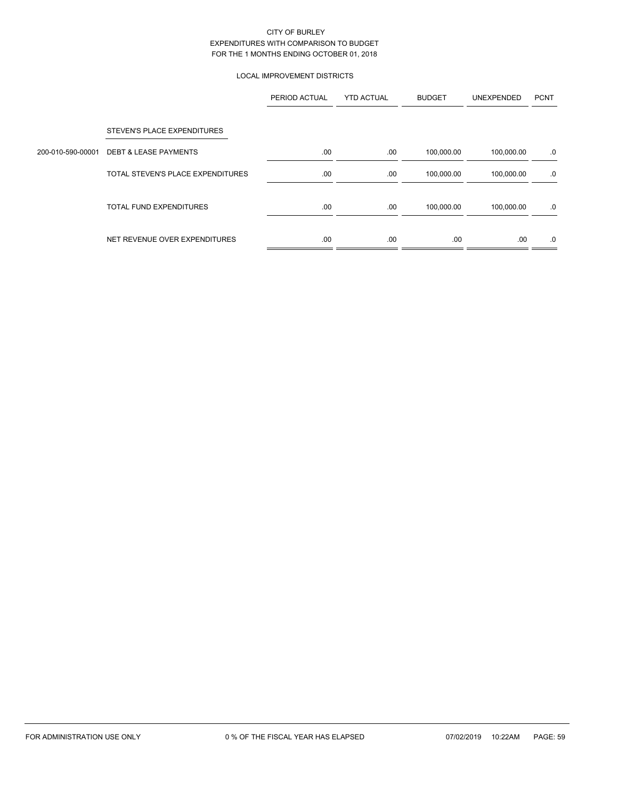# LOCAL IMPROVEMENT DISTRICTS

|                   |                                   | PERIOD ACTUAL | <b>YTD ACTUAL</b> | <b>BUDGET</b> | UNEXPENDED | <b>PCNT</b> |
|-------------------|-----------------------------------|---------------|-------------------|---------------|------------|-------------|
|                   | STEVEN'S PLACE EXPENDITURES       |               |                   |               |            |             |
| 200-010-590-00001 | <b>DEBT &amp; LEASE PAYMENTS</b>  | .00           | .00               | 100,000.00    | 100,000.00 | .0          |
|                   | TOTAL STEVEN'S PLACE EXPENDITURES | .00           | .00.              | 100,000.00    | 100,000.00 | .0          |
|                   | <b>TOTAL FUND EXPENDITURES</b>    | .00           | .00               | 100,000.00    | 100,000.00 | .0          |
|                   | NET REVENUE OVER EXPENDITURES     | .00           | .00               | .00           | .00        | .0          |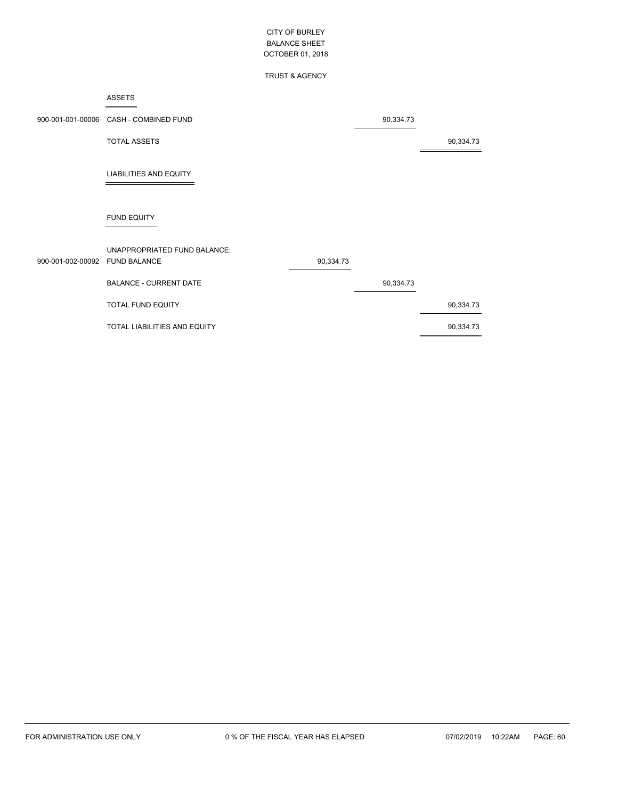# TRUST & AGENCY

#### ASSETS  $=$

|                                | 900-001-001-00006 CASH - COMBINED FUND |           | 90,334.73 |           |
|--------------------------------|----------------------------------------|-----------|-----------|-----------|
|                                | <b>TOTAL ASSETS</b>                    |           |           | 90,334.73 |
|                                | <b>LIABILITIES AND EQUITY</b>          |           |           |           |
|                                | <b>FUND EQUITY</b>                     |           |           |           |
|                                | UNAPPROPRIATED FUND BALANCE:           |           |           |           |
| 900-001-002-00092 FUND BALANCE |                                        | 90,334.73 |           |           |
|                                | <b>BALANCE - CURRENT DATE</b>          |           | 90,334.73 |           |
|                                | <b>TOTAL FUND EQUITY</b>               |           |           | 90,334.73 |
|                                | TOTAL LIABILITIES AND EQUITY           |           |           | 90,334.73 |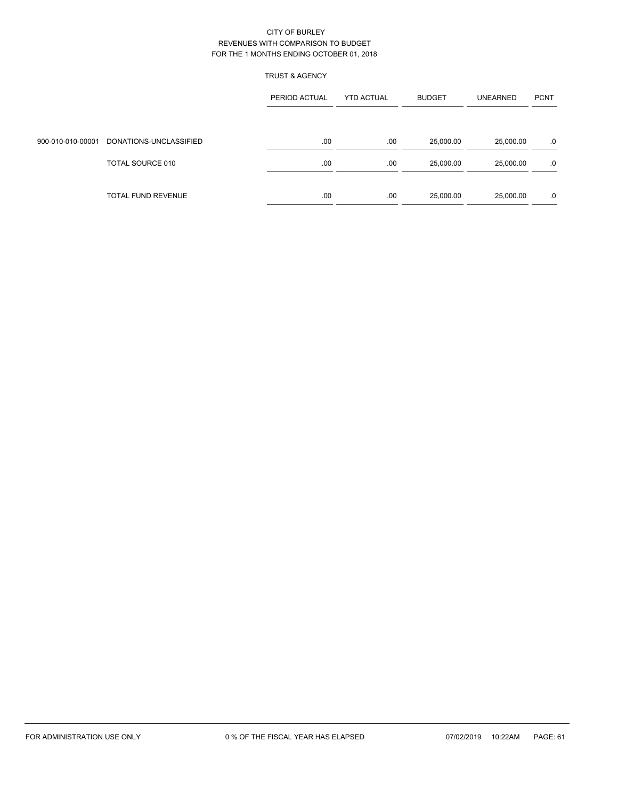# TRUST & AGENCY

|                   |                        | PERIOD ACTUAL | <b>YTD ACTUAL</b> | <b>BUDGET</b> | <b>UNEARNED</b> | <b>PCNT</b> |
|-------------------|------------------------|---------------|-------------------|---------------|-----------------|-------------|
|                   |                        |               |                   |               |                 |             |
| 900-010-010-00001 | DONATIONS-UNCLASSIFIED | .00           | .00               | 25,000.00     | 25,000.00       | .0          |
|                   | TOTAL SOURCE 010       | .00           | .00               | 25,000.00     | 25,000.00       | .0          |
|                   | TOTAL FUND REVENUE     | .00.          | .00               | 25,000.00     | 25,000.00       | .0          |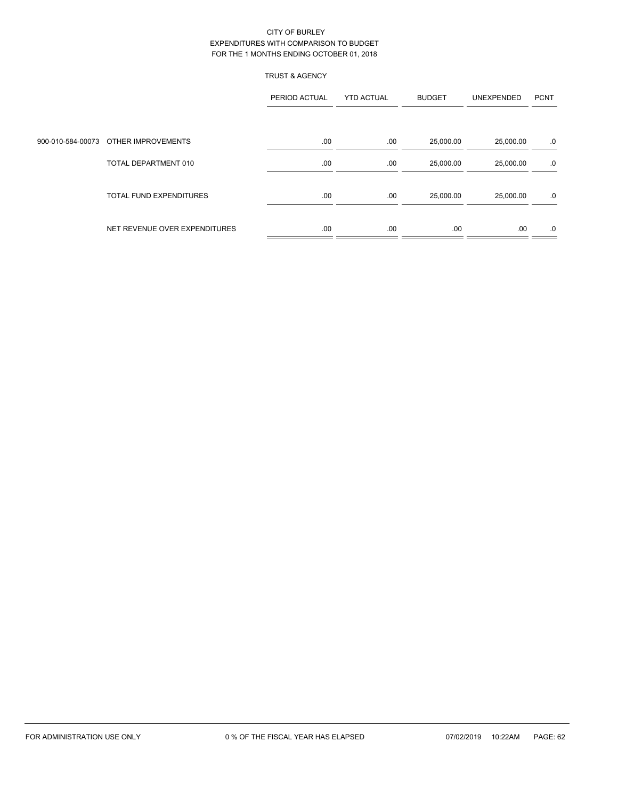# TRUST & AGENCY

|                                      | PERIOD ACTUAL | <b>YTD ACTUAL</b> | <b>BUDGET</b> | UNEXPENDED | <b>PCNT</b> |
|--------------------------------------|---------------|-------------------|---------------|------------|-------------|
|                                      |               |                   |               |            |             |
| 900-010-584-00073 OTHER IMPROVEMENTS | .00           | .00               | 25,000.00     | 25,000.00  | .0          |
| TOTAL DEPARTMENT 010                 | .00           | .00               | 25,000.00     | 25,000.00  | .0          |
| <b>TOTAL FUND EXPENDITURES</b>       | .00           | .00               | 25,000.00     | 25,000.00  | .0          |
| NET REVENUE OVER EXPENDITURES        | .00           | .00               | .00.          | .00        | .0          |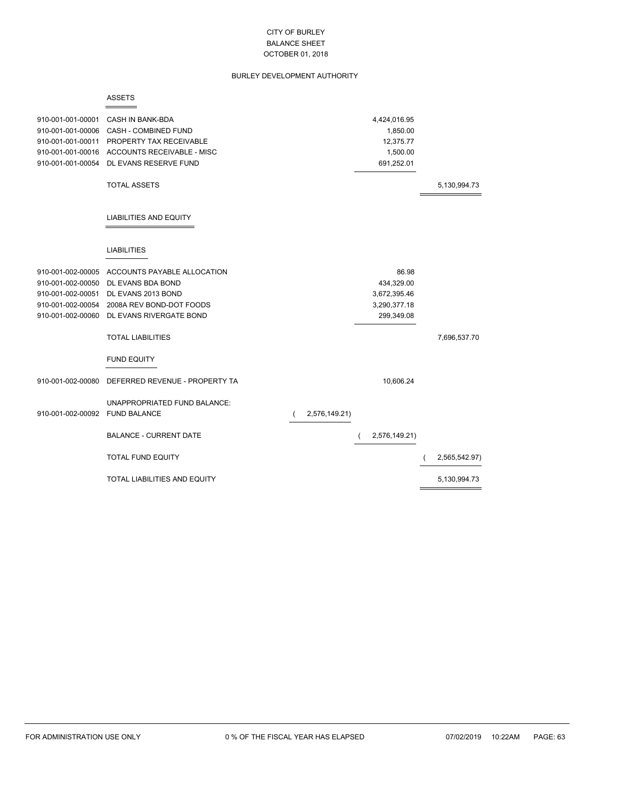# BURLEY DEVELOPMENT AUTHORITY

#### ASSETS

 $=$ 

| 910-001-001-00001 | CASH IN BANK-BDA                    |               | 4,424,016.95  |               |
|-------------------|-------------------------------------|---------------|---------------|---------------|
| 910-001-001-00006 | CASH - COMBINED FUND                |               | 1,850.00      |               |
| 910-001-001-00011 | PROPERTY TAX RECEIVABLE             |               | 12,375.77     |               |
| 910-001-001-00016 | <b>ACCOUNTS RECEIVABLE - MISC</b>   |               | 1,500.00      |               |
| 910-001-001-00054 | DL EVANS RESERVE FUND               |               | 691,252.01    |               |
|                   | <b>TOTAL ASSETS</b>                 |               |               | 5,130,994.73  |
|                   | LIABILITIES AND EQUITY              |               |               |               |
|                   | <b>LIABILITIES</b>                  |               |               |               |
| 910-001-002-00005 | ACCOUNTS PAYABLE ALLOCATION         |               | 86.98         |               |
| 910-001-002-00050 | DL EVANS BDA BOND                   |               | 434,329.00    |               |
| 910-001-002-00051 | DL EVANS 2013 BOND                  |               | 3,672,395.46  |               |
| 910-001-002-00054 | 2008A REV BOND-DOT FOODS            |               | 3,290,377.18  |               |
| 910-001-002-00060 | DL EVANS RIVERGATE BOND             |               | 299,349.08    |               |
|                   | <b>TOTAL LIABILITIES</b>            |               |               | 7,696,537.70  |
|                   | <b>FUND EQUITY</b>                  |               |               |               |
| 910-001-002-00080 | DEFERRED REVENUE - PROPERTY TA      |               | 10,606.24     |               |
|                   | UNAPPROPRIATED FUND BALANCE:        |               |               |               |
| 910-001-002-00092 | <b>FUND BALANCE</b>                 | 2,576,149.21) |               |               |
|                   | <b>BALANCE - CURRENT DATE</b>       |               | 2,576,149.21) |               |
|                   | <b>TOTAL FUND EQUITY</b>            |               |               | 2,565,542.97) |
|                   | <b>TOTAL LIABILITIES AND EQUITY</b> |               |               | 5,130,994.73  |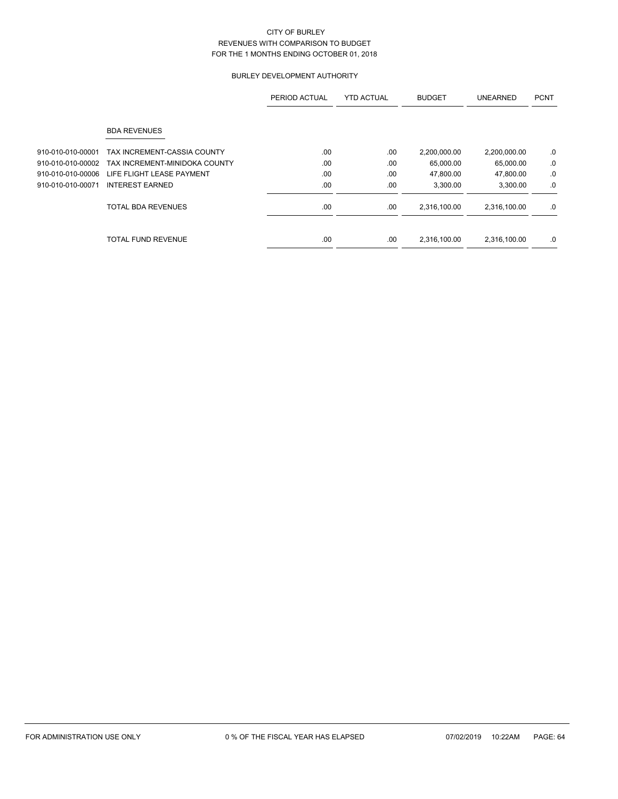# BURLEY DEVELOPMENT AUTHORITY

|                   |                               | PERIOD ACTUAL | <b>YTD ACTUAL</b> | <b>BUDGET</b> | <b>UNEARNED</b> | <b>PCNT</b> |
|-------------------|-------------------------------|---------------|-------------------|---------------|-----------------|-------------|
|                   | <b>BDA REVENUES</b>           |               |                   |               |                 |             |
| 910-010-010-00001 | TAX INCREMENT-CASSIA COUNTY   | .00           | .00               | 2,200,000.00  | 2,200,000.00    | .0          |
| 910-010-010-00002 | TAX INCREMENT-MINIDOKA COUNTY | .00           | .00.              | 65,000.00     | 65,000.00       | .0          |
| 910-010-010-00006 | LIFE FLIGHT LEASE PAYMENT     | .00           | .00               | 47,800.00     | 47,800.00       | $.0\,$      |
| 910-010-010-00071 | <b>INTEREST EARNED</b>        | .00           | .00               | 3,300.00      | 3,300.00        | .0          |
|                   | <b>TOTAL BDA REVENUES</b>     | .00           | .00               | 2,316,100.00  | 2,316,100.00    | .0          |
|                   | <b>TOTAL FUND REVENUE</b>     | .00           | .00               | 2,316,100.00  | 2,316,100.00    | .0          |